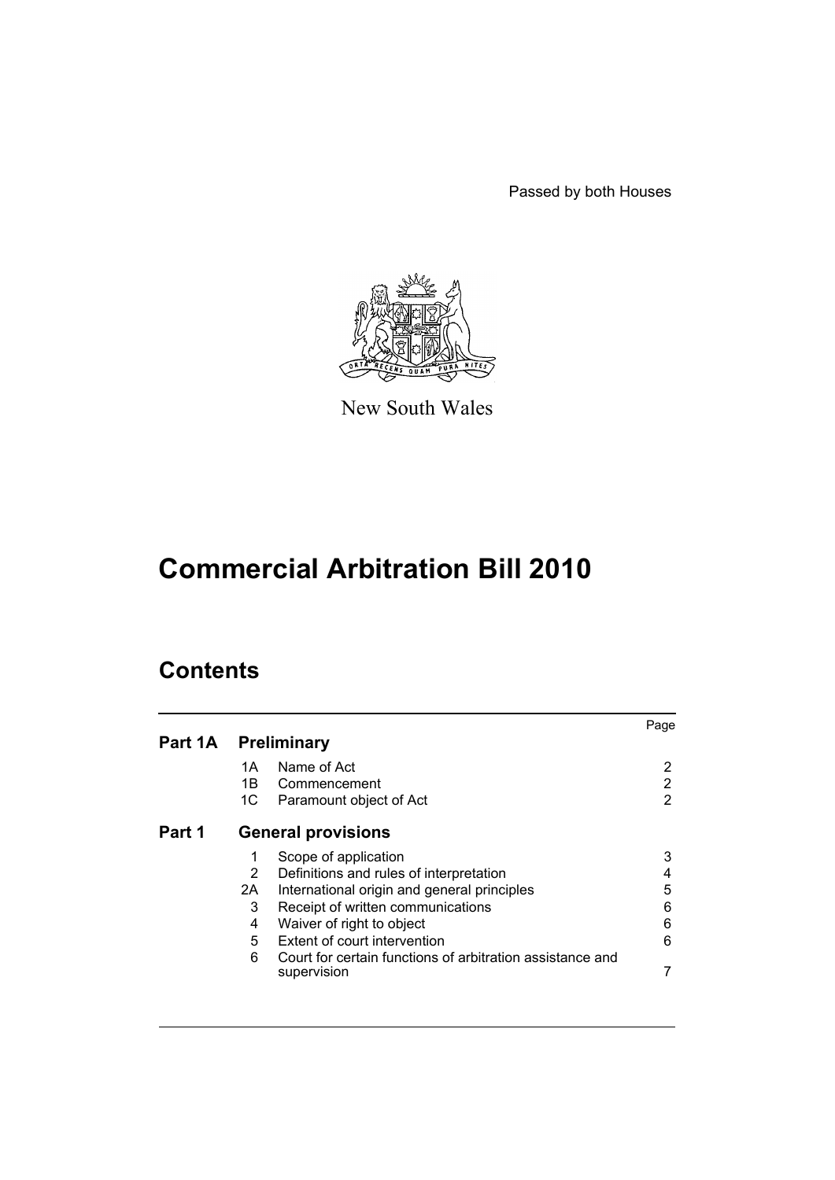Passed by both Houses



New South Wales

# **Commercial Arbitration Bill 2010**

# **Contents**

|                     |                |                                                                          | Page |
|---------------------|----------------|--------------------------------------------------------------------------|------|
| Part 1A Preliminary |                |                                                                          |      |
|                     | 1A             | Name of Act                                                              | 2    |
|                     | 1B             | Commencement                                                             | 2    |
|                     | 1C             | Paramount object of Act                                                  | 2    |
| Part 1              |                | <b>General provisions</b>                                                |      |
|                     | 1              | Scope of application                                                     | 3    |
|                     | $\overline{2}$ | Definitions and rules of interpretation                                  | 4    |
|                     | 2A             | International origin and general principles                              | 5    |
|                     | 3              | Receipt of written communications                                        | 6    |
|                     | 4              | Waiver of right to object                                                | 6    |
|                     | 5              | Extent of court intervention                                             | 6    |
|                     | 6              | Court for certain functions of arbitration assistance and<br>supervision |      |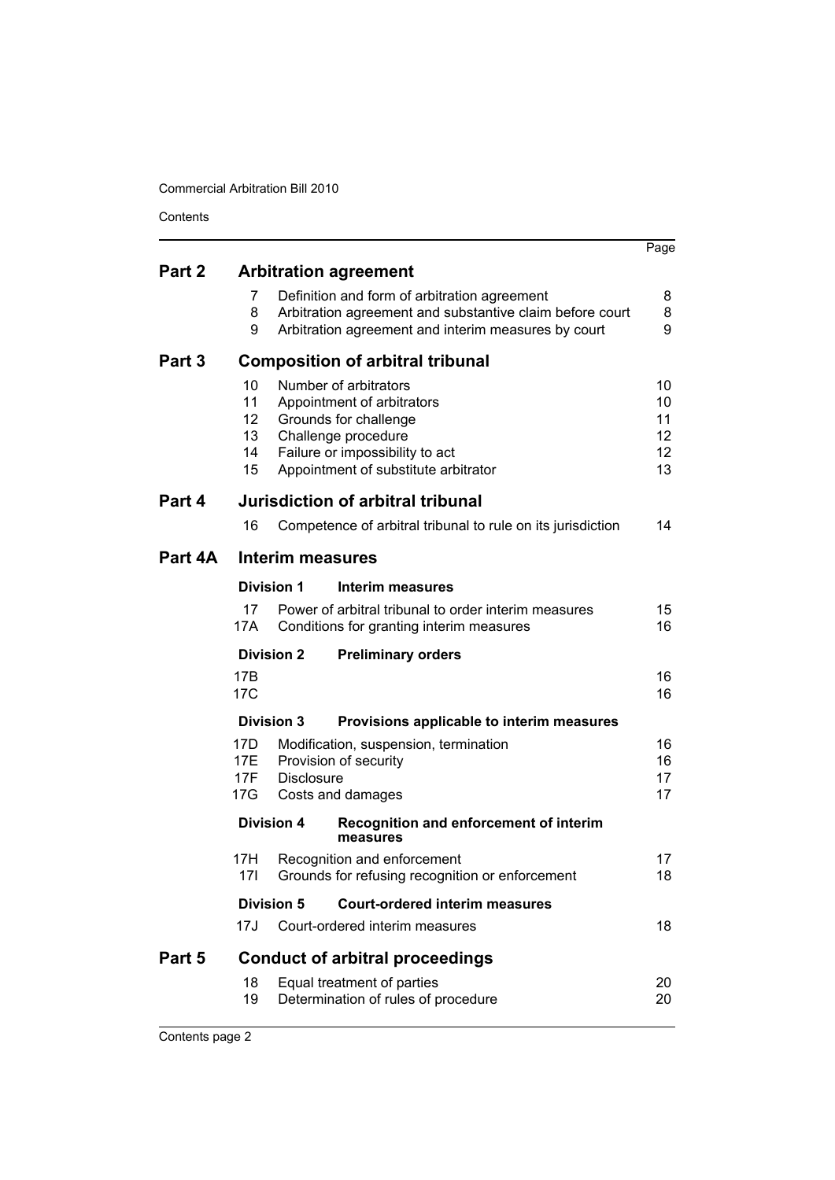| Contents |                                  |                   |                                                                                                                                                                                |                                  |
|----------|----------------------------------|-------------------|--------------------------------------------------------------------------------------------------------------------------------------------------------------------------------|----------------------------------|
|          |                                  |                   |                                                                                                                                                                                | Page                             |
| Part 2   |                                  |                   | <b>Arbitration agreement</b>                                                                                                                                                   |                                  |
|          | 7<br>8<br>9                      |                   | Definition and form of arbitration agreement<br>Arbitration agreement and substantive claim before court<br>Arbitration agreement and interim measures by court                | 8<br>8<br>9                      |
| Part 3   |                                  |                   | <b>Composition of arbitral tribunal</b>                                                                                                                                        |                                  |
|          | 10<br>11<br>12<br>13<br>14<br>15 |                   | Number of arbitrators<br>Appointment of arbitrators<br>Grounds for challenge<br>Challenge procedure<br>Failure or impossibility to act<br>Appointment of substitute arbitrator | 10<br>10<br>11<br>12<br>12<br>13 |
| Part 4   |                                  |                   | Jurisdiction of arbitral tribunal                                                                                                                                              |                                  |
|          | 16                               |                   | Competence of arbitral tribunal to rule on its jurisdiction                                                                                                                    | 14                               |
| Part 4A  |                                  | Interim measures  |                                                                                                                                                                                |                                  |
|          |                                  | <b>Division 1</b> | Interim measures                                                                                                                                                               |                                  |
|          | 17<br>17A                        |                   | Power of arbitral tribunal to order interim measures<br>Conditions for granting interim measures                                                                               | 15<br>16                         |
|          |                                  | <b>Division 2</b> | <b>Preliminary orders</b>                                                                                                                                                      |                                  |
|          | 17B<br>17C                       |                   |                                                                                                                                                                                | 16<br>16                         |
|          |                                  | <b>Division 3</b> | Provisions applicable to interim measures                                                                                                                                      |                                  |
|          | 17D<br>17E<br>17F<br>17G         | <b>Disclosure</b> | Modification, suspension, termination<br>Provision of security<br>Costs and damages                                                                                            | 16<br>16<br>17<br>17             |
|          |                                  | <b>Division 4</b> | Recognition and enforcement of interim<br>measures                                                                                                                             |                                  |
|          | 17H<br>17 <sup>1</sup>           |                   | Recognition and enforcement<br>Grounds for refusing recognition or enforcement                                                                                                 | 17<br>18                         |
|          |                                  | <b>Division 5</b> | <b>Court-ordered interim measures</b>                                                                                                                                          |                                  |
|          | 17J                              |                   | Court-ordered interim measures                                                                                                                                                 | 18                               |
| Part 5   |                                  |                   | <b>Conduct of arbitral proceedings</b>                                                                                                                                         |                                  |
|          | 18<br>19                         |                   | Equal treatment of parties<br>Determination of rules of procedure                                                                                                              | 20<br>20                         |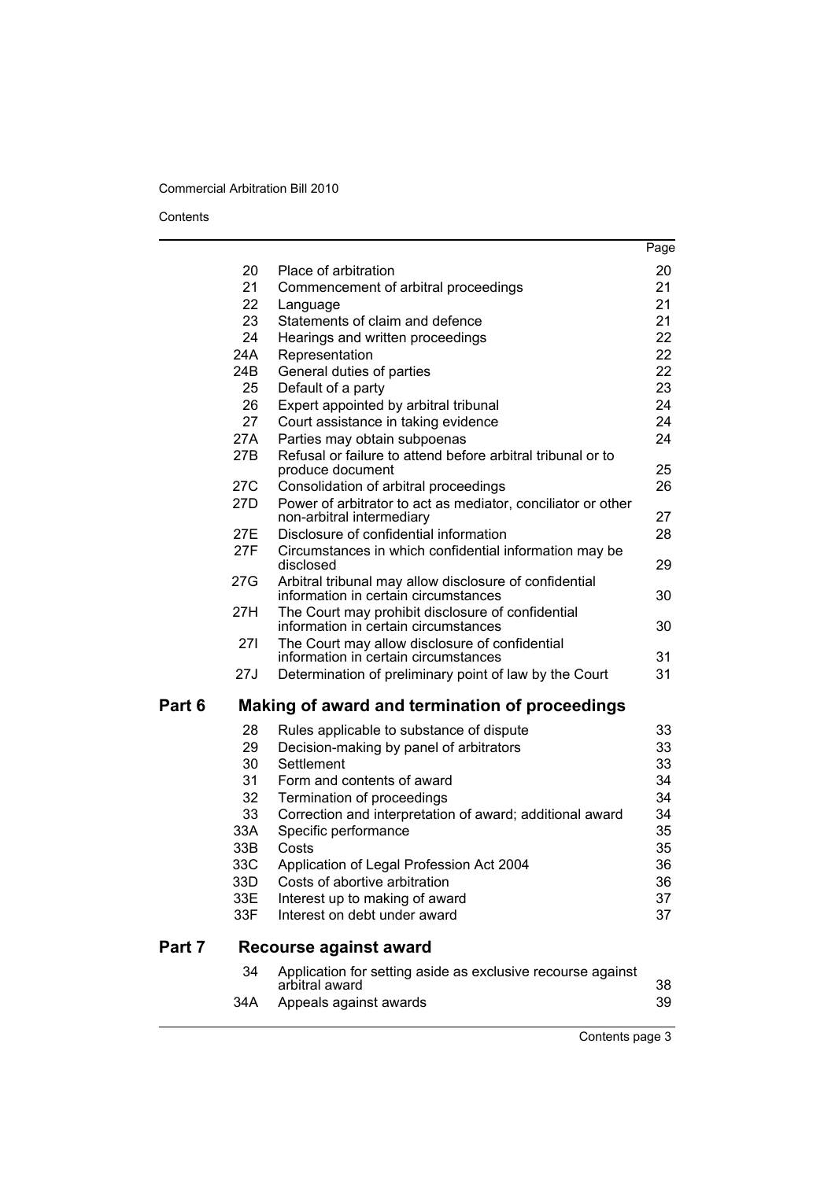### Contents

|        |            |                                                                                                | Page     |
|--------|------------|------------------------------------------------------------------------------------------------|----------|
|        | 20         | Place of arbitration                                                                           | 20       |
|        | 21         | Commencement of arbitral proceedings                                                           | 21       |
|        | 22         | Language                                                                                       | 21       |
|        | 23         | Statements of claim and defence                                                                | 21       |
|        | 24         | Hearings and written proceedings                                                               | 22       |
|        | 24A        | Representation                                                                                 | 22       |
|        | 24B        | General duties of parties                                                                      | 22       |
|        | 25         | Default of a party                                                                             | 23       |
|        | 26         | Expert appointed by arbitral tribunal                                                          | 24       |
|        | 27         | Court assistance in taking evidence                                                            | 24       |
|        | 27A        | Parties may obtain subpoenas                                                                   | 24       |
|        | 27B        | Refusal or failure to attend before arbitral tribunal or to<br>produce document                | 25       |
|        | 27C        | Consolidation of arbitral proceedings                                                          | 26       |
|        | 27D        | Power of arbitrator to act as mediator, conciliator or other<br>non-arbitral intermediary      | 27       |
|        | 27E        | Disclosure of confidential information                                                         | 28       |
|        | 27F        | Circumstances in which confidential information may be<br>disclosed                            | 29       |
|        | 27G        | Arbitral tribunal may allow disclosure of confidential<br>information in certain circumstances | 30       |
|        | 27H        | The Court may prohibit disclosure of confidential<br>information in certain circumstances      | 30       |
|        | 271        | The Court may allow disclosure of confidential<br>information in certain circumstances         | 31       |
|        | 27J        | Determination of preliminary point of law by the Court                                         | 31       |
| Part 6 |            | Making of award and termination of proceedings                                                 |          |
|        | 28         | Rules applicable to substance of dispute                                                       | 33       |
|        | 29         | Decision-making by panel of arbitrators                                                        | 33       |
|        | 30         | Settlement                                                                                     | 33       |
|        | 31         | Form and contents of award                                                                     | 34       |
|        | 32         | Termination of proceedings                                                                     | 34       |
|        | 33         | Correction and interpretation of award; additional award                                       | 34       |
|        | 33A<br>33B | Specific performance<br>Costs                                                                  | 35<br>35 |
|        | 33C        | Application of Legal Profession Act 2004                                                       | 36       |
|        | 33D        | Costs of abortive arbitration                                                                  | 36       |
|        | 33E        | Interest up to making of award                                                                 | 37       |
|        | 33F        | Interest on debt under award                                                                   | 37       |
| Part 7 |            | Recourse against award                                                                         |          |
|        | 34         | Application for setting aside as exclusive recourse against<br>arbitral award                  | 38       |
|        | 34A        | Appeals against awards                                                                         | 39       |

Contents page 3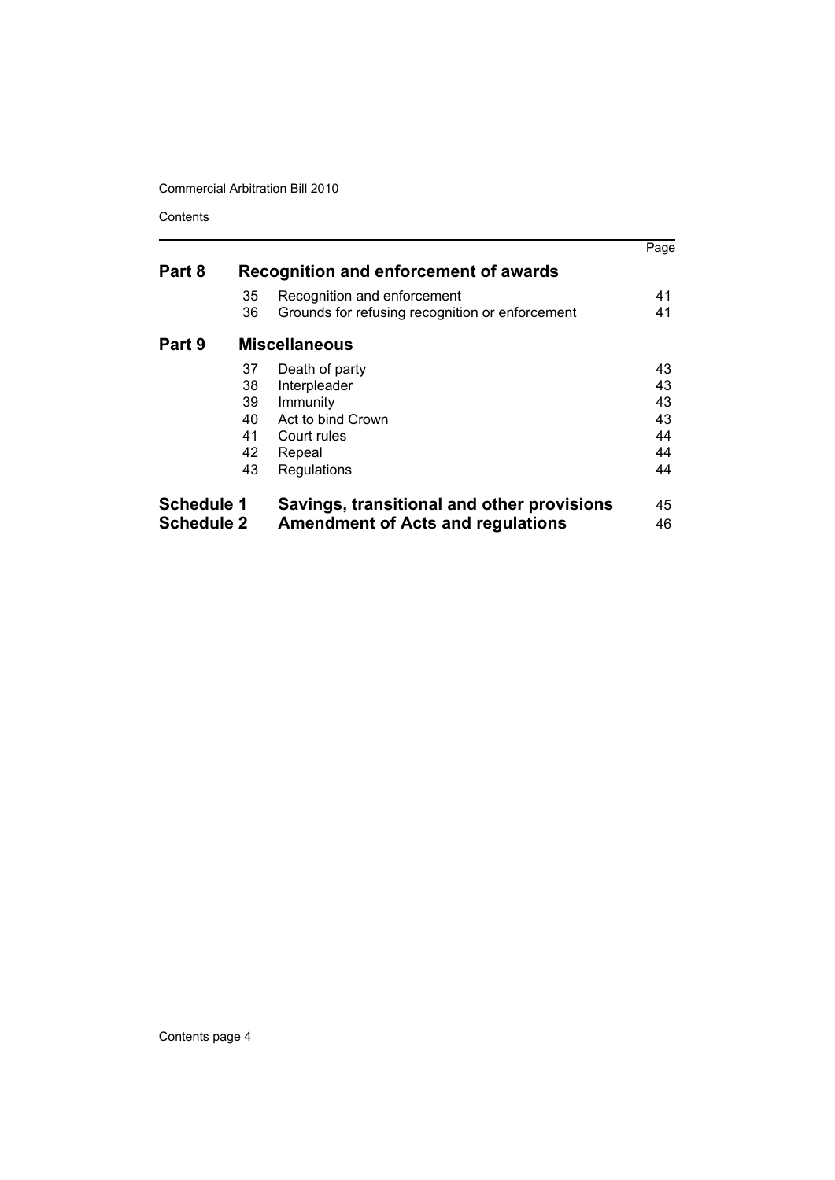Contents

|                   |    |                                                 | Page |
|-------------------|----|-------------------------------------------------|------|
| Part 8            |    | Recognition and enforcement of awards           |      |
|                   | 35 | Recognition and enforcement                     | 41   |
|                   | 36 | Grounds for refusing recognition or enforcement | 41   |
| Part 9            |    | <b>Miscellaneous</b>                            |      |
|                   | 37 | Death of party                                  | 43   |
|                   | 38 | Interpleader                                    | 43   |
|                   | 39 | Immunity                                        | 43   |
|                   | 40 | Act to bind Crown                               | 43   |
|                   | 41 | Court rules                                     | 44   |
|                   | 42 | Repeal                                          | 44   |
|                   | 43 | Regulations                                     | 44   |
| <b>Schedule 1</b> |    | Savings, transitional and other provisions      | 45   |
| <b>Schedule 2</b> |    | <b>Amendment of Acts and regulations</b>        | 46   |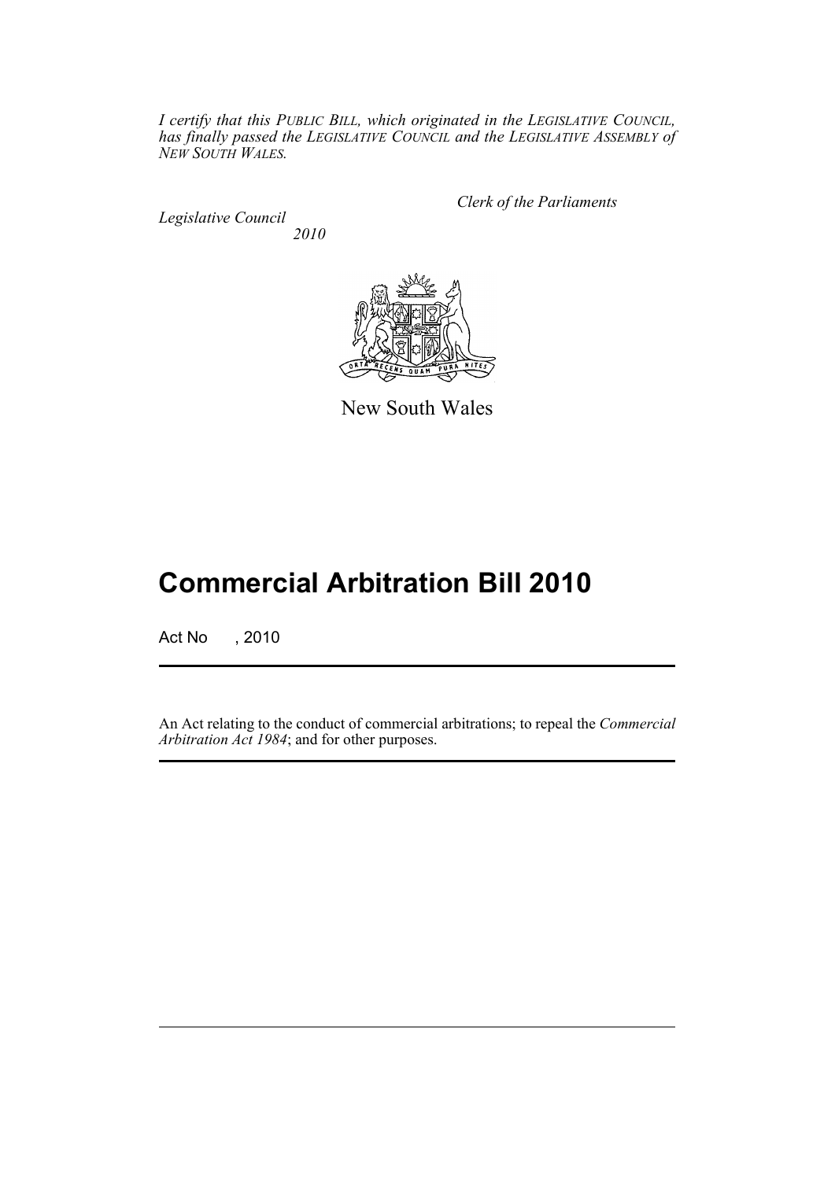*I certify that this PUBLIC BILL, which originated in the LEGISLATIVE COUNCIL, has finally passed the LEGISLATIVE COUNCIL and the LEGISLATIVE ASSEMBLY of NEW SOUTH WALES.*

*Legislative Council 2010* *Clerk of the Parliaments*



New South Wales

# **Commercial Arbitration Bill 2010**

Act No , 2010

An Act relating to the conduct of commercial arbitrations; to repeal the *Commercial Arbitration Act 1984*; and for other purposes.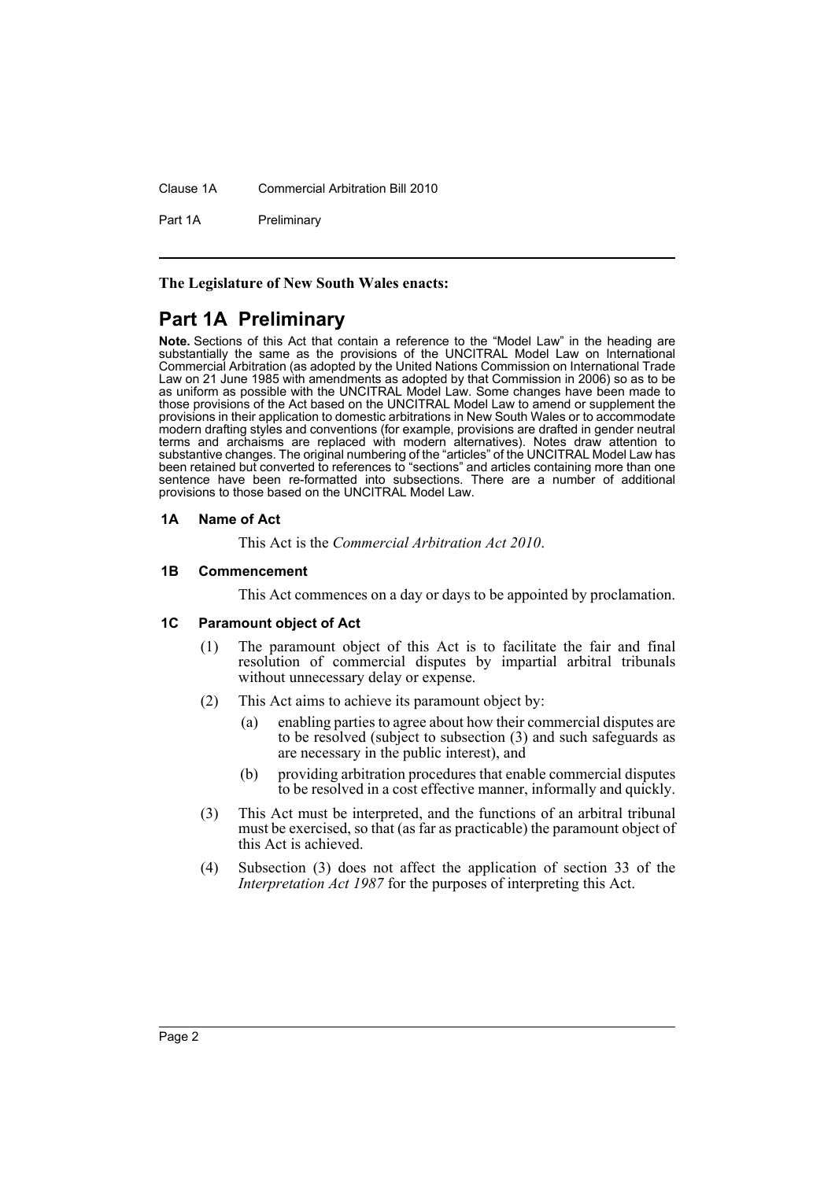Clause 1A Commercial Arbitration Bill 2010

Part 1A Preliminary

**The Legislature of New South Wales enacts:**

# <span id="page-5-0"></span>**Part 1A Preliminary**

**Note.** Sections of this Act that contain a reference to the "Model Law" in the heading are substantially the same as the provisions of the UNCITRAL Model Law on International Commercial Arbitration (as adopted by the United Nations Commission on International Trade Law on 21 June 1985 with amendments as adopted by that Commission in 2006) so as to be as uniform as possible with the UNCITRAL Model Law. Some changes have been made to those provisions of the Act based on the UNCITRAL Model Law to amend or supplement the provisions in their application to domestic arbitrations in New South Wales or to accommodate modern drafting styles and conventions (for example, provisions are drafted in gender neutral terms and archaisms are replaced with modern alternatives). Notes draw attention to substantive changes. The original numbering of the "articles" of the UNCITRAL Model Law has been retained but converted to references to "sections" and articles containing more than one sentence have been re-formatted into subsections. There are a number of additional provisions to those based on the UNCITRAL Model Law.

# <span id="page-5-1"></span>**1A Name of Act**

This Act is the *Commercial Arbitration Act 2010*.

### <span id="page-5-2"></span>**1B Commencement**

This Act commences on a day or days to be appointed by proclamation.

# <span id="page-5-3"></span>**1C Paramount object of Act**

- (1) The paramount object of this Act is to facilitate the fair and final resolution of commercial disputes by impartial arbitral tribunals without unnecessary delay or expense.
- (2) This Act aims to achieve its paramount object by:
	- (a) enabling parties to agree about how their commercial disputes are to be resolved (subject to subsection (3) and such safeguards as are necessary in the public interest), and
	- (b) providing arbitration procedures that enable commercial disputes to be resolved in a cost effective manner, informally and quickly.
- (3) This Act must be interpreted, and the functions of an arbitral tribunal must be exercised, so that (as far as practicable) the paramount object of this Act is achieved.
- (4) Subsection (3) does not affect the application of section 33 of the *Interpretation Act 1987* for the purposes of interpreting this Act.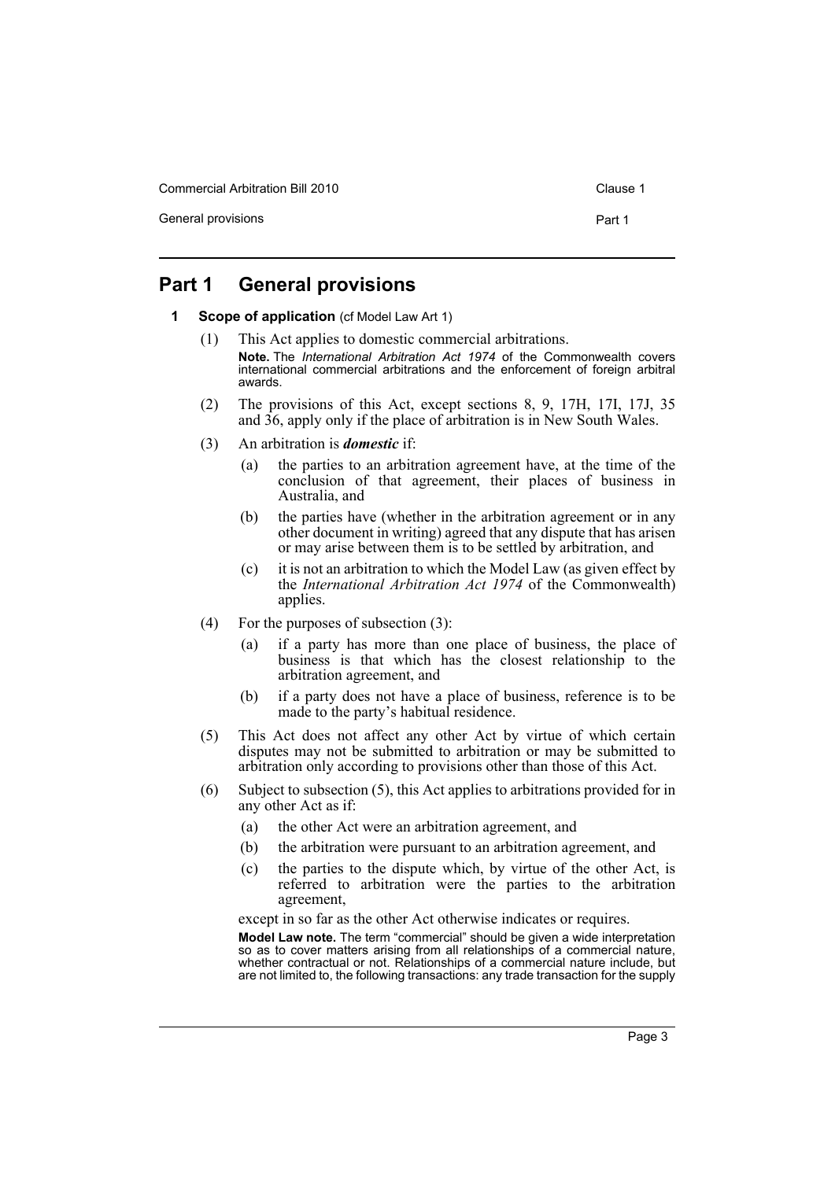Commercial Arbitration Bill 2010 Clause 1 Clause 1

General provisions **Part 1** 

# <span id="page-6-1"></span><span id="page-6-0"></span>**Part 1 General provisions**

- **1 Scope of application** (cf Model Law Art 1)
	- (1) This Act applies to domestic commercial arbitrations. **Note.** The *International Arbitration Act 1974* of the Commonwealth covers international commercial arbitrations and the enforcement of foreign arbitral awards.
	- (2) The provisions of this Act, except sections 8, 9, 17H, 17I, 17J, 35 and 36, apply only if the place of arbitration is in New South Wales.
	- (3) An arbitration is *domestic* if:
		- (a) the parties to an arbitration agreement have, at the time of the conclusion of that agreement, their places of business in Australia, and
		- (b) the parties have (whether in the arbitration agreement or in any other document in writing) agreed that any dispute that has arisen or may arise between them is to be settled by arbitration, and
		- (c) it is not an arbitration to which the Model Law (as given effect by the *International Arbitration Act 1974* of the Commonwealth) applies.
	- (4) For the purposes of subsection (3):
		- (a) if a party has more than one place of business, the place of business is that which has the closest relationship to the arbitration agreement, and
		- (b) if a party does not have a place of business, reference is to be made to the party's habitual residence.
	- (5) This Act does not affect any other Act by virtue of which certain disputes may not be submitted to arbitration or may be submitted to arbitration only according to provisions other than those of this Act.
	- (6) Subject to subsection (5), this Act applies to arbitrations provided for in any other Act as if:
		- (a) the other Act were an arbitration agreement, and
		- (b) the arbitration were pursuant to an arbitration agreement, and
		- (c) the parties to the dispute which, by virtue of the other Act, is referred to arbitration were the parties to the arbitration agreement,

except in so far as the other Act otherwise indicates or requires.

**Model Law note.** The term "commercial" should be given a wide interpretation so as to cover matters arising from all relationships of a commercial nature, whether contractual or not. Relationships of a commercial nature include, but are not limited to, the following transactions: any trade transaction for the supply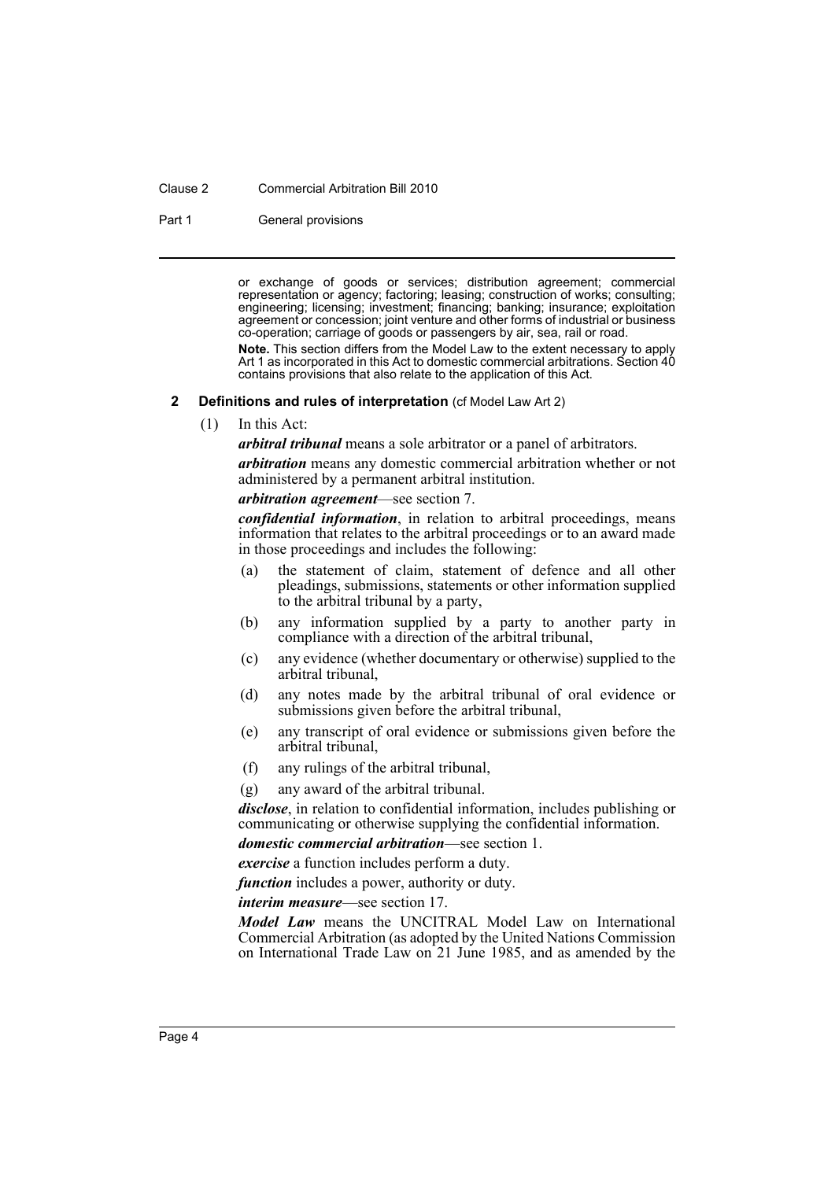#### Clause 2 Commercial Arbitration Bill 2010

Part 1 General provisions

or exchange of goods or services; distribution agreement; commercial representation or agency; factoring; leasing; construction of works; consulting; engineering; licensing; investment; financing; banking; insurance; exploitation agreement or concession; joint venture and other forms of industrial or business co-operation; carriage of goods or passengers by air, sea, rail or road.

**Note.** This section differs from the Model Law to the extent necessary to apply Art 1 as incorporated in this Act to domestic commercial arbitrations. Section 40 contains provisions that also relate to the application of this Act.

#### <span id="page-7-0"></span>**2 Definitions and rules of interpretation** (cf Model Law Art 2)

(1) In this Act:

*arbitral tribunal* means a sole arbitrator or a panel of arbitrators.

*arbitration* means any domestic commercial arbitration whether or not administered by a permanent arbitral institution.

*arbitration agreement*—see section 7.

*confidential information*, in relation to arbitral proceedings, means information that relates to the arbitral proceedings or to an award made in those proceedings and includes the following:

- (a) the statement of claim, statement of defence and all other pleadings, submissions, statements or other information supplied to the arbitral tribunal by a party,
- (b) any information supplied by a party to another party in compliance with a direction of the arbitral tribunal,
- (c) any evidence (whether documentary or otherwise) supplied to the arbitral tribunal,
- (d) any notes made by the arbitral tribunal of oral evidence or submissions given before the arbitral tribunal,
- (e) any transcript of oral evidence or submissions given before the arbitral tribunal,
- (f) any rulings of the arbitral tribunal,
- (g) any award of the arbitral tribunal.

*disclose*, in relation to confidential information, includes publishing or communicating or otherwise supplying the confidential information.

*domestic commercial arbitration*—see section 1.

*exercise* a function includes perform a duty.

*function* includes a power, authority or duty.

*interim measure*—see section 17.

*Model Law* means the UNCITRAL Model Law on International Commercial Arbitration (as adopted by the United Nations Commission on International Trade Law on 21 June 1985, and as amended by the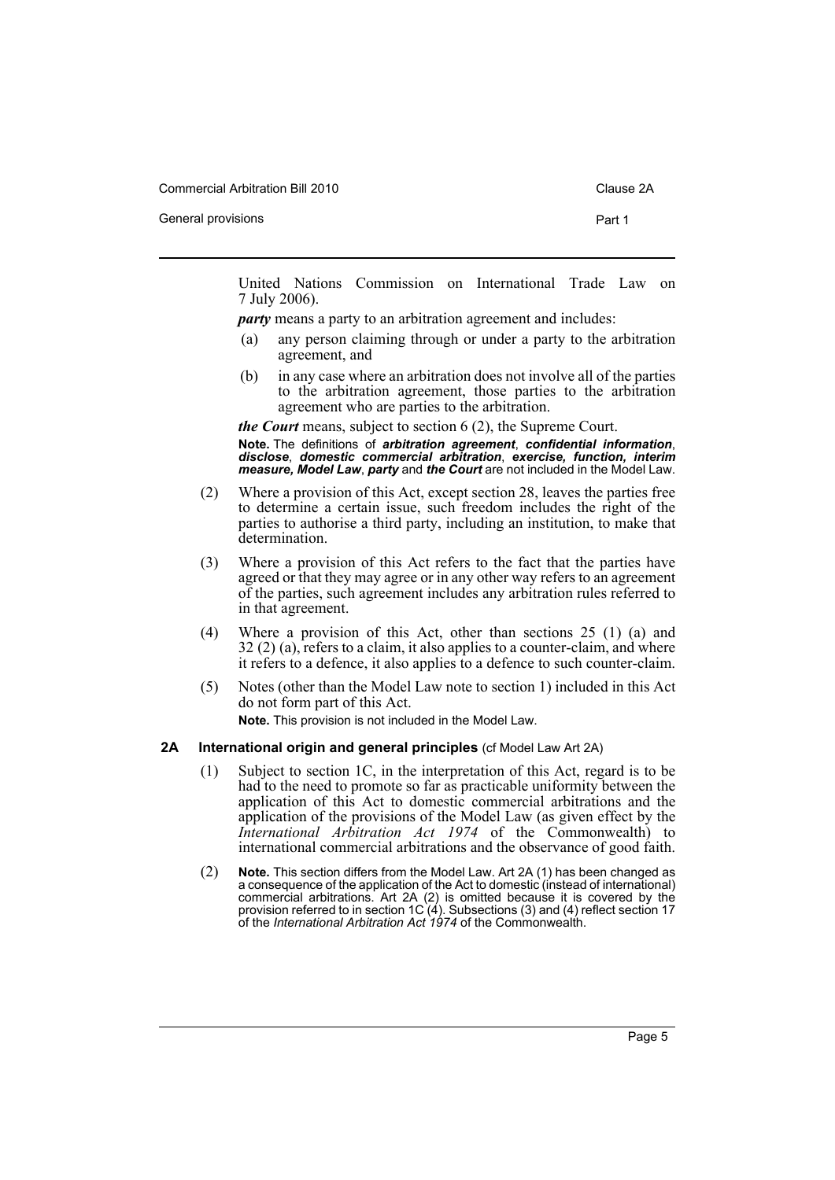Commercial Arbitration Bill 2010 Commercial Arbitration Bill 2010

General provisions **Part 1** 

United Nations Commission on International Trade Law on 7 July 2006).

*party* means a party to an arbitration agreement and includes:

- (a) any person claiming through or under a party to the arbitration agreement, and
- (b) in any case where an arbitration does not involve all of the parties to the arbitration agreement, those parties to the arbitration agreement who are parties to the arbitration.

*the Court* means, subject to section 6 (2), the Supreme Court. **Note.** The definitions of *arbitration agreement*, *confidential information*, *disclose*, *domestic commercial arbitration*, *exercise, function, interim measure, Model Law*, *party* and *the Court* are not included in the Model Law.

- (2) Where a provision of this Act, except section 28, leaves the parties free to determine a certain issue, such freedom includes the right of the parties to authorise a third party, including an institution, to make that determination.
- (3) Where a provision of this Act refers to the fact that the parties have agreed or that they may agree or in any other way refers to an agreement of the parties, such agreement includes any arbitration rules referred to in that agreement.
- (4) Where a provision of this Act, other than sections 25 (1) (a) and 32 (2) (a), refers to a claim, it also applies to a counter-claim, and where it refers to a defence, it also applies to a defence to such counter-claim.
- (5) Notes (other than the Model Law note to section 1) included in this Act do not form part of this Act. **Note.** This provision is not included in the Model Law.

#### <span id="page-8-0"></span>**2A International origin and general principles** (cf Model Law Art 2A)

- (1) Subject to section 1C, in the interpretation of this Act, regard is to be had to the need to promote so far as practicable uniformity between the application of this Act to domestic commercial arbitrations and the application of the provisions of the Model Law (as given effect by the *International Arbitration Act 1974* of the Commonwealth) to international commercial arbitrations and the observance of good faith.
- (2) **Note.** This section differs from the Model Law. Art 2A (1) has been changed as a consequence of the application of the Act to domestic (instead of international) commercial arbitrations. Art 2A (2) is omitted because it is covered by the provision referred to in section 1C (4). Subsections (3) and (4) reflect section 17 of the *International Arbitration Act 1974* of the Commonwealth.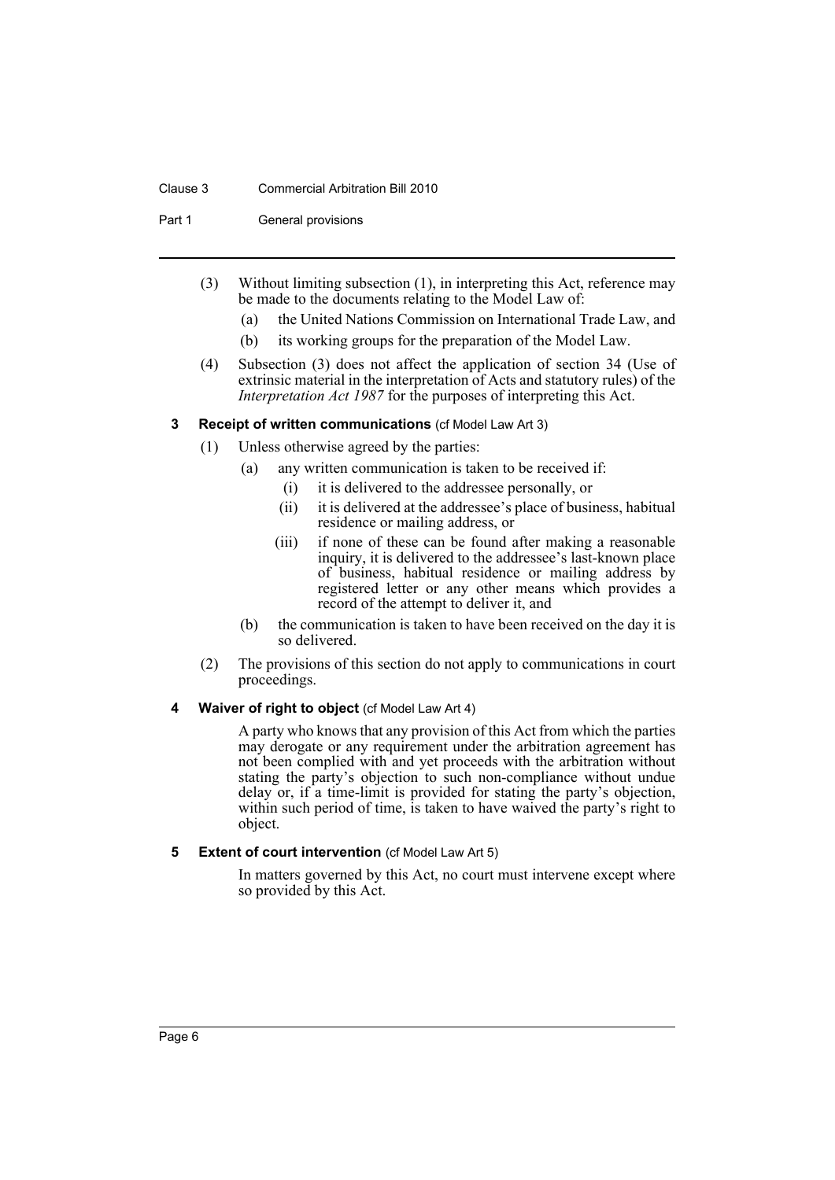### Clause 3 Commercial Arbitration Bill 2010

Part 1 General provisions

- (3) Without limiting subsection (1), in interpreting this Act, reference may be made to the documents relating to the Model Law of:
	- (a) the United Nations Commission on International Trade Law, and
	- (b) its working groups for the preparation of the Model Law.
- (4) Subsection (3) does not affect the application of section 34 (Use of extrinsic material in the interpretation of Acts and statutory rules) of the *Interpretation Act 1987* for the purposes of interpreting this Act.
- <span id="page-9-0"></span>**3 Receipt of written communications** (cf Model Law Art 3)
	- (1) Unless otherwise agreed by the parties:
		- (a) any written communication is taken to be received if:
			- (i) it is delivered to the addressee personally, or
			- (ii) it is delivered at the addressee's place of business, habitual residence or mailing address, or
			- (iii) if none of these can be found after making a reasonable inquiry, it is delivered to the addressee's last-known place of business, habitual residence or mailing address by registered letter or any other means which provides a record of the attempt to deliver it, and
		- (b) the communication is taken to have been received on the day it is so delivered.
	- (2) The provisions of this section do not apply to communications in court proceedings.

### <span id="page-9-1"></span>**4 Waiver of right to object** (cf Model Law Art 4)

A party who knows that any provision of this Act from which the parties may derogate or any requirement under the arbitration agreement has not been complied with and yet proceeds with the arbitration without stating the party's objection to such non-compliance without undue delay or, if a time-limit is provided for stating the party's objection, within such period of time, is taken to have waived the party's right to object.

# <span id="page-9-2"></span>**5** Extent of court intervention (cf Model Law Art 5)

In matters governed by this Act, no court must intervene except where so provided by this Act.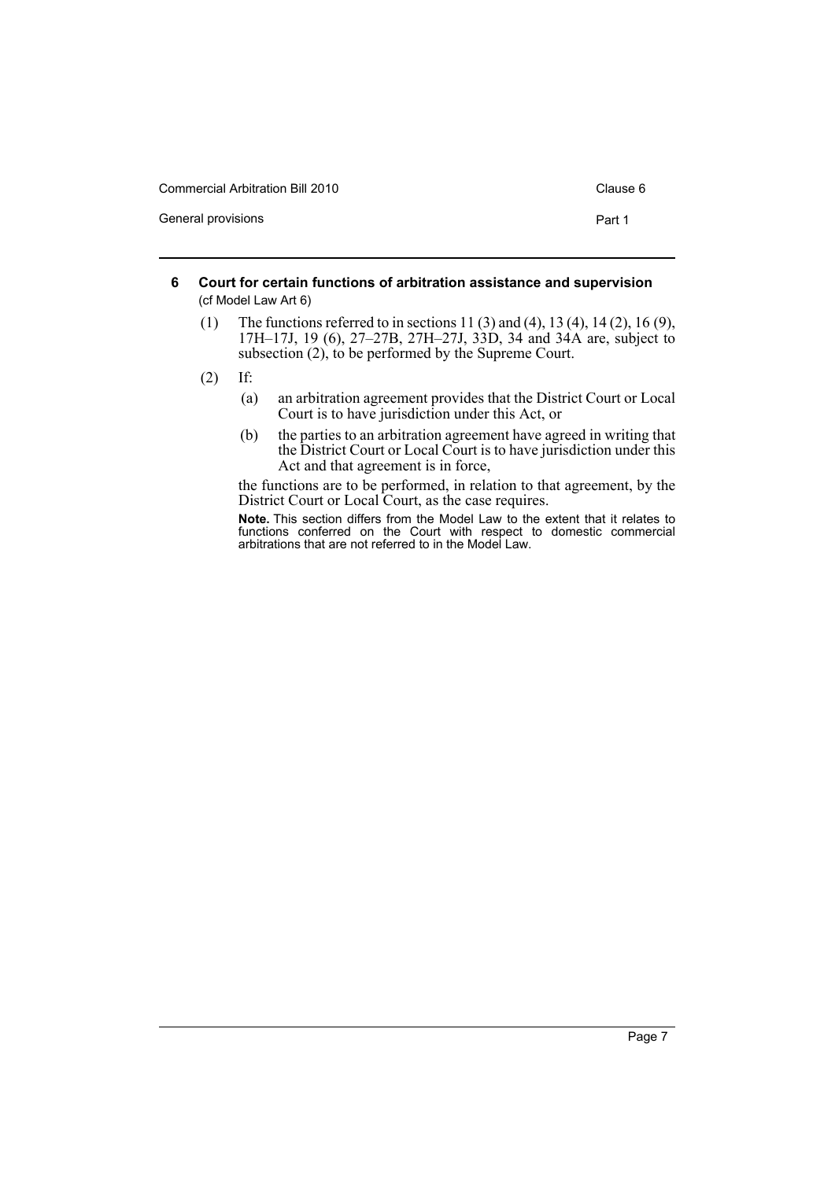| <b>Commercial Arbitration Bill 2010</b> | Clause 6 |
|-----------------------------------------|----------|
| General provisions                      | Part 1   |

- <span id="page-10-0"></span>**6 Court for certain functions of arbitration assistance and supervision**  (cf Model Law Art 6)
	- (1) The functions referred to in sections 11 (3) and (4), 13 (4), 14 (2), 16 (9), 17H–17J, 19 (6), 27–27B, 27H–27J, 33D, 34 and 34A are, subject to subsection (2), to be performed by the Supreme Court.
	- (2) If:
		- (a) an arbitration agreement provides that the District Court or Local Court is to have jurisdiction under this Act, or
		- (b) the parties to an arbitration agreement have agreed in writing that the District Court or Local Court is to have jurisdiction under this Act and that agreement is in force,

the functions are to be performed, in relation to that agreement, by the District Court or Local Court, as the case requires.

**Note.** This section differs from the Model Law to the extent that it relates to functions conferred on the Court with respect to domestic commercial arbitrations that are not referred to in the Model Law.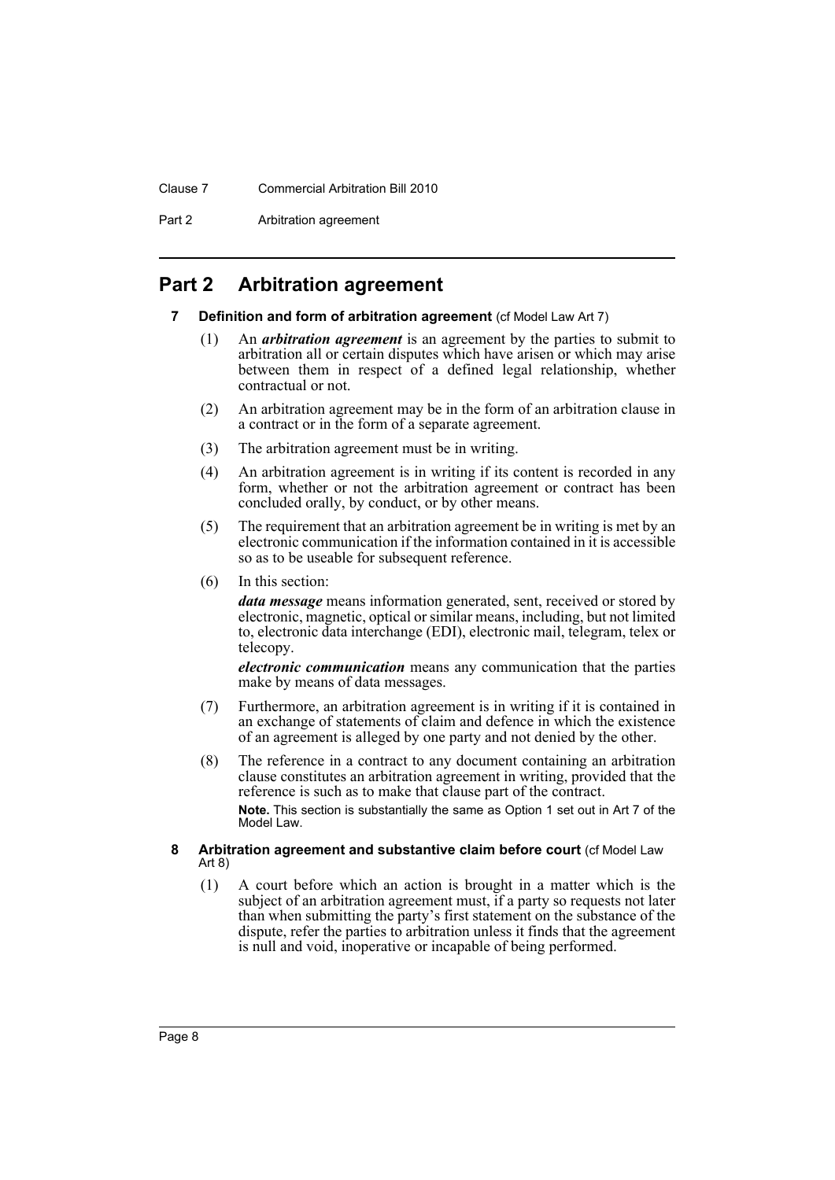### Clause 7 Commercial Arbitration Bill 2010

Part 2 Arbitration agreement

# <span id="page-11-1"></span><span id="page-11-0"></span>**Part 2 Arbitration agreement**

### **7** Definition and form of arbitration agreement (cf Model Law Art 7)

- (1) An *arbitration agreement* is an agreement by the parties to submit to arbitration all or certain disputes which have arisen or which may arise between them in respect of a defined legal relationship, whether contractual or not.
- (2) An arbitration agreement may be in the form of an arbitration clause in a contract or in the form of a separate agreement.
- (3) The arbitration agreement must be in writing.
- (4) An arbitration agreement is in writing if its content is recorded in any form, whether or not the arbitration agreement or contract has been concluded orally, by conduct, or by other means.
- (5) The requirement that an arbitration agreement be in writing is met by an electronic communication if the information contained in it is accessible so as to be useable for subsequent reference.
- (6) In this section:

*data message* means information generated, sent, received or stored by electronic, magnetic, optical or similar means, including, but not limited to, electronic data interchange (EDI), electronic mail, telegram, telex or telecopy.

*electronic communication* means any communication that the parties make by means of data messages.

- (7) Furthermore, an arbitration agreement is in writing if it is contained in an exchange of statements of claim and defence in which the existence of an agreement is alleged by one party and not denied by the other.
- (8) The reference in a contract to any document containing an arbitration clause constitutes an arbitration agreement in writing, provided that the reference is such as to make that clause part of the contract. **Note.** This section is substantially the same as Option 1 set out in Art 7 of the Model Law.

### <span id="page-11-2"></span>**8 Arbitration agreement and substantive claim before court (cf Model Law** Art 8)

(1) A court before which an action is brought in a matter which is the subject of an arbitration agreement must, if a party so requests not later than when submitting the party's first statement on the substance of the dispute, refer the parties to arbitration unless it finds that the agreement is null and void, inoperative or incapable of being performed.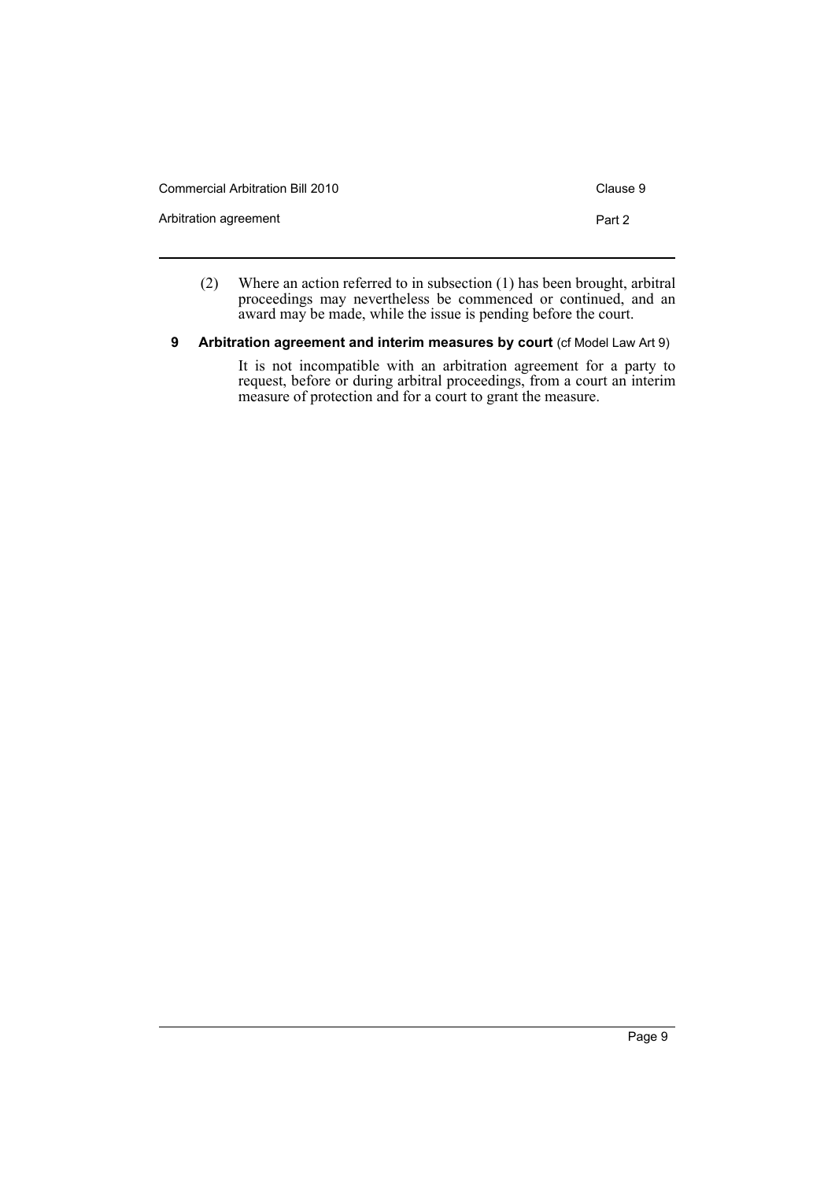| Commercial Arbitration Bill 2010 | Clause 9 |
|----------------------------------|----------|
| Arbitration agreement            | Part 2   |

- (2) Where an action referred to in subsection (1) has been brought, arbitral proceedings may nevertheless be commenced or continued, and an award may be made, while the issue is pending before the court.
- <span id="page-12-0"></span>**9 Arbitration agreement and interim measures by court (cf Model Law Art 9)**

It is not incompatible with an arbitration agreement for a party to request, before or during arbitral proceedings, from a court an interim measure of protection and for a court to grant the measure.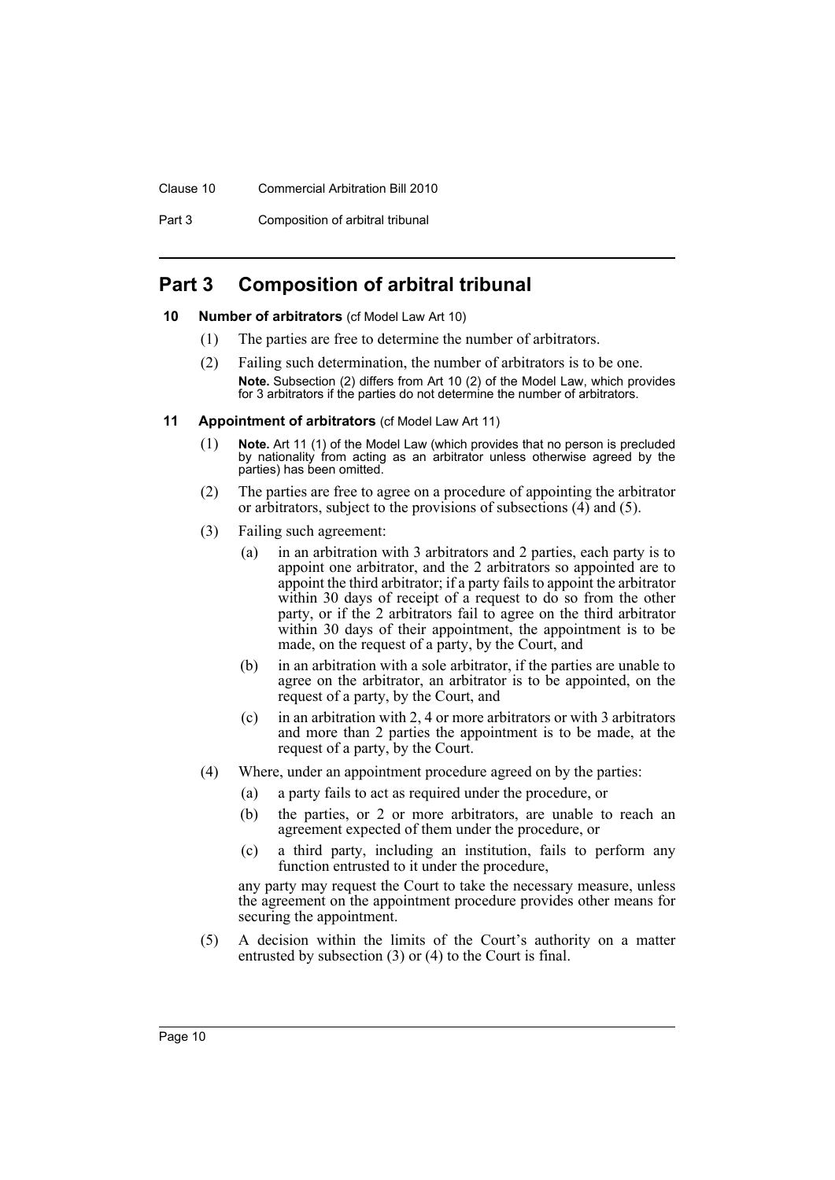### Clause 10 Commercial Arbitration Bill 2010

Part 3 Composition of arbitral tribunal

# <span id="page-13-0"></span>**Part 3 Composition of arbitral tribunal**

### <span id="page-13-1"></span>**10 Number of arbitrators** (cf Model Law Art 10)

- (1) The parties are free to determine the number of arbitrators.
- (2) Failing such determination, the number of arbitrators is to be one. **Note.** Subsection (2) differs from Art 10 (2) of the Model Law, which provides for 3 arbitrators if the parties do not determine the number of arbitrators.
- <span id="page-13-2"></span>**11 Appointment of arbitrators** (cf Model Law Art 11)
	- (1) **Note.** Art 11 (1) of the Model Law (which provides that no person is precluded by nationality from acting as an arbitrator unless otherwise agreed by the parties) has been omitted.
	- (2) The parties are free to agree on a procedure of appointing the arbitrator or arbitrators, subject to the provisions of subsections (4) and (5).
	- (3) Failing such agreement:
		- (a) in an arbitration with 3 arbitrators and 2 parties, each party is to appoint one arbitrator, and the 2 arbitrators so appointed are to appoint the third arbitrator; if a party fails to appoint the arbitrator within 30 days of receipt of a request to  $\phi$  so from the other party, or if the 2 arbitrators fail to agree on the third arbitrator within 30 days of their appointment, the appointment is to be made, on the request of a party, by the Court, and
		- (b) in an arbitration with a sole arbitrator, if the parties are unable to agree on the arbitrator, an arbitrator is to be appointed, on the request of a party, by the Court, and
		- (c) in an arbitration with 2, 4 or more arbitrators or with 3 arbitrators and more than 2 parties the appointment is to be made, at the request of a party, by the Court.
	- (4) Where, under an appointment procedure agreed on by the parties:
		- (a) a party fails to act as required under the procedure, or
		- (b) the parties, or 2 or more arbitrators, are unable to reach an agreement expected of them under the procedure, or
		- (c) a third party, including an institution, fails to perform any function entrusted to it under the procedure,

any party may request the Court to take the necessary measure, unless the agreement on the appointment procedure provides other means for securing the appointment.

(5) A decision within the limits of the Court's authority on a matter entrusted by subsection (3) or (4) to the Court is final.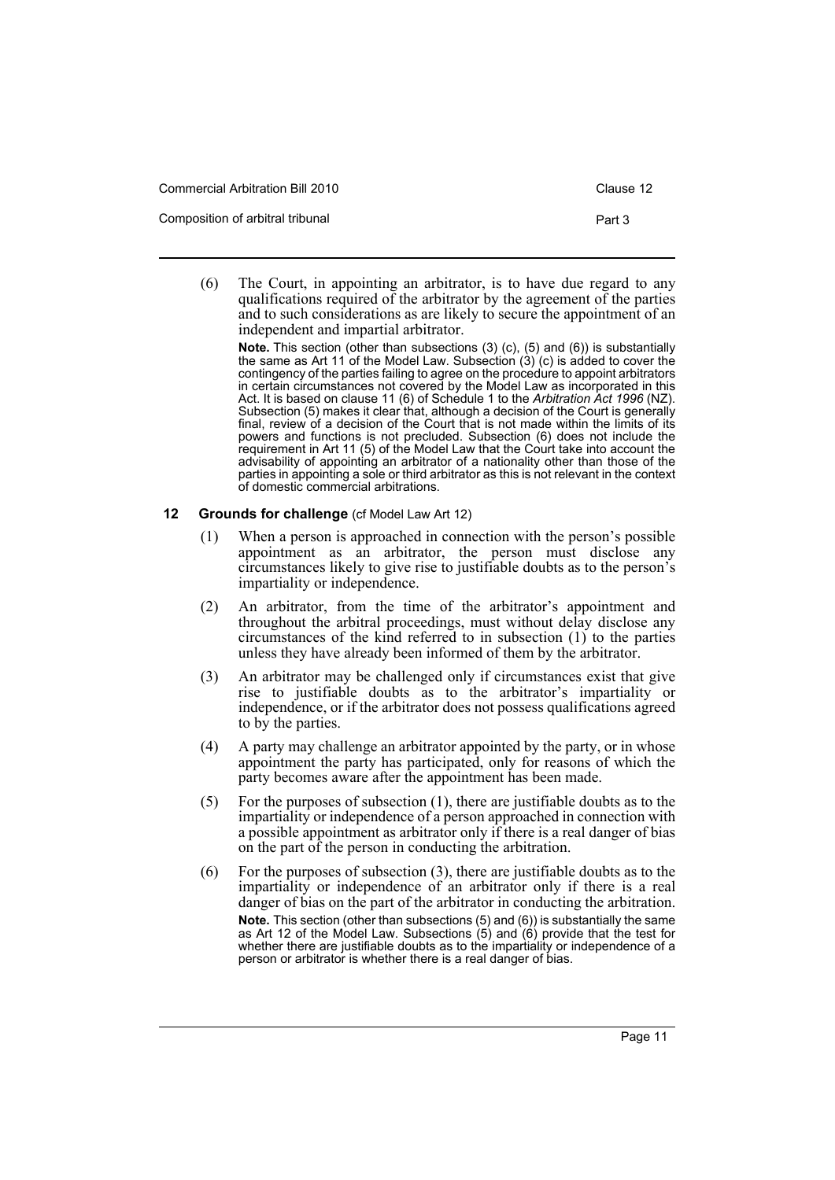| <b>Commercial Arbitration Bill 2010</b> | Clause 12 |
|-----------------------------------------|-----------|
| Composition of arbitral tribunal        | Part 3    |

(6) The Court, in appointing an arbitrator, is to have due regard to any qualifications required of the arbitrator by the agreement of the parties and to such considerations as are likely to secure the appointment of an independent and impartial arbitrator.

**Note.** This section (other than subsections (3) (c), (5) and (6)) is substantially the same as Art 11 of the Model Law. Subsection (3) (c) is added to cover the contingency of the parties failing to agree on the procedure to appoint arbitrators in certain circumstances not covered by the Model Law as incorporated in this Act. It is based on clause 11 (6) of Schedule 1 to the *Arbitration Act 1996* (NZ). Subsection (5) makes it clear that, although a decision of the Court is generally final, review of a decision of the Court that is not made within the limits of its powers and functions is not precluded. Subsection (6) does not include the requirement in Art 11 (5) of the Model Law that the Court take into account the advisability of appointing an arbitrator of a nationality other than those of the parties in appointing a sole or third arbitrator as this is not relevant in the context of domestic commercial arbitrations.

# <span id="page-14-0"></span>**12 Grounds for challenge** (cf Model Law Art 12)

- (1) When a person is approached in connection with the person's possible appointment as an arbitrator, the person must disclose any circumstances likely to give rise to justifiable doubts as to the person's impartiality or independence.
- (2) An arbitrator, from the time of the arbitrator's appointment and throughout the arbitral proceedings, must without delay disclose any circumstances of the kind referred to in subsection (1) to the parties unless they have already been informed of them by the arbitrator.
- (3) An arbitrator may be challenged only if circumstances exist that give rise to justifiable doubts as to the arbitrator's impartiality or independence, or if the arbitrator does not possess qualifications agreed to by the parties.
- (4) A party may challenge an arbitrator appointed by the party, or in whose appointment the party has participated, only for reasons of which the party becomes aware after the appointment has been made.
- (5) For the purposes of subsection (1), there are justifiable doubts as to the impartiality or independence of a person approached in connection with a possible appointment as arbitrator only if there is a real danger of bias on the part of the person in conducting the arbitration.
- (6) For the purposes of subsection (3), there are justifiable doubts as to the impartiality or independence of an arbitrator only if there is a real danger of bias on the part of the arbitrator in conducting the arbitration. **Note.** This section (other than subsections (5) and (6)) is substantially the same as Art 12 of the Model Law. Subsections (5) and (6) provide that the test for whether there are justifiable doubts as to the impartiality or independence of a person or arbitrator is whether there is a real danger of bias.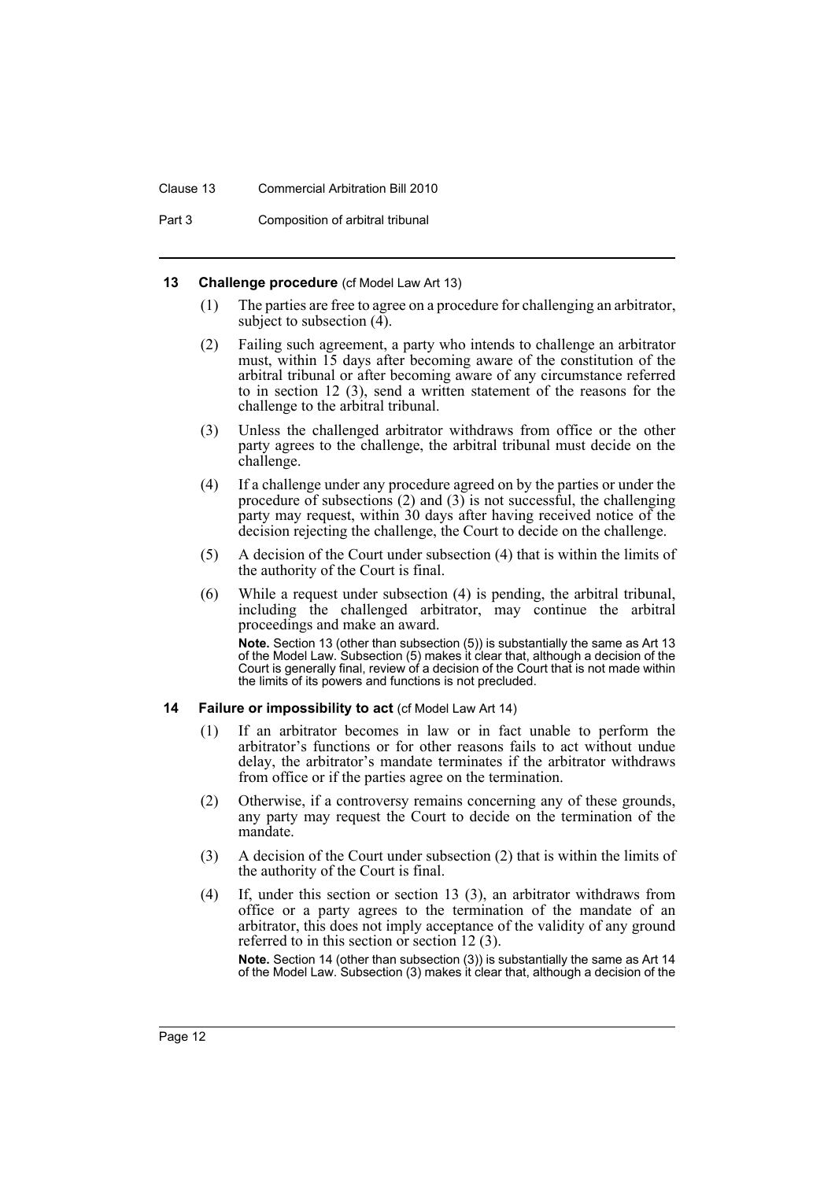### Clause 13 Commercial Arbitration Bill 2010

Part 3 Composition of arbitral tribunal

### <span id="page-15-0"></span>**13 Challenge procedure** (cf Model Law Art 13)

- (1) The parties are free to agree on a procedure for challenging an arbitrator, subject to subsection  $(\tilde{4})$ .
- (2) Failing such agreement, a party who intends to challenge an arbitrator must, within 15 days after becoming aware of the constitution of the arbitral tribunal or after becoming aware of any circumstance referred to in section 12 (3), send a written statement of the reasons for the challenge to the arbitral tribunal.
- (3) Unless the challenged arbitrator withdraws from office or the other party agrees to the challenge, the arbitral tribunal must decide on the challenge.
- (4) If a challenge under any procedure agreed on by the parties or under the procedure of subsections  $(2)$  and  $(3)$  is not successful, the challenging party may request, within 30 days after having received notice of the decision rejecting the challenge, the Court to decide on the challenge.
- (5) A decision of the Court under subsection (4) that is within the limits of the authority of the Court is final.
- (6) While a request under subsection (4) is pending, the arbitral tribunal, including the challenged arbitrator, may continue the arbitral proceedings and make an award. **Note.** Section 13 (other than subsection (5)) is substantially the same as Art 13

of the Model Law. Subsection (5) makes it clear that, although a decision of the Court is generally final, review of a decision of the Court that is not made within the limits of its powers and functions is not precluded.

### <span id="page-15-1"></span>**14 Failure or impossibility to act** (cf Model Law Art 14)

- (1) If an arbitrator becomes in law or in fact unable to perform the arbitrator's functions or for other reasons fails to act without undue delay, the arbitrator's mandate terminates if the arbitrator withdraws from office or if the parties agree on the termination.
- (2) Otherwise, if a controversy remains concerning any of these grounds, any party may request the Court to decide on the termination of the mandate.
- (3) A decision of the Court under subsection (2) that is within the limits of the authority of the Court is final.
- (4) If, under this section or section 13 (3), an arbitrator withdraws from office or a party agrees to the termination of the mandate of an arbitrator, this does not imply acceptance of the validity of any ground referred to in this section or section 12 (3).

**Note.** Section 14 (other than subsection (3)) is substantially the same as Art 14 of the Model Law. Subsection (3) makes it clear that, although a decision of the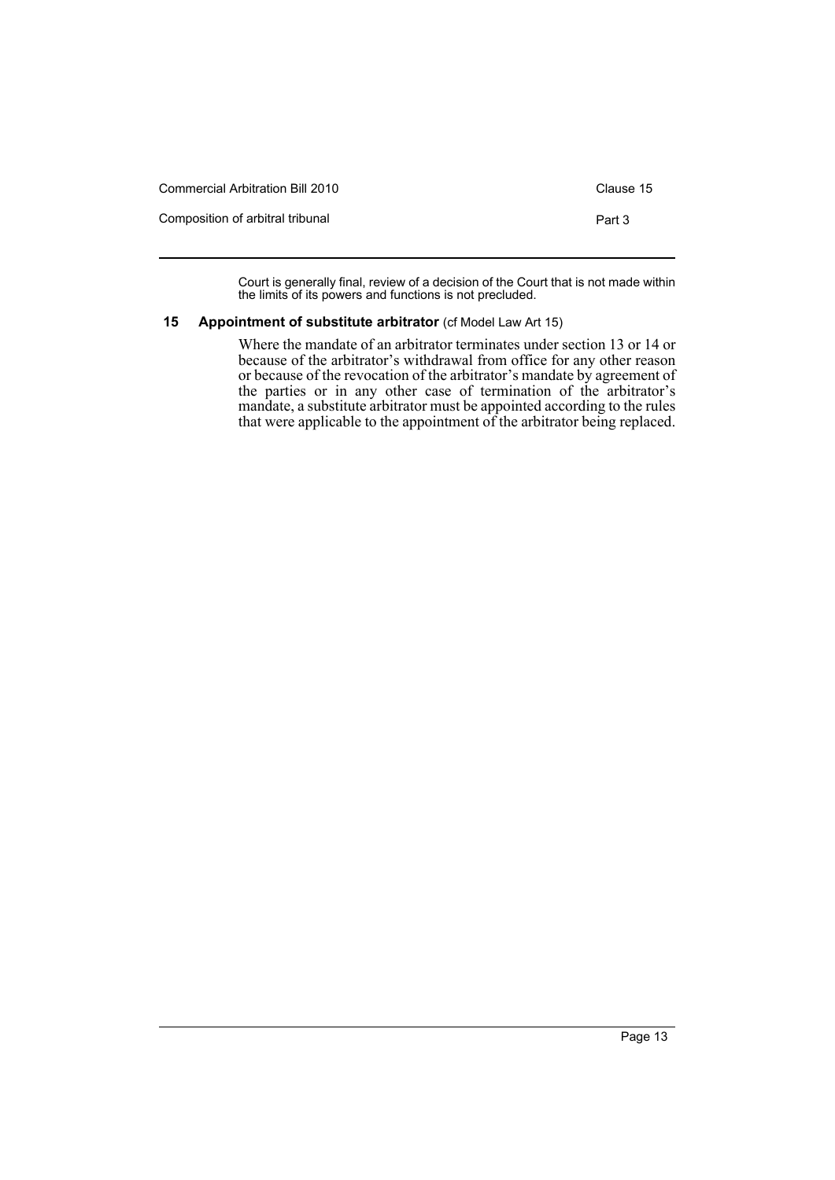| Commercial Arbitration Bill 2010 | Clause 15 |
|----------------------------------|-----------|
| Composition of arbitral tribunal | Part 3    |

Court is generally final, review of a decision of the Court that is not made within the limits of its powers and functions is not precluded.

# <span id="page-16-0"></span>**15 Appointment of substitute arbitrator** (cf Model Law Art 15)

Where the mandate of an arbitrator terminates under section 13 or 14 or because of the arbitrator's withdrawal from office for any other reason or because of the revocation of the arbitrator's mandate by agreement of the parties or in any other case of termination of the arbitrator's mandate, a substitute arbitrator must be appointed according to the rules that were applicable to the appointment of the arbitrator being replaced.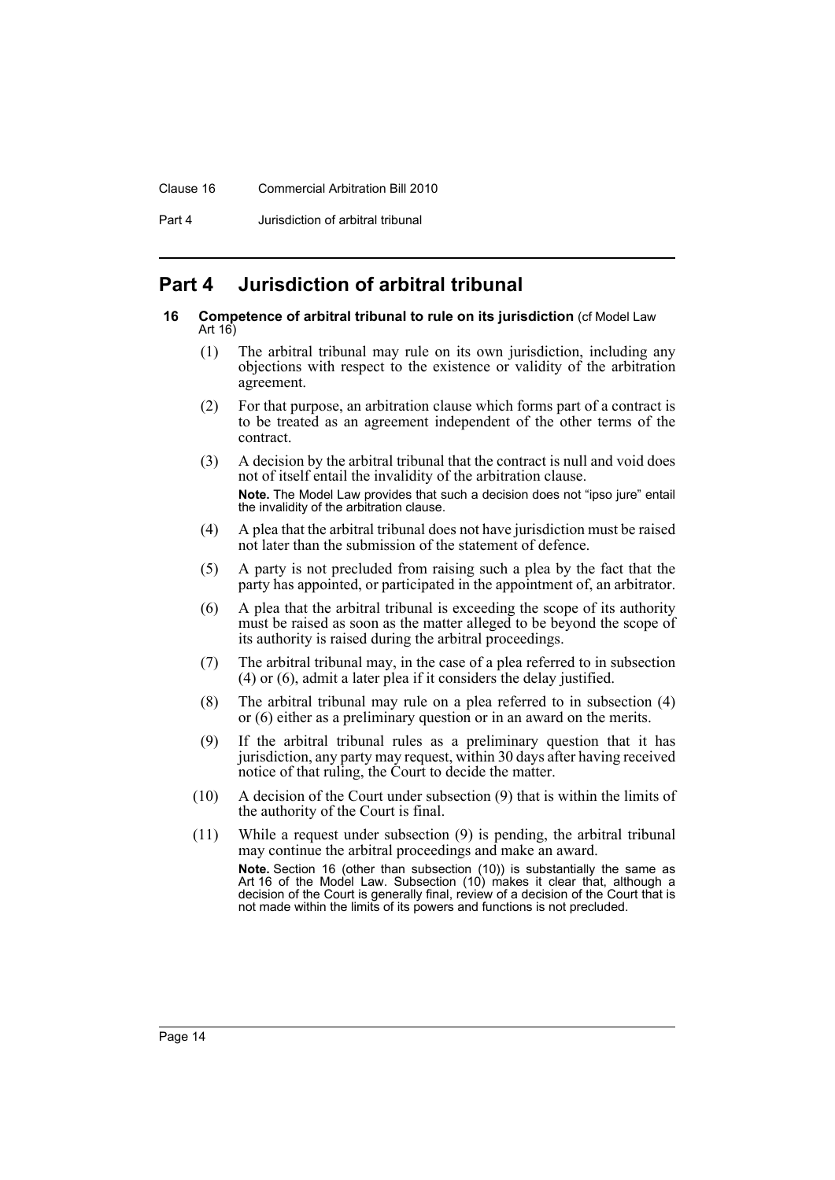### Clause 16 Commercial Arbitration Bill 2010

Part 4 **Jurisdiction of arbitral tribunal** 

# <span id="page-17-0"></span>**Part 4 Jurisdiction of arbitral tribunal**

#### <span id="page-17-1"></span>**16 Competence of arbitral tribunal to rule on its jurisdiction** (cf Model Law Art 16)

- (1) The arbitral tribunal may rule on its own jurisdiction, including any objections with respect to the existence or validity of the arbitration agreement.
- (2) For that purpose, an arbitration clause which forms part of a contract is to be treated as an agreement independent of the other terms of the contract.
- (3) A decision by the arbitral tribunal that the contract is null and void does not of itself entail the invalidity of the arbitration clause. **Note.** The Model Law provides that such a decision does not "ipso jure" entail the invalidity of the arbitration clause.
- (4) A plea that the arbitral tribunal does not have jurisdiction must be raised not later than the submission of the statement of defence.
- (5) A party is not precluded from raising such a plea by the fact that the party has appointed, or participated in the appointment of, an arbitrator.
- (6) A plea that the arbitral tribunal is exceeding the scope of its authority must be raised as soon as the matter alleged to be beyond the scope of its authority is raised during the arbitral proceedings.
- (7) The arbitral tribunal may, in the case of a plea referred to in subsection (4) or (6), admit a later plea if it considers the delay justified.
- (8) The arbitral tribunal may rule on a plea referred to in subsection (4) or (6) either as a preliminary question or in an award on the merits.
- (9) If the arbitral tribunal rules as a preliminary question that it has jurisdiction, any party may request, within 30 days after having received notice of that ruling, the Court to decide the matter.
- (10) A decision of the Court under subsection (9) that is within the limits of the authority of the Court is final.
- (11) While a request under subsection (9) is pending, the arbitral tribunal may continue the arbitral proceedings and make an award. **Note.** Section 16 (other than subsection (10)) is substantially the same as Art 16 of the Model Law. Subsection (10) makes it clear that, although a decision of the Court is generally final, review of a decision of the Court that is not made within the limits of its powers and functions is not precluded.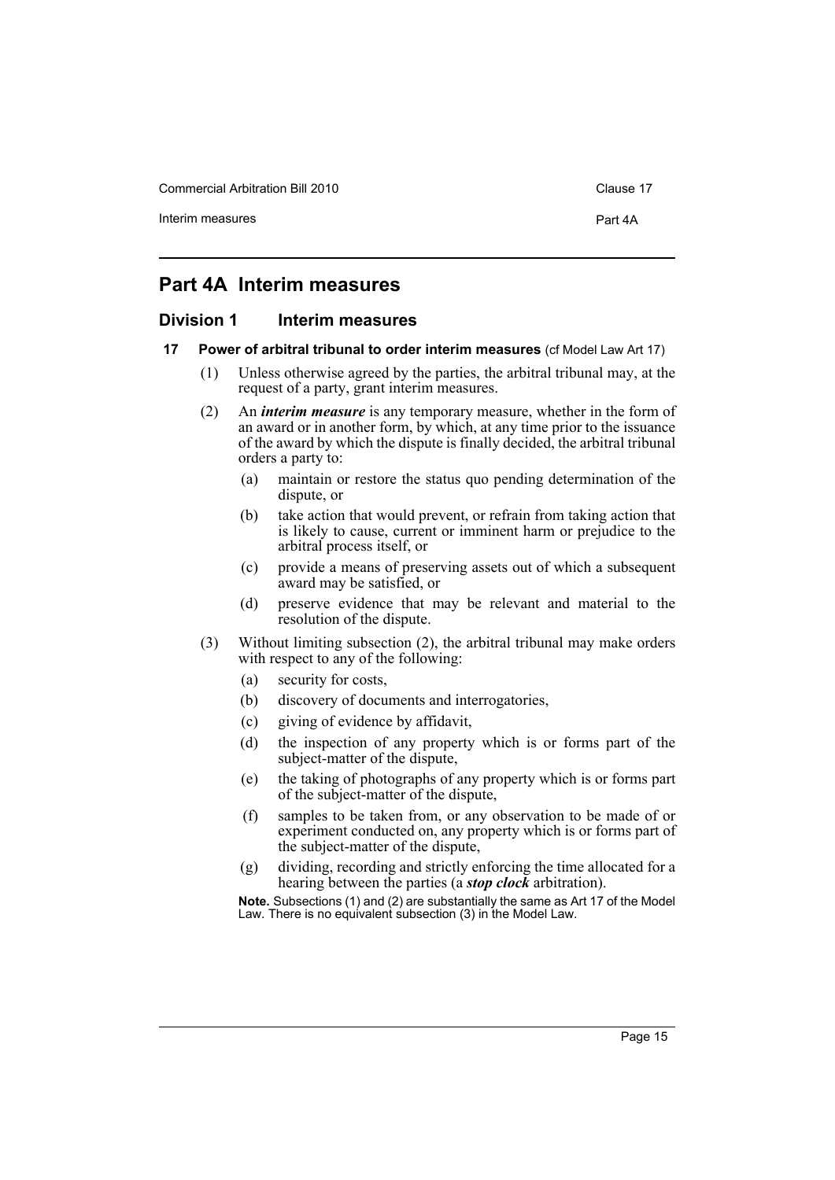Commercial Arbitration Bill 2010 Commercial Arbitration Bill 2010

Interim measures **Part 4A** 

# <span id="page-18-0"></span>**Part 4A Interim measures**

### <span id="page-18-1"></span>**Division 1 Interim measures**

#### <span id="page-18-2"></span>**17 Power of arbitral tribunal to order interim measures** (cf Model Law Art 17)

- (1) Unless otherwise agreed by the parties, the arbitral tribunal may, at the request of a party, grant interim measures.
- (2) An *interim measure* is any temporary measure, whether in the form of an award or in another form, by which, at any time prior to the issuance of the award by which the dispute is finally decided, the arbitral tribunal orders a party to:
	- (a) maintain or restore the status quo pending determination of the dispute, or
	- (b) take action that would prevent, or refrain from taking action that is likely to cause, current or imminent harm or prejudice to the arbitral process itself, or
	- (c) provide a means of preserving assets out of which a subsequent award may be satisfied, or
	- (d) preserve evidence that may be relevant and material to the resolution of the dispute.
- (3) Without limiting subsection (2), the arbitral tribunal may make orders with respect to any of the following:
	- (a) security for costs,
	- (b) discovery of documents and interrogatories,
	- (c) giving of evidence by affidavit,
	- (d) the inspection of any property which is or forms part of the subject-matter of the dispute,
	- (e) the taking of photographs of any property which is or forms part of the subject-matter of the dispute,
	- (f) samples to be taken from, or any observation to be made of or experiment conducted on, any property which is or forms part of the subject-matter of the dispute,
	- (g) dividing, recording and strictly enforcing the time allocated for a hearing between the parties (a *stop clock* arbitration).

**Note.** Subsections (1) and (2) are substantially the same as Art 17 of the Model Law. There is no equivalent subsection (3) in the Model Law.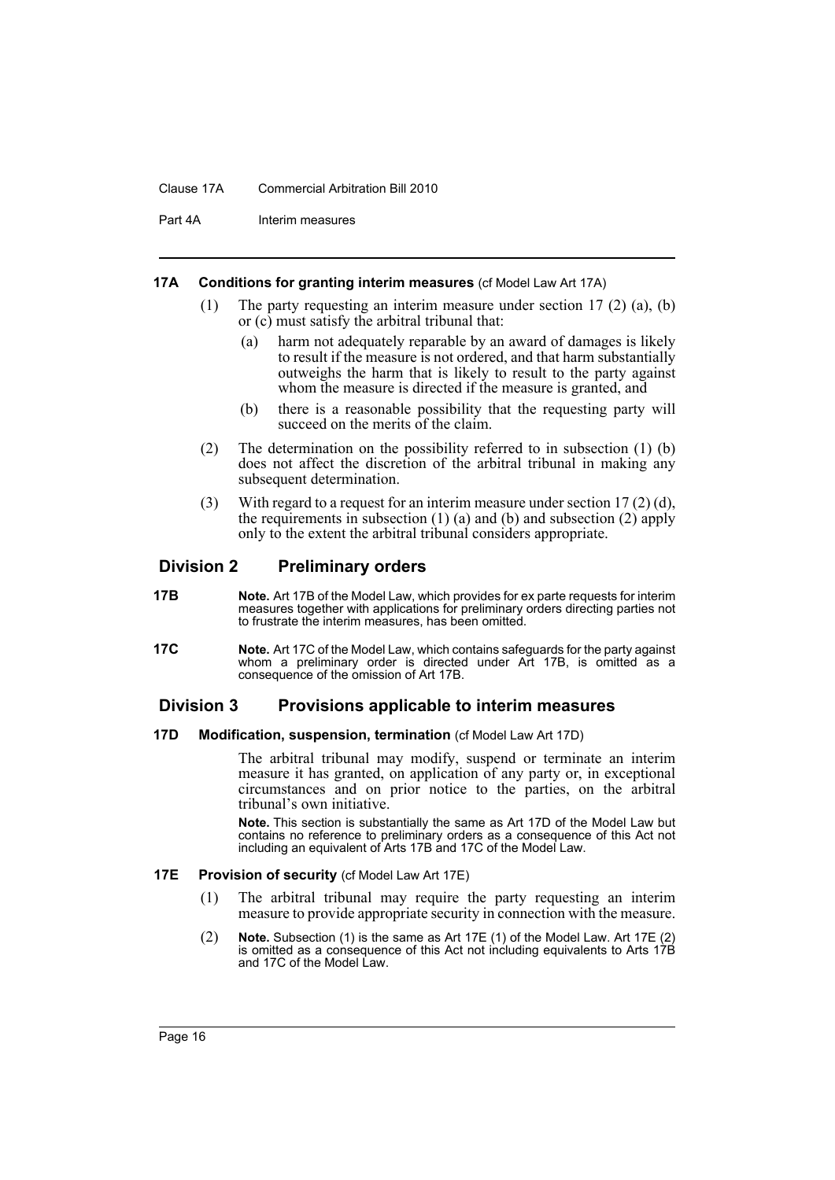#### Clause 17A Commercial Arbitration Bill 2010

Part 4A Interim measures

### <span id="page-19-0"></span>**17A Conditions for granting interim measures** (cf Model Law Art 17A)

- (1) The party requesting an interim measure under section 17 (2) (a), (b) or (c) must satisfy the arbitral tribunal that:
	- (a) harm not adequately reparable by an award of damages is likely to result if the measure is not ordered, and that harm substantially outweighs the harm that is likely to result to the party against whom the measure is directed if the measure is granted, and
	- (b) there is a reasonable possibility that the requesting party will succeed on the merits of the claim.
- (2) The determination on the possibility referred to in subsection (1) (b) does not affect the discretion of the arbitral tribunal in making any subsequent determination.
- (3) With regard to a request for an interim measure under section 17 (2) (d), the requirements in subsection  $(1)$  (a) and (b) and subsection  $(2)$  apply only to the extent the arbitral tribunal considers appropriate.

# <span id="page-19-1"></span>**Division 2 Preliminary orders**

- <span id="page-19-2"></span>**17B Note.** Art 17B of the Model Law, which provides for ex parte requests for interim measures together with applications for preliminary orders directing parties not to frustrate the interim measures, has been omitted.
- <span id="page-19-3"></span>**17C Note.** Art 17C of the Model Law, which contains safeguards for the party against whom a preliminary order is directed under Art 17B, is omitted as a consequence of the omission of Art 17B.

# <span id="page-19-4"></span>**Division 3 Provisions applicable to interim measures**

### <span id="page-19-5"></span>**17D Modification, suspension, termination** (cf Model Law Art 17D)

The arbitral tribunal may modify, suspend or terminate an interim measure it has granted, on application of any party or, in exceptional circumstances and on prior notice to the parties, on the arbitral tribunal's own initiative.

**Note.** This section is substantially the same as Art 17D of the Model Law but contains no reference to preliminary orders as a consequence of this Act not including an equivalent of Arts 17B and 17C of the Model Law.

### <span id="page-19-6"></span>**17E** Provision of security (cf Model Law Art 17E)

- (1) The arbitral tribunal may require the party requesting an interim measure to provide appropriate security in connection with the measure.
- (2) **Note.** Subsection (1) is the same as Art 17E (1) of the Model Law. Art 17E (2) is omitted as a consequence of this Act not including equivalents to Arts 17B and 17C of the Model Law.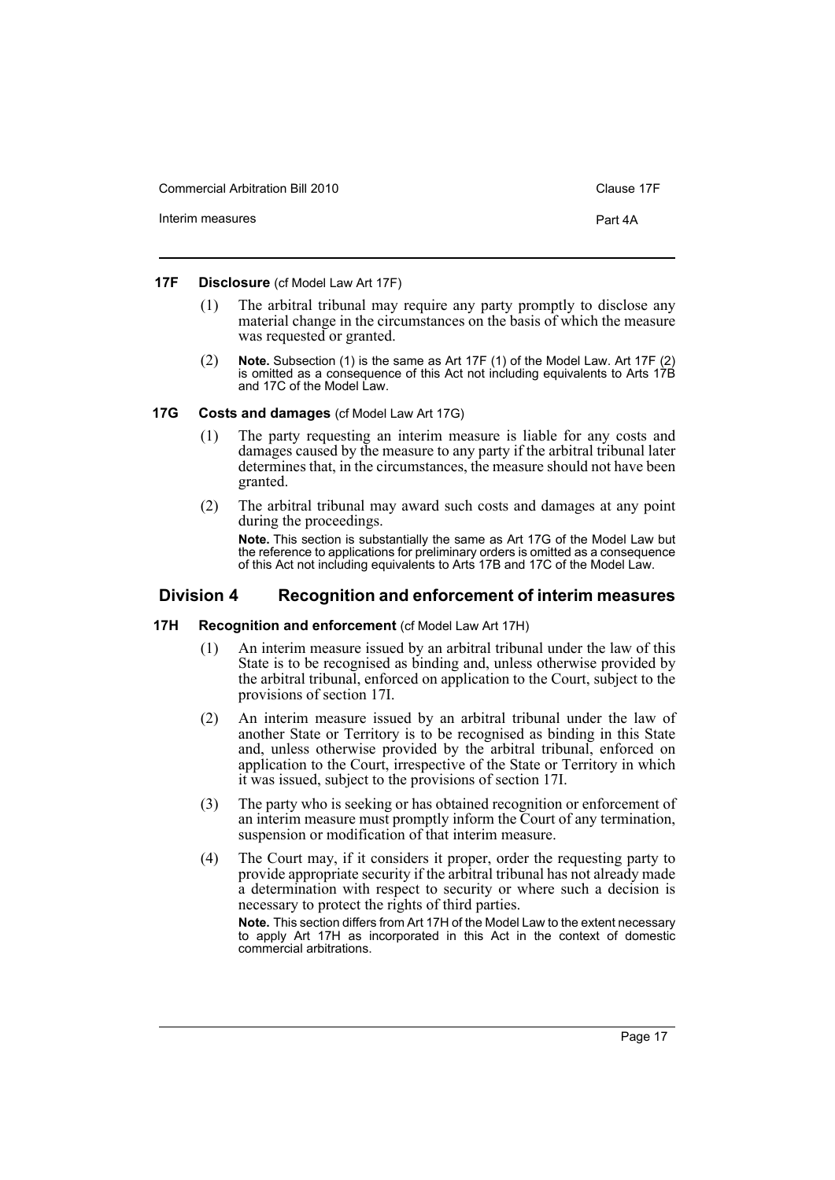Commercial Arbitration Bill 2010 Clause 17F

Interim measures **Part 4A** 

### <span id="page-20-0"></span>**17F Disclosure** (cf Model Law Art 17F)

- (1) The arbitral tribunal may require any party promptly to disclose any material change in the circumstances on the basis of which the measure was requested or granted.
- (2) **Note.** Subsection (1) is the same as Art 17F (1) of the Model Law. Art 17F (2) is omitted as a consequence of this Act not including equivalents to Arts 17B and 17C of the Model Law.

### <span id="page-20-1"></span>**17G Costs and damages** (cf Model Law Art 17G)

- (1) The party requesting an interim measure is liable for any costs and damages caused by the measure to any party if the arbitral tribunal later determines that, in the circumstances, the measure should not have been granted.
- (2) The arbitral tribunal may award such costs and damages at any point during the proceedings.

**Note.** This section is substantially the same as Art 17G of the Model Law but the reference to applications for preliminary orders is omitted as a consequence of this Act not including equivalents to Arts 17B and 17C of the Model Law.

### <span id="page-20-2"></span>**Division 4 Recognition and enforcement of interim measures**

### <span id="page-20-3"></span>**17H Recognition and enforcement** (cf Model Law Art 17H)

- (1) An interim measure issued by an arbitral tribunal under the law of this State is to be recognised as binding and, unless otherwise provided by the arbitral tribunal, enforced on application to the Court, subject to the provisions of section 17I.
- (2) An interim measure issued by an arbitral tribunal under the law of another State or Territory is to be recognised as binding in this State and, unless otherwise provided by the arbitral tribunal, enforced on application to the Court, irrespective of the State or Territory in which it was issued, subject to the provisions of section 17I.
- (3) The party who is seeking or has obtained recognition or enforcement of an interim measure must promptly inform the Court of any termination, suspension or modification of that interim measure.
- (4) The Court may, if it considers it proper, order the requesting party to provide appropriate security if the arbitral tribunal has not already made a determination with respect to security or where such a decision is necessary to protect the rights of third parties.

**Note.** This section differs from Art 17H of the Model Law to the extent necessary to apply Art 17H as incorporated in this Act in the context of domestic commercial arbitrations.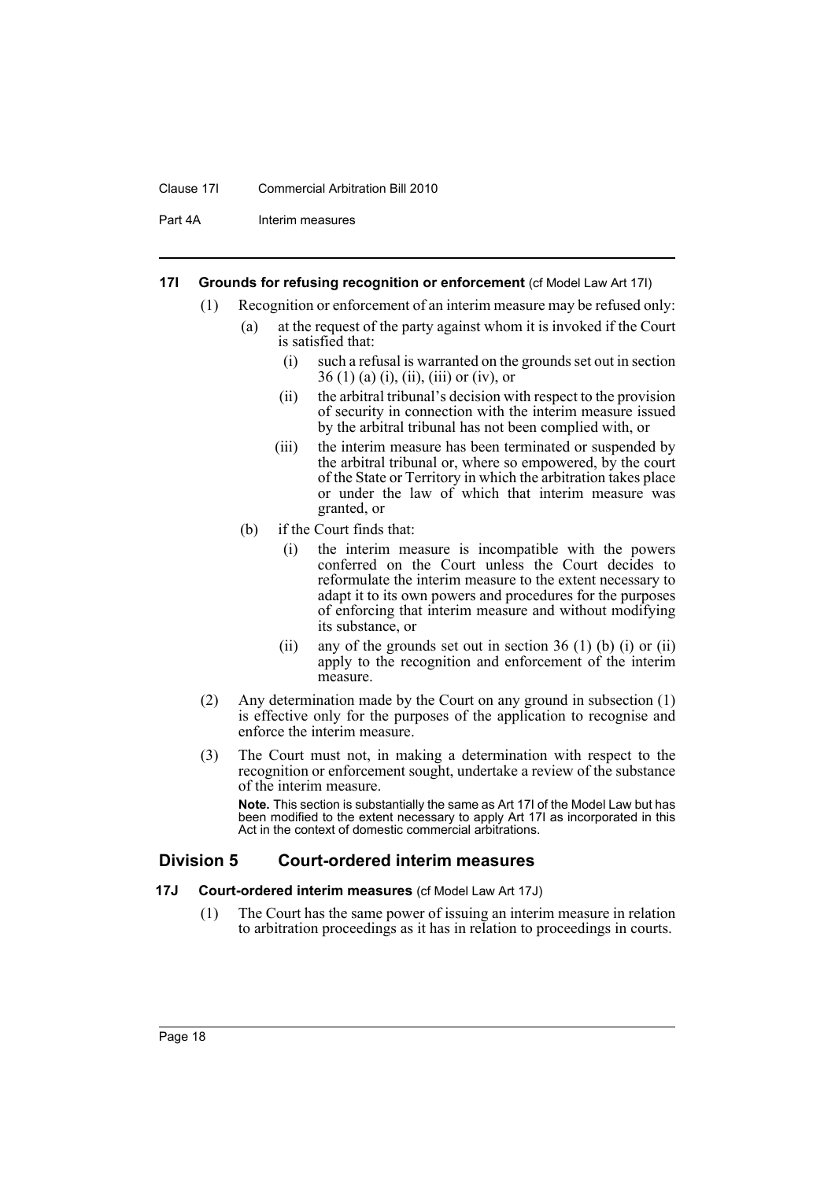### Clause 17I Commercial Arbitration Bill 2010

Part 4A Interim measures

### <span id="page-21-0"></span>**17I Grounds for refusing recognition or enforcement** (cf Model Law Art 17I)

- (1) Recognition or enforcement of an interim measure may be refused only:
	- (a) at the request of the party against whom it is invoked if the Court is satisfied that:
		- (i) such a refusal is warranted on the grounds set out in section  $36(1)$  (a) (i), (ii), (iii) or (iv), or
		- (ii) the arbitral tribunal's decision with respect to the provision of security in connection with the interim measure issued by the arbitral tribunal has not been complied with, or
		- (iii) the interim measure has been terminated or suspended by the arbitral tribunal or, where so empowered, by the court of the State or Territory in which the arbitration takes place or under the law of which that interim measure was granted, or
	- (b) if the Court finds that:
		- (i) the interim measure is incompatible with the powers conferred on the Court unless the Court decides to reformulate the interim measure to the extent necessary to adapt it to its own powers and procedures for the purposes of enforcing that interim measure and without modifying its substance, or
		- (ii) any of the grounds set out in section 36 (1) (b) (i) or (ii) apply to the recognition and enforcement of the interim measure.
- (2) Any determination made by the Court on any ground in subsection (1) is effective only for the purposes of the application to recognise and enforce the interim measure.
- (3) The Court must not, in making a determination with respect to the recognition or enforcement sought, undertake a review of the substance of the interim measure.

**Note.** This section is substantially the same as Art 17I of the Model Law but has been modified to the extent necessary to apply Art 17I as incorporated in this Act in the context of domestic commercial arbitrations.

# <span id="page-21-1"></span>**Division 5 Court-ordered interim measures**

### <span id="page-21-2"></span>**17J Court-ordered interim measures** (cf Model Law Art 17J)

(1) The Court has the same power of issuing an interim measure in relation to arbitration proceedings as it has in relation to proceedings in courts.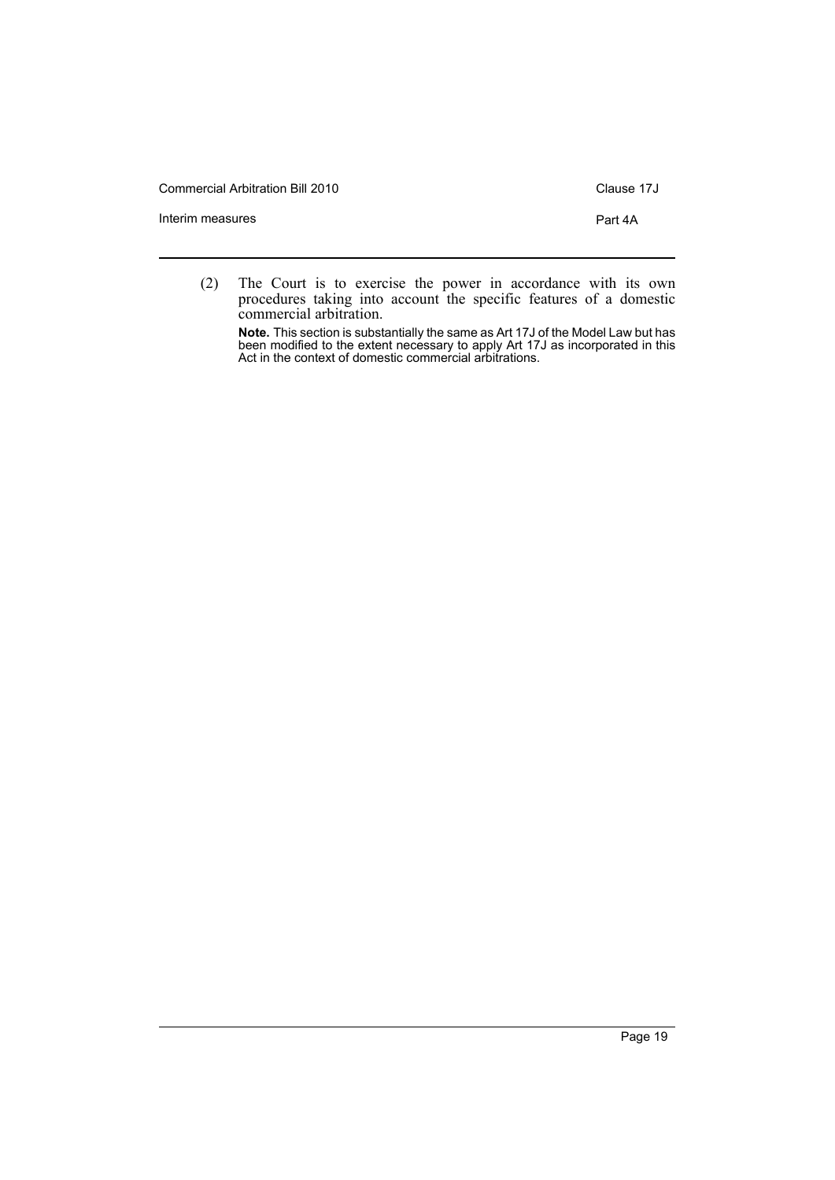Commercial Arbitration Bill 2010 Commercial Arbitration Bill 2010

Interim measures **Part 4A** 

(2) The Court is to exercise the power in accordance with its own procedures taking into account the specific features of a domestic commercial arbitration.

**Note.** This section is substantially the same as Art 17J of the Model Law but has been modified to the extent necessary to apply Art 17J as incorporated in this Act in the context of domestic commercial arbitrations.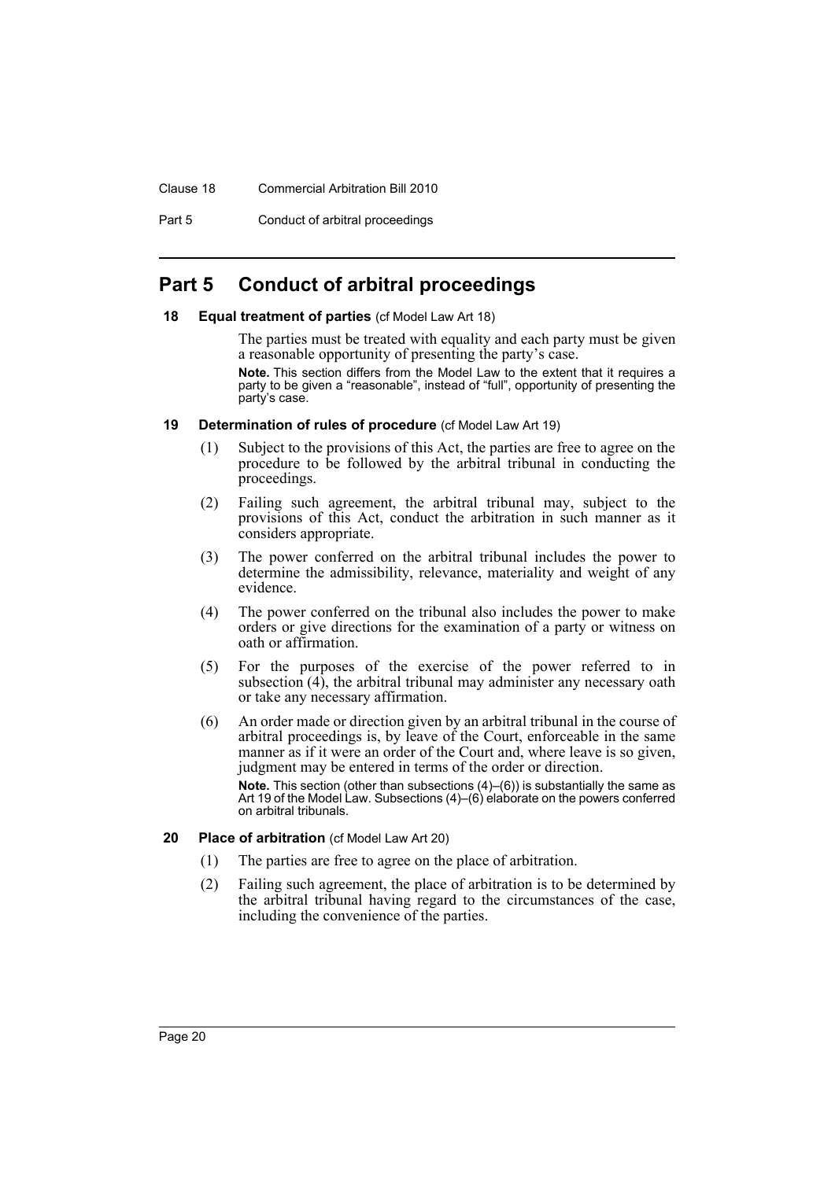### Clause 18 Commercial Arbitration Bill 2010

Part 5 Conduct of arbitral proceedings

# <span id="page-23-0"></span>**Part 5 Conduct of arbitral proceedings**

### <span id="page-23-1"></span>**18 Equal treatment of parties** (cf Model Law Art 18)

The parties must be treated with equality and each party must be given a reasonable opportunity of presenting the party's case.

**Note.** This section differs from the Model Law to the extent that it requires a party to be given a "reasonable", instead of "full", opportunity of presenting the party's case.

### <span id="page-23-2"></span>**19 Determination of rules of procedure** (cf Model Law Art 19)

- (1) Subject to the provisions of this Act, the parties are free to agree on the procedure to be followed by the arbitral tribunal in conducting the proceedings.
- (2) Failing such agreement, the arbitral tribunal may, subject to the provisions of this Act, conduct the arbitration in such manner as it considers appropriate.
- (3) The power conferred on the arbitral tribunal includes the power to determine the admissibility, relevance, materiality and weight of any evidence.
- (4) The power conferred on the tribunal also includes the power to make orders or give directions for the examination of a party or witness on oath or affirmation.
- (5) For the purposes of the exercise of the power referred to in subsection (4), the arbitral tribunal may administer any necessary oath or take any necessary affirmation.
- (6) An order made or direction given by an arbitral tribunal in the course of arbitral proceedings is, by leave of the Court, enforceable in the same manner as if it were an order of the Court and, where leave is so given, judgment may be entered in terms of the order or direction. **Note.** This section (other than subsections (4)–(6)) is substantially the same as

Art 19 of the Model Law. Subsections (4)–(6) elaborate on the powers conferred on arbitral tribunals.

### <span id="page-23-3"></span>**20 Place of arbitration** (cf Model Law Art 20)

- (1) The parties are free to agree on the place of arbitration.
- (2) Failing such agreement, the place of arbitration is to be determined by the arbitral tribunal having regard to the circumstances of the case, including the convenience of the parties.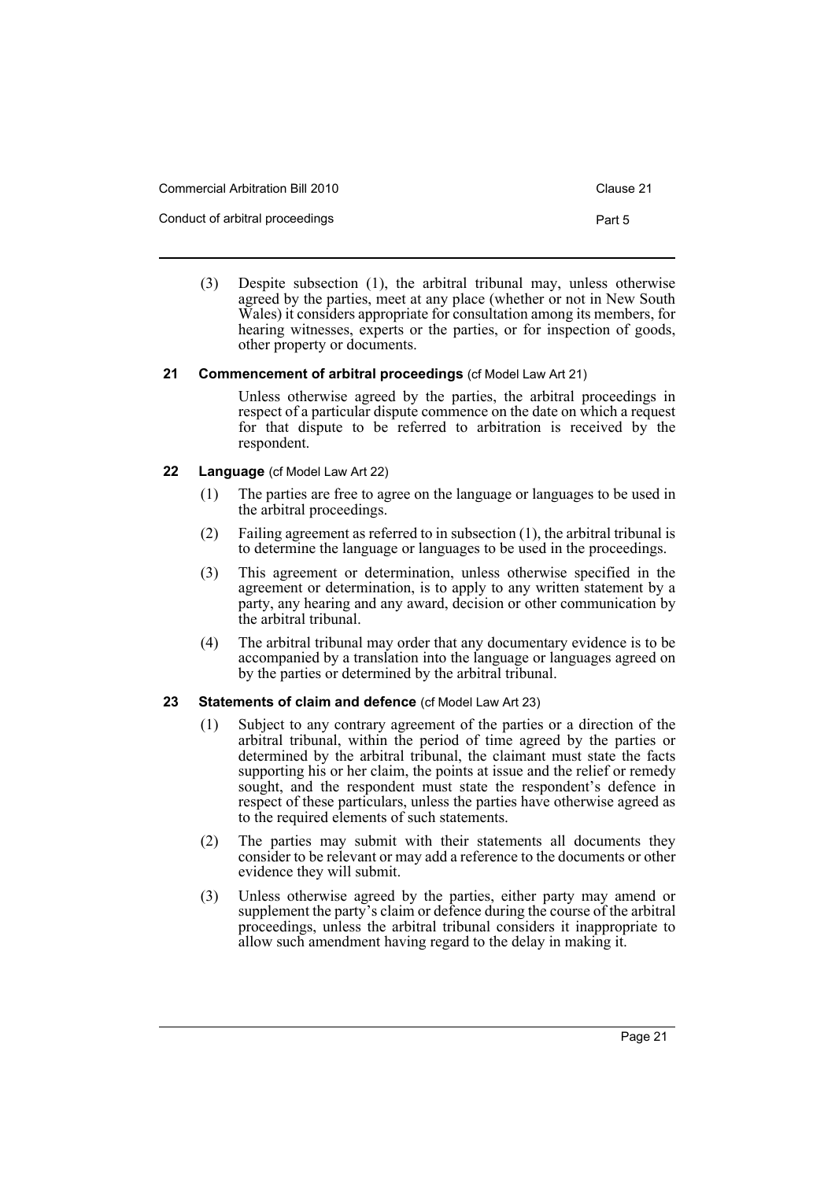| Commercial Arbitration Bill 2010 | Clause 21 |
|----------------------------------|-----------|
| Conduct of arbitral proceedings  | Part 5    |

(3) Despite subsection (1), the arbitral tribunal may, unless otherwise agreed by the parties, meet at any place (whether or not in New South Wales) it considers appropriate for consultation among its members, for hearing witnesses, experts or the parties, or for inspection of goods, other property or documents.

### <span id="page-24-0"></span>**21 Commencement of arbitral proceedings** (cf Model Law Art 21)

Unless otherwise agreed by the parties, the arbitral proceedings in respect of a particular dispute commence on the date on which a request for that dispute to be referred to arbitration is received by the respondent.

### <span id="page-24-1"></span>**22 Language** (cf Model Law Art 22)

- (1) The parties are free to agree on the language or languages to be used in the arbitral proceedings.
- (2) Failing agreement as referred to in subsection (1), the arbitral tribunal is to determine the language or languages to be used in the proceedings.
- (3) This agreement or determination, unless otherwise specified in the agreement or determination, is to apply to any written statement by a party, any hearing and any award, decision or other communication by the arbitral tribunal.
- (4) The arbitral tribunal may order that any documentary evidence is to be accompanied by a translation into the language or languages agreed on by the parties or determined by the arbitral tribunal.

# <span id="page-24-2"></span>**23 Statements of claim and defence** (cf Model Law Art 23)

- (1) Subject to any contrary agreement of the parties or a direction of the arbitral tribunal, within the period of time agreed by the parties or determined by the arbitral tribunal, the claimant must state the facts supporting his or her claim, the points at issue and the relief or remedy sought, and the respondent must state the respondent's defence in respect of these particulars, unless the parties have otherwise agreed as to the required elements of such statements.
- (2) The parties may submit with their statements all documents they consider to be relevant or may add a reference to the documents or other evidence they will submit.
- (3) Unless otherwise agreed by the parties, either party may amend or supplement the party's claim or defence during the course of the arbitral proceedings, unless the arbitral tribunal considers it inappropriate to allow such amendment having regard to the delay in making it.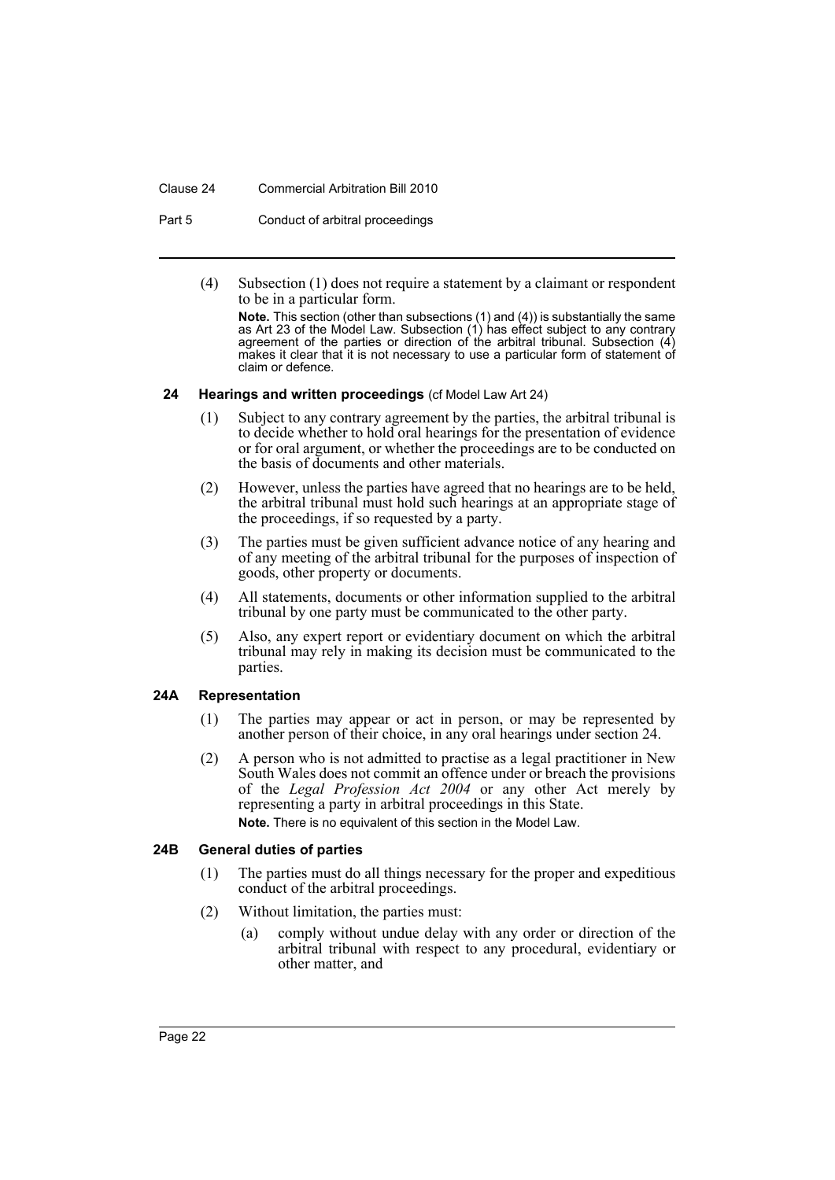#### Clause 24 Commercial Arbitration Bill 2010

Part 5 Conduct of arbitral proceedings

(4) Subsection (1) does not require a statement by a claimant or respondent to be in a particular form.

**Note.** This section (other than subsections (1) and (4)) is substantially the same as Art 23 of the Model Law. Subsection (1) has effect subject to any contrary agreement of the parties or direction of the arbitral tribunal. Subsection (4) makes it clear that it is not necessary to use a particular form of statement of claim or defence.

### <span id="page-25-0"></span>**24 Hearings and written proceedings** (cf Model Law Art 24)

- (1) Subject to any contrary agreement by the parties, the arbitral tribunal is to decide whether to hold oral hearings for the presentation of evidence or for oral argument, or whether the proceedings are to be conducted on the basis of documents and other materials.
- (2) However, unless the parties have agreed that no hearings are to be held, the arbitral tribunal must hold such hearings at an appropriate stage of the proceedings, if so requested by a party.
- (3) The parties must be given sufficient advance notice of any hearing and of any meeting of the arbitral tribunal for the purposes of inspection of goods, other property or documents.
- (4) All statements, documents or other information supplied to the arbitral tribunal by one party must be communicated to the other party.
- (5) Also, any expert report or evidentiary document on which the arbitral tribunal may rely in making its decision must be communicated to the parties.

### <span id="page-25-1"></span>**24A Representation**

- (1) The parties may appear or act in person, or may be represented by another person of their choice, in any oral hearings under section 24.
- (2) A person who is not admitted to practise as a legal practitioner in New South Wales does not commit an offence under or breach the provisions of the *Legal Profession Act 2004* or any other Act merely by representing a party in arbitral proceedings in this State. **Note.** There is no equivalent of this section in the Model Law.

### <span id="page-25-2"></span>**24B General duties of parties**

- (1) The parties must do all things necessary for the proper and expeditious conduct of the arbitral proceedings.
- (2) Without limitation, the parties must:
	- (a) comply without undue delay with any order or direction of the arbitral tribunal with respect to any procedural, evidentiary or other matter, and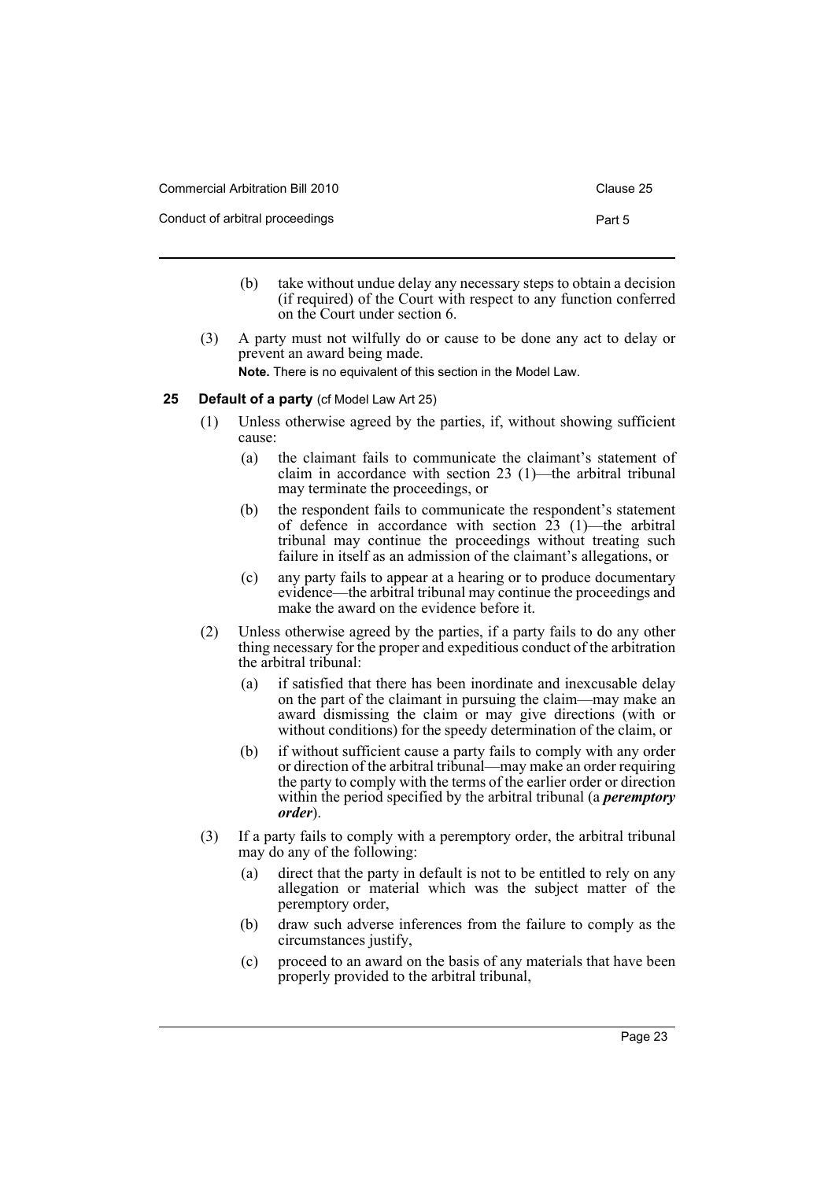| Commercial Arbitration Bill 2010 | Clause 25 |
|----------------------------------|-----------|
| Conduct of arbitral proceedings  | Part 5    |

- (b) take without undue delay any necessary steps to obtain a decision (if required) of the Court with respect to any function conferred on the Court under section 6.
- (3) A party must not wilfully do or cause to be done any act to delay or prevent an award being made. **Note.** There is no equivalent of this section in the Model Law.

# <span id="page-26-0"></span>**25 Default of a party** (cf Model Law Art 25)

- (1) Unless otherwise agreed by the parties, if, without showing sufficient cause:
	- (a) the claimant fails to communicate the claimant's statement of claim in accordance with section 23 (1)—the arbitral tribunal may terminate the proceedings, or
	- (b) the respondent fails to communicate the respondent's statement of defence in accordance with section  $23$  (1)—the arbitral tribunal may continue the proceedings without treating such failure in itself as an admission of the claimant's allegations, or
	- (c) any party fails to appear at a hearing or to produce documentary evidence—the arbitral tribunal may continue the proceedings and make the award on the evidence before it.
- (2) Unless otherwise agreed by the parties, if a party fails to do any other thing necessary for the proper and expeditious conduct of the arbitration the arbitral tribunal:
	- (a) if satisfied that there has been inordinate and inexcusable delay on the part of the claimant in pursuing the claim—may make an award dismissing the claim or may give directions (with or without conditions) for the speedy determination of the claim, or
	- (b) if without sufficient cause a party fails to comply with any order or direction of the arbitral tribunal—may make an order requiring the party to comply with the terms of the earlier order or direction within the period specified by the arbitral tribunal (a *peremptory order*).
- (3) If a party fails to comply with a peremptory order, the arbitral tribunal may do any of the following:
	- (a) direct that the party in default is not to be entitled to rely on any allegation or material which was the subject matter of the peremptory order,
	- (b) draw such adverse inferences from the failure to comply as the circumstances justify,
	- (c) proceed to an award on the basis of any materials that have been properly provided to the arbitral tribunal,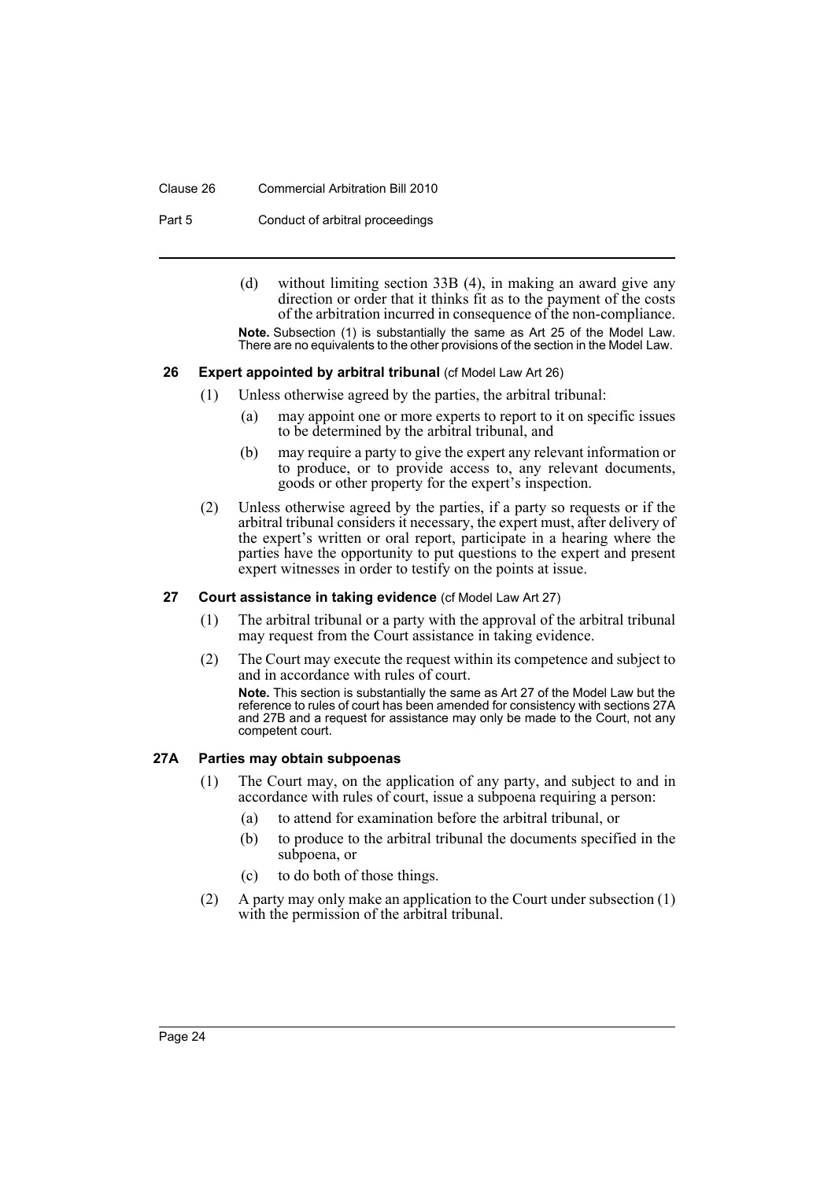### Clause 26 Commercial Arbitration Bill 2010

Part 5 Conduct of arbitral proceedings

(d) without limiting section 33B (4), in making an award give any direction or order that it thinks fit as to the payment of the costs of the arbitration incurred in consequence of the non-compliance.

**Note.** Subsection (1) is substantially the same as Art 25 of the Model Law. There are no equivalents to the other provisions of the section in the Model Law.

### <span id="page-27-0"></span>**26 Expert appointed by arbitral tribunal (cf Model Law Art 26)**

- (1) Unless otherwise agreed by the parties, the arbitral tribunal:
	- (a) may appoint one or more experts to report to it on specific issues to be determined by the arbitral tribunal, and
	- (b) may require a party to give the expert any relevant information or to produce, or to provide access to, any relevant documents, goods or other property for the expert's inspection.
- (2) Unless otherwise agreed by the parties, if a party so requests or if the arbitral tribunal considers it necessary, the expert must, after delivery of the expert's written or oral report, participate in a hearing where the parties have the opportunity to put questions to the expert and present expert witnesses in order to testify on the points at issue.

### <span id="page-27-1"></span>**27 Court assistance in taking evidence** (cf Model Law Art 27)

- (1) The arbitral tribunal or a party with the approval of the arbitral tribunal may request from the Court assistance in taking evidence.
- (2) The Court may execute the request within its competence and subject to and in accordance with rules of court.

**Note.** This section is substantially the same as Art 27 of the Model Law but the reference to rules of court has been amended for consistency with sections 27A and 27B and a request for assistance may only be made to the Court, not any competent court.

### <span id="page-27-2"></span>**27A Parties may obtain subpoenas**

- (1) The Court may, on the application of any party, and subject to and in accordance with rules of court, issue a subpoena requiring a person:
	- (a) to attend for examination before the arbitral tribunal, or
	- (b) to produce to the arbitral tribunal the documents specified in the subpoena, or
	- (c) to do both of those things.
- (2) A party may only make an application to the Court under subsection (1) with the permission of the arbitral tribunal.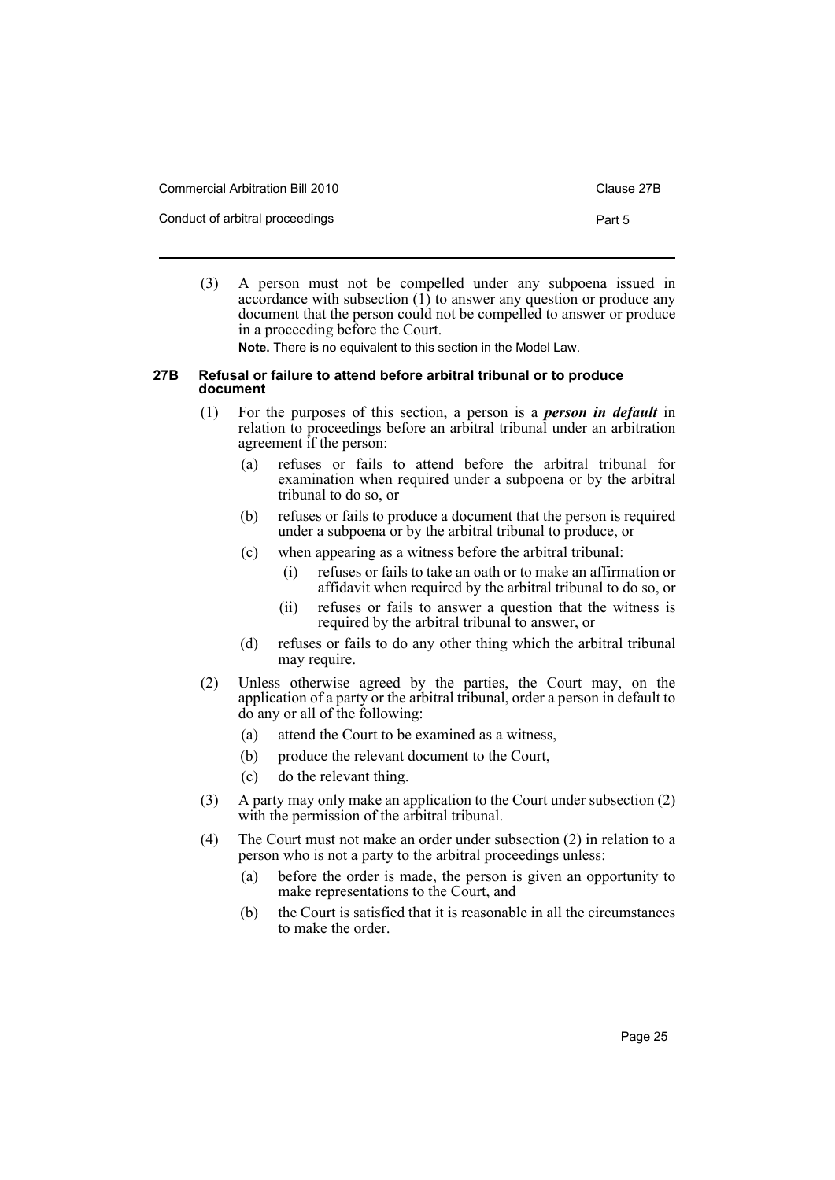| Commercial Arbitration Bill 2010 | Clause 27B |
|----------------------------------|------------|
| Conduct of arbitral proceedings  | Part 5     |

(3) A person must not be compelled under any subpoena issued in accordance with subsection  $(1)$  to answer any question or produce any document that the person could not be compelled to answer or produce in a proceeding before the Court.

**Note.** There is no equivalent to this section in the Model Law.

### <span id="page-28-0"></span>**27B Refusal or failure to attend before arbitral tribunal or to produce document**

- (1) For the purposes of this section, a person is a *person in default* in relation to proceedings before an arbitral tribunal under an arbitration agreement if the person:
	- (a) refuses or fails to attend before the arbitral tribunal for examination when required under a subpoena or by the arbitral tribunal to do so, or
	- (b) refuses or fails to produce a document that the person is required under a subpoena or by the arbitral tribunal to produce, or
	- (c) when appearing as a witness before the arbitral tribunal:
		- (i) refuses or fails to take an oath or to make an affirmation or affidavit when required by the arbitral tribunal to do so, or
		- (ii) refuses or fails to answer a question that the witness is required by the arbitral tribunal to answer, or
	- (d) refuses or fails to do any other thing which the arbitral tribunal may require.
- (2) Unless otherwise agreed by the parties, the Court may, on the application of a party or the arbitral tribunal, order a person in default to do any or all of the following:
	- (a) attend the Court to be examined as a witness,
	- (b) produce the relevant document to the Court,
	- (c) do the relevant thing.
- (3) A party may only make an application to the Court under subsection (2) with the permission of the arbitral tribunal.
- (4) The Court must not make an order under subsection (2) in relation to a person who is not a party to the arbitral proceedings unless:
	- (a) before the order is made, the person is given an opportunity to make representations to the Court, and
	- (b) the Court is satisfied that it is reasonable in all the circumstances to make the order.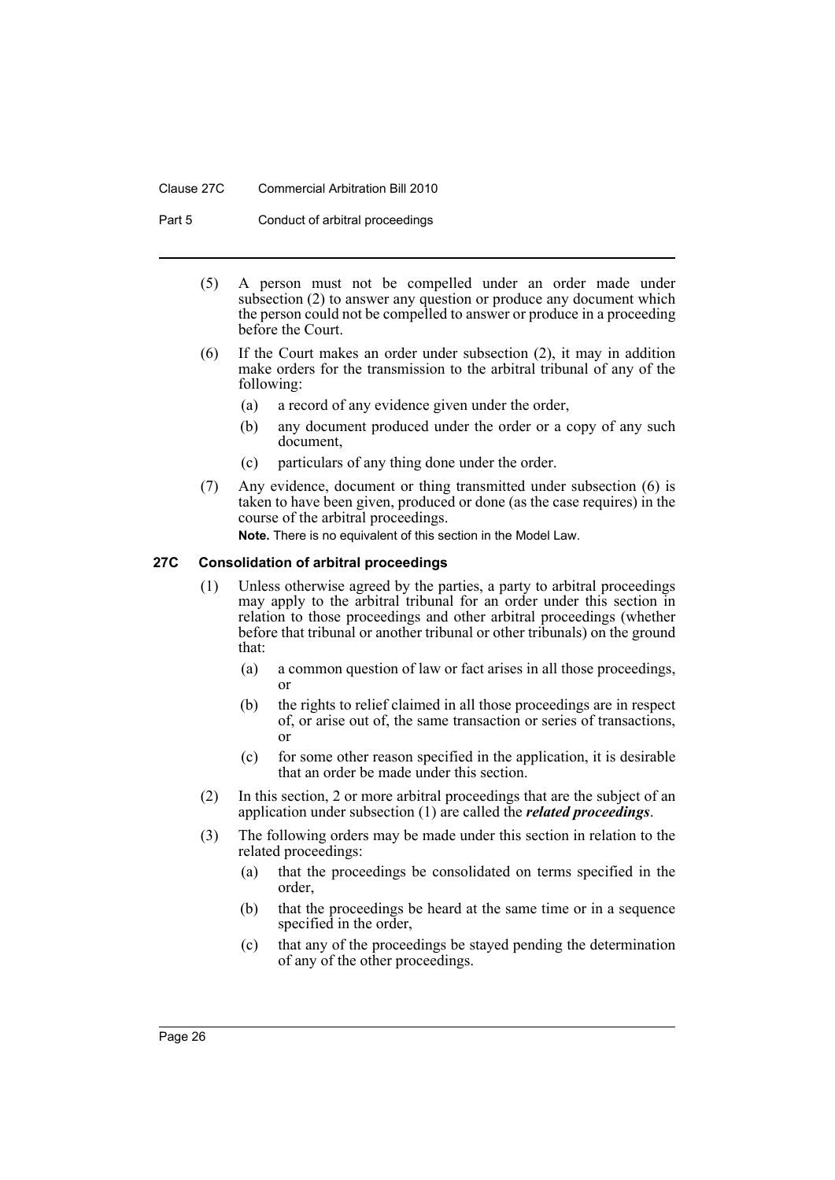### Clause 27C Commercial Arbitration Bill 2010

Part 5 Conduct of arbitral proceedings

- (5) A person must not be compelled under an order made under subsection (2) to answer any question or produce any document which the person could not be compelled to answer or produce in a proceeding before the Court.
- (6) If the Court makes an order under subsection (2), it may in addition make orders for the transmission to the arbitral tribunal of any of the following:
	- (a) a record of any evidence given under the order,
	- (b) any document produced under the order or a copy of any such document,
	- (c) particulars of any thing done under the order.
- (7) Any evidence, document or thing transmitted under subsection (6) is taken to have been given, produced or done (as the case requires) in the course of the arbitral proceedings. **Note.** There is no equivalent of this section in the Model Law.

### <span id="page-29-0"></span>**27C Consolidation of arbitral proceedings**

- (1) Unless otherwise agreed by the parties, a party to arbitral proceedings may apply to the arbitral tribunal for an order under this section in relation to those proceedings and other arbitral proceedings (whether before that tribunal or another tribunal or other tribunals) on the ground that:
	- (a) a common question of law or fact arises in all those proceedings, or
	- (b) the rights to relief claimed in all those proceedings are in respect of, or arise out of, the same transaction or series of transactions, or
	- (c) for some other reason specified in the application, it is desirable that an order be made under this section.
- (2) In this section, 2 or more arbitral proceedings that are the subject of an application under subsection (1) are called the *related proceedings*.
- (3) The following orders may be made under this section in relation to the related proceedings:
	- (a) that the proceedings be consolidated on terms specified in the order,
	- (b) that the proceedings be heard at the same time or in a sequence specified in the order,
	- (c) that any of the proceedings be stayed pending the determination of any of the other proceedings.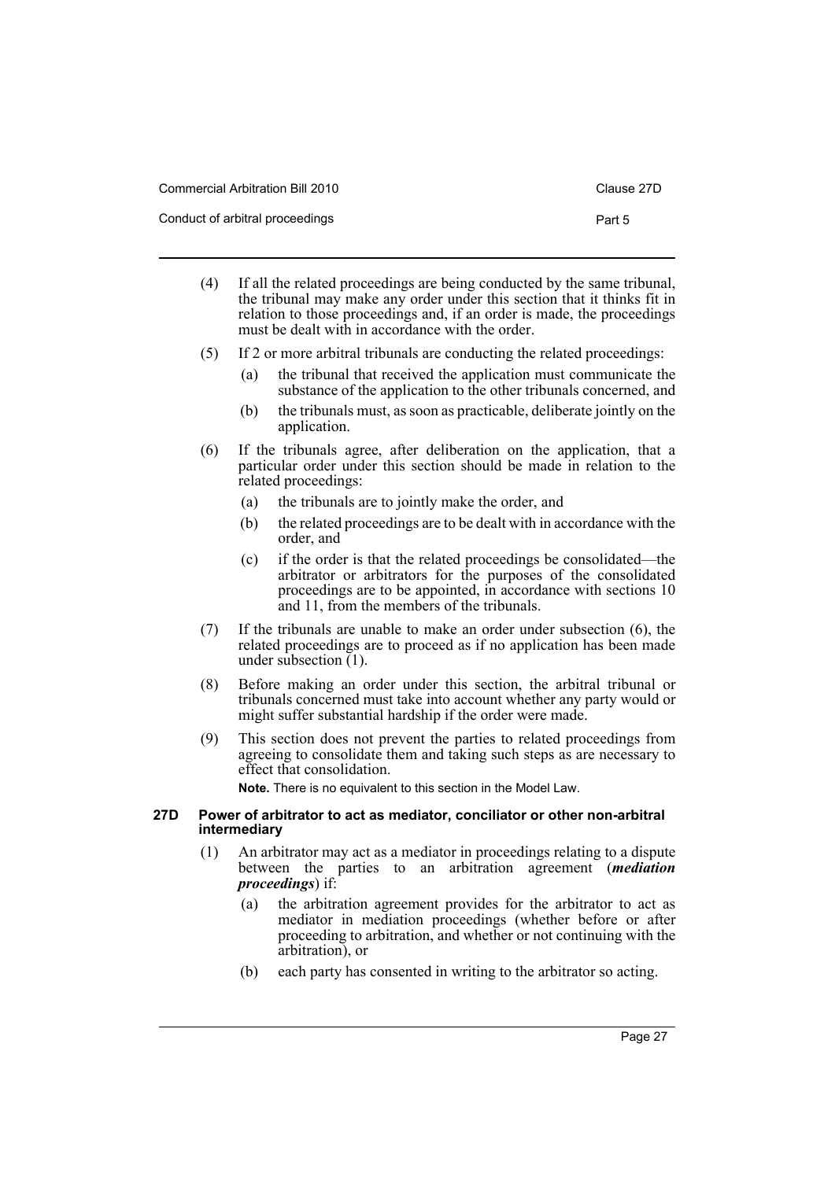| <b>Commercial Arbitration Bill 2010</b> | Clause 27D |
|-----------------------------------------|------------|
| Conduct of arbitral proceedings         | Part 5     |

- (4) If all the related proceedings are being conducted by the same tribunal, the tribunal may make any order under this section that it thinks fit in relation to those proceedings and, if an order is made, the proceedings must be dealt with in accordance with the order.
- (5) If 2 or more arbitral tribunals are conducting the related proceedings:
	- (a) the tribunal that received the application must communicate the substance of the application to the other tribunals concerned, and
	- (b) the tribunals must, as soon as practicable, deliberate jointly on the application.
- (6) If the tribunals agree, after deliberation on the application, that a particular order under this section should be made in relation to the related proceedings:
	- (a) the tribunals are to jointly make the order, and
	- (b) the related proceedings are to be dealt with in accordance with the order, and
	- (c) if the order is that the related proceedings be consolidated—the arbitrator or arbitrators for the purposes of the consolidated proceedings are to be appointed, in accordance with sections 10 and 11, from the members of the tribunals.
- (7) If the tribunals are unable to make an order under subsection (6), the related proceedings are to proceed as if no application has been made under subsection (1).
- (8) Before making an order under this section, the arbitral tribunal or tribunals concerned must take into account whether any party would or might suffer substantial hardship if the order were made.
- (9) This section does not prevent the parties to related proceedings from agreeing to consolidate them and taking such steps as are necessary to effect that consolidation.

**Note.** There is no equivalent to this section in the Model Law.

### <span id="page-30-0"></span>**27D Power of arbitrator to act as mediator, conciliator or other non-arbitral intermediary**

- (1) An arbitrator may act as a mediator in proceedings relating to a dispute between the parties to an arbitration agreement (*mediation proceedings*) if:
	- (a) the arbitration agreement provides for the arbitrator to act as mediator in mediation proceedings (whether before or after proceeding to arbitration, and whether or not continuing with the arbitration), or
	- (b) each party has consented in writing to the arbitrator so acting.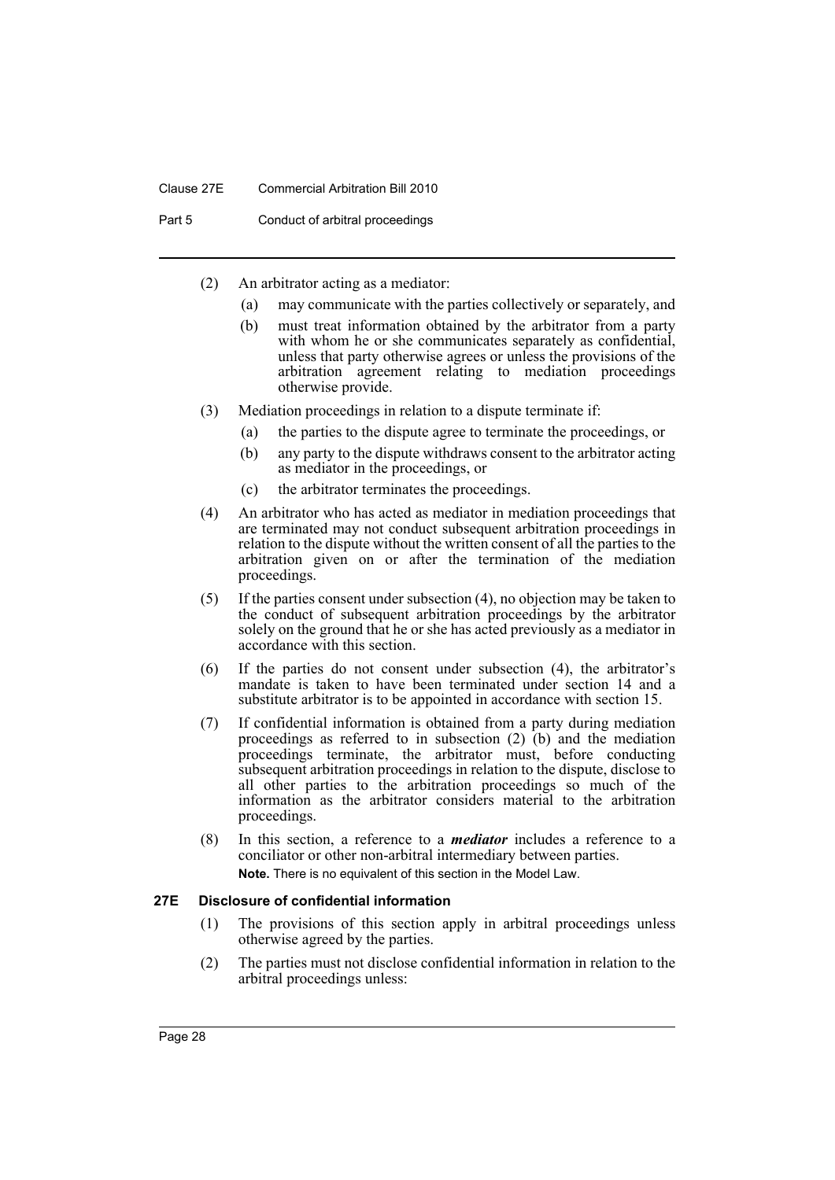### Clause 27E Commercial Arbitration Bill 2010

Part 5 Conduct of arbitral proceedings

- (2) An arbitrator acting as a mediator:
	- (a) may communicate with the parties collectively or separately, and
	- (b) must treat information obtained by the arbitrator from a party with whom he or she communicates separately as confidential, unless that party otherwise agrees or unless the provisions of the arbitration agreement relating to mediation proceedings otherwise provide.
- (3) Mediation proceedings in relation to a dispute terminate if:
	- (a) the parties to the dispute agree to terminate the proceedings, or
	- (b) any party to the dispute withdraws consent to the arbitrator acting as mediator in the proceedings, or
	- (c) the arbitrator terminates the proceedings.
- (4) An arbitrator who has acted as mediator in mediation proceedings that are terminated may not conduct subsequent arbitration proceedings in relation to the dispute without the written consent of all the parties to the arbitration given on or after the termination of the mediation proceedings.
- (5) If the parties consent under subsection (4), no objection may be taken to the conduct of subsequent arbitration proceedings by the arbitrator solely on the ground that he or she has acted previously as a mediator in accordance with this section.
- (6) If the parties do not consent under subsection (4), the arbitrator's mandate is taken to have been terminated under section 14 and a substitute arbitrator is to be appointed in accordance with section 15.
- (7) If confidential information is obtained from a party during mediation proceedings as referred to in subsection  $(2)$  (b) and the mediation proceedings terminate, the arbitrator must, before conducting subsequent arbitration proceedings in relation to the dispute, disclose to all other parties to the arbitration proceedings so much of the information as the arbitrator considers material to the arbitration proceedings.
- (8) In this section, a reference to a *mediator* includes a reference to a conciliator or other non-arbitral intermediary between parties. **Note.** There is no equivalent of this section in the Model Law.

# <span id="page-31-0"></span>**27E Disclosure of confidential information**

- (1) The provisions of this section apply in arbitral proceedings unless otherwise agreed by the parties.
- (2) The parties must not disclose confidential information in relation to the arbitral proceedings unless: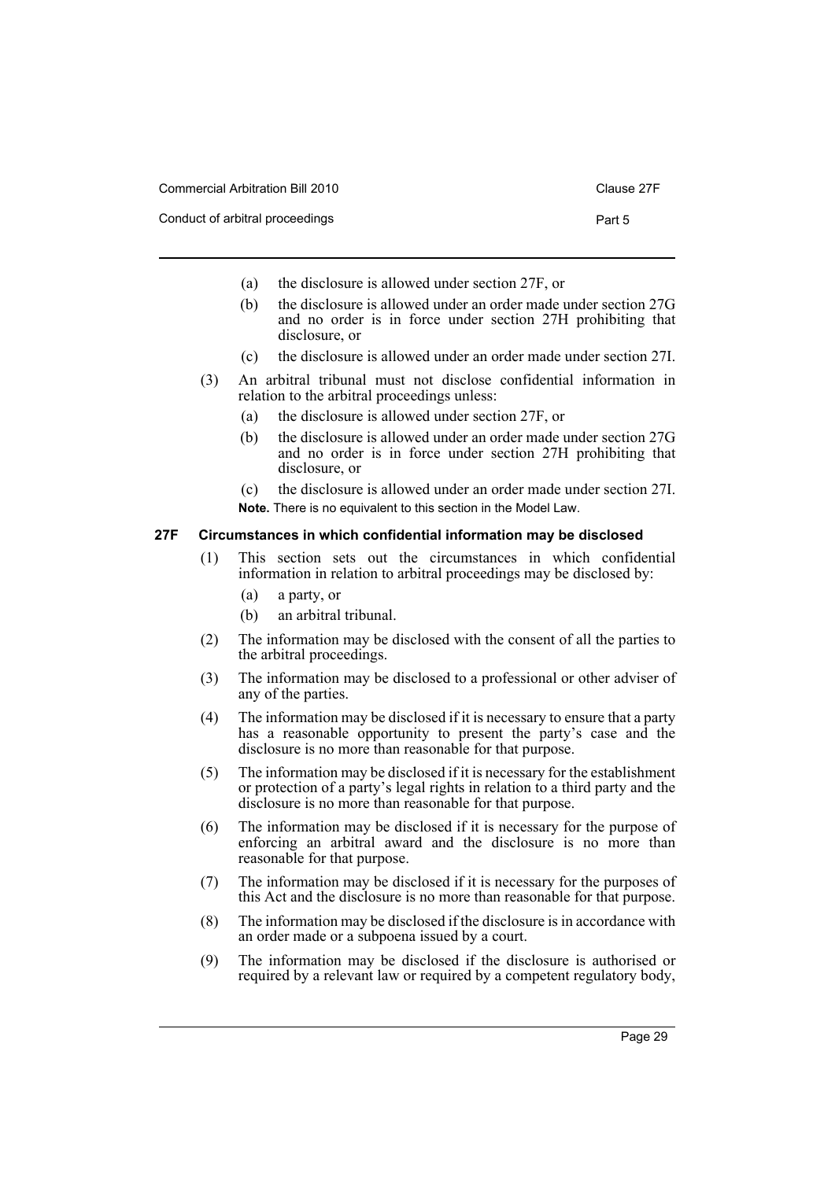| Commercial Arbitration Bill 2010 | Clause 27F |
|----------------------------------|------------|
| Conduct of arbitral proceedings  | Part 5     |

- (a) the disclosure is allowed under section 27F, or
- (b) the disclosure is allowed under an order made under section 27G and no order is in force under section 27H prohibiting that disclosure, or
- (c) the disclosure is allowed under an order made under section 27I.
- (3) An arbitral tribunal must not disclose confidential information in relation to the arbitral proceedings unless:
	- (a) the disclosure is allowed under section 27F, or
	- (b) the disclosure is allowed under an order made under section 27G and no order is in force under section 27H prohibiting that disclosure, or
	- (c) the disclosure is allowed under an order made under section 27I. **Note.** There is no equivalent to this section in the Model Law.

### <span id="page-32-0"></span>**27F Circumstances in which confidential information may be disclosed**

- (1) This section sets out the circumstances in which confidential information in relation to arbitral proceedings may be disclosed by:
	- (a) a party, or
	- (b) an arbitral tribunal.
- (2) The information may be disclosed with the consent of all the parties to the arbitral proceedings.
- (3) The information may be disclosed to a professional or other adviser of any of the parties.
- (4) The information may be disclosed if it is necessary to ensure that a party has a reasonable opportunity to present the party's case and the disclosure is no more than reasonable for that purpose.
- (5) The information may be disclosed if it is necessary for the establishment or protection of a party's legal rights in relation to a third party and the disclosure is no more than reasonable for that purpose.
- (6) The information may be disclosed if it is necessary for the purpose of enforcing an arbitral award and the disclosure is no more than reasonable for that purpose.
- (7) The information may be disclosed if it is necessary for the purposes of this Act and the disclosure is no more than reasonable for that purpose.
- (8) The information may be disclosed if the disclosure is in accordance with an order made or a subpoena issued by a court.
- (9) The information may be disclosed if the disclosure is authorised or required by a relevant law or required by a competent regulatory body,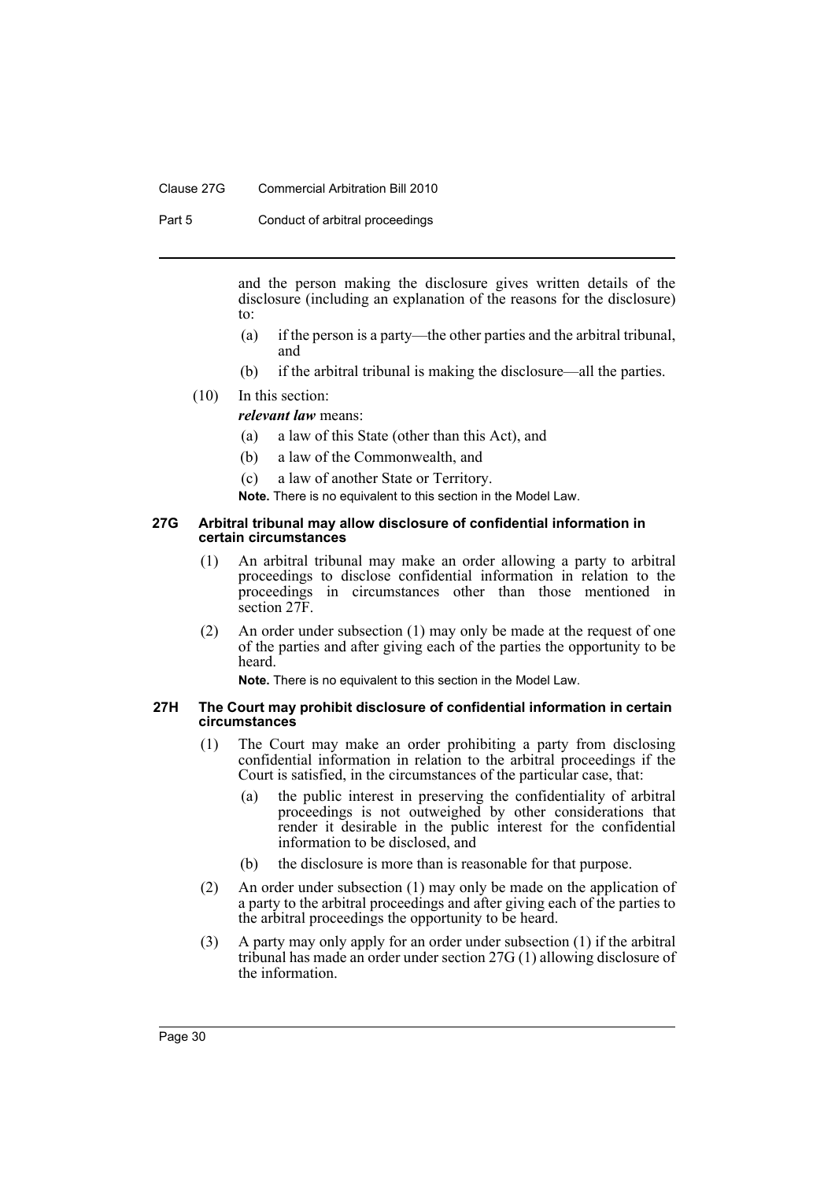### Clause 27G Commercial Arbitration Bill 2010

Part 5 Conduct of arbitral proceedings

and the person making the disclosure gives written details of the disclosure (including an explanation of the reasons for the disclosure) to:

- (a) if the person is a party—the other parties and the arbitral tribunal, and
- (b) if the arbitral tribunal is making the disclosure—all the parties.

# (10) In this section:

*relevant law* means:

- (a) a law of this State (other than this Act), and
- (b) a law of the Commonwealth, and
- (c) a law of another State or Territory.

**Note.** There is no equivalent to this section in the Model Law.

### <span id="page-33-0"></span>**27G Arbitral tribunal may allow disclosure of confidential information in certain circumstances**

- (1) An arbitral tribunal may make an order allowing a party to arbitral proceedings to disclose confidential information in relation to the proceedings in circumstances other than those mentioned in section 27F.
- (2) An order under subsection (1) may only be made at the request of one of the parties and after giving each of the parties the opportunity to be heard.

**Note.** There is no equivalent to this section in the Model Law.

#### <span id="page-33-1"></span>**27H The Court may prohibit disclosure of confidential information in certain circumstances**

- (1) The Court may make an order prohibiting a party from disclosing confidential information in relation to the arbitral proceedings if the Court is satisfied, in the circumstances of the particular case, that:
	- (a) the public interest in preserving the confidentiality of arbitral proceedings is not outweighed by other considerations that render it desirable in the public interest for the confidential information to be disclosed, and
	- (b) the disclosure is more than is reasonable for that purpose.
- (2) An order under subsection (1) may only be made on the application of a party to the arbitral proceedings and after giving each of the parties to the arbitral proceedings the opportunity to be heard.
- (3) A party may only apply for an order under subsection (1) if the arbitral tribunal has made an order under section 27G (1) allowing disclosure of the information.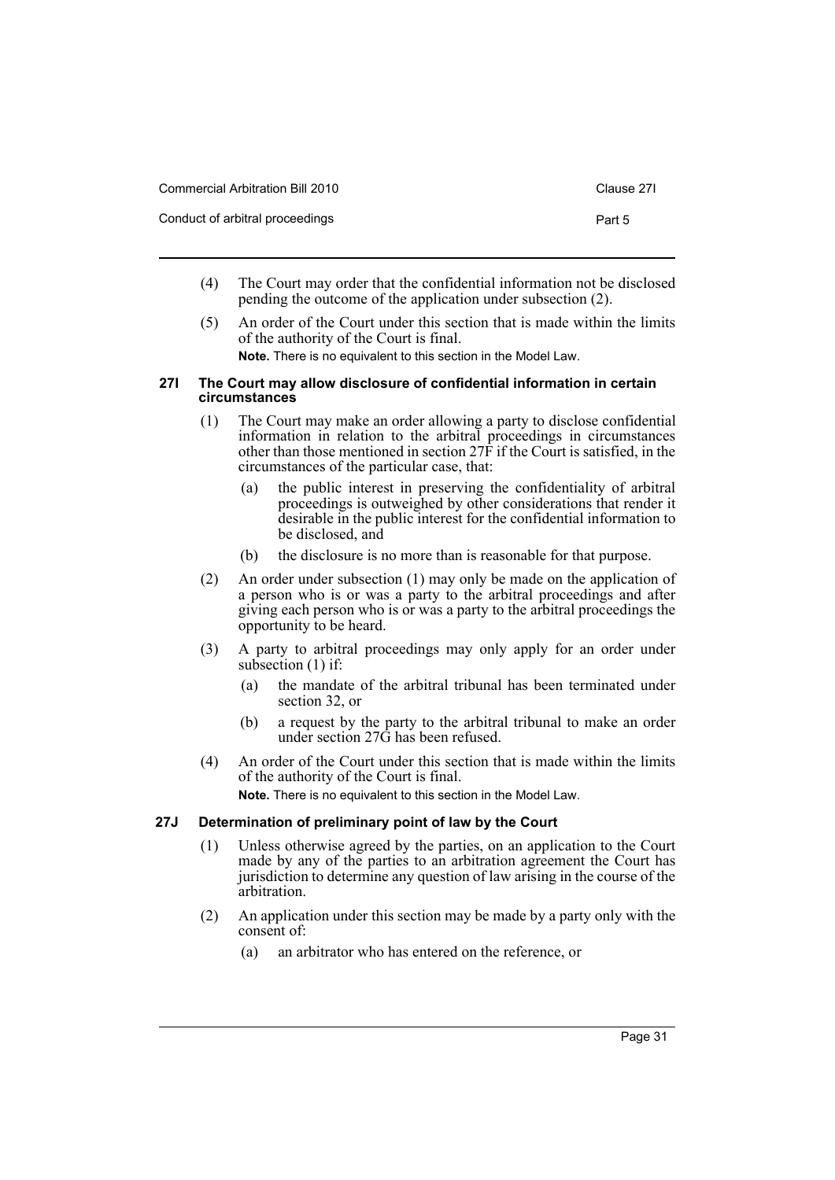| Commercial Arbitration Bill 2010 | Clause 271 |
|----------------------------------|------------|
| Conduct of arbitral proceedings  | Part 5     |

- (4) The Court may order that the confidential information not be disclosed pending the outcome of the application under subsection (2).
- (5) An order of the Court under this section that is made within the limits of the authority of the Court is final.

**Note.** There is no equivalent to this section in the Model Law.

### <span id="page-34-0"></span>**27I The Court may allow disclosure of confidential information in certain circumstances**

- (1) The Court may make an order allowing a party to disclose confidential information in relation to the arbitral proceedings in circumstances other than those mentioned in section 27F if the Court is satisfied, in the circumstances of the particular case, that:
	- (a) the public interest in preserving the confidentiality of arbitral proceedings is outweighed by other considerations that render it desirable in the public interest for the confidential information to be disclosed, and
	- (b) the disclosure is no more than is reasonable for that purpose.
- (2) An order under subsection (1) may only be made on the application of a person who is or was a party to the arbitral proceedings and after giving each person who is or was a party to the arbitral proceedings the opportunity to be heard.
- (3) A party to arbitral proceedings may only apply for an order under subsection (1) if:
	- (a) the mandate of the arbitral tribunal has been terminated under section 32, or
	- (b) a request by the party to the arbitral tribunal to make an order under section 27G has been refused.
- (4) An order of the Court under this section that is made within the limits of the authority of the Court is final.

**Note.** There is no equivalent to this section in the Model Law.

# <span id="page-34-1"></span>**27J Determination of preliminary point of law by the Court**

- (1) Unless otherwise agreed by the parties, on an application to the Court made by any of the parties to an arbitration agreement the Court has jurisdiction to determine any question of law arising in the course of the arbitration.
- (2) An application under this section may be made by a party only with the consent of:
	- (a) an arbitrator who has entered on the reference, or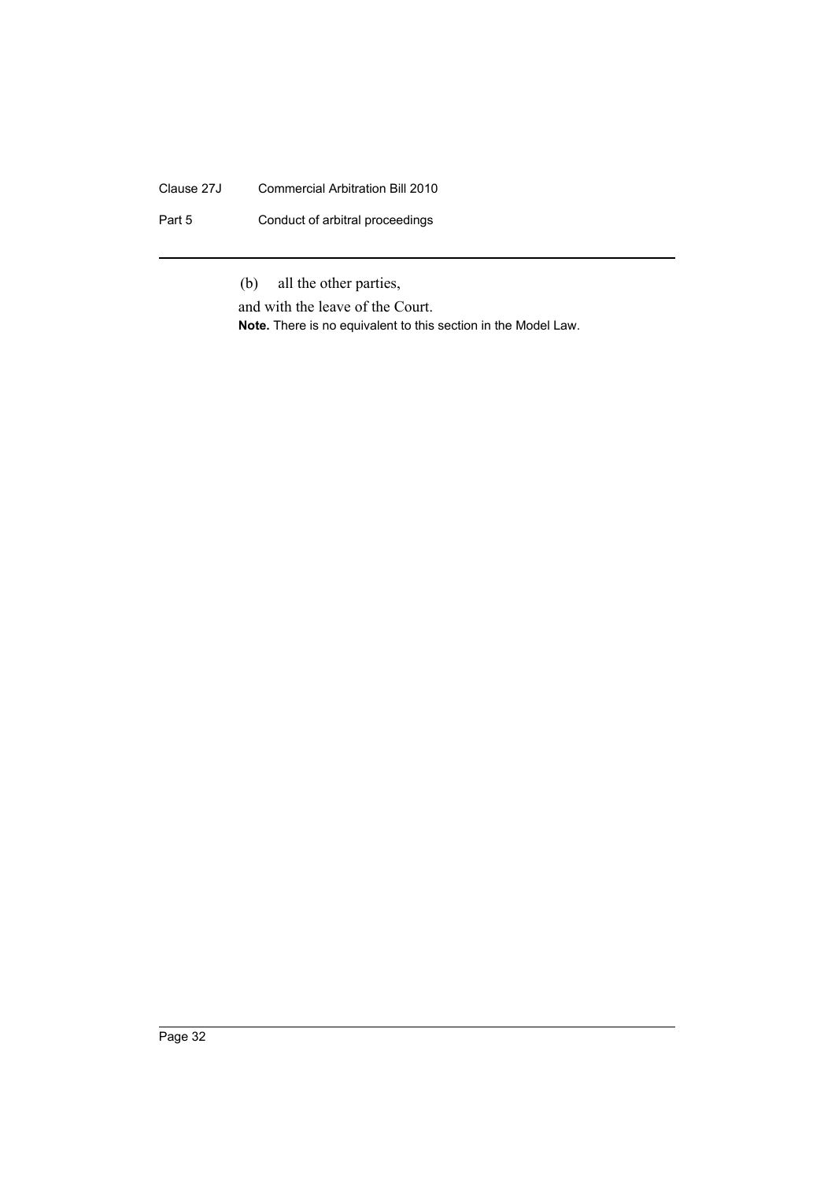# Clause 27J Commercial Arbitration Bill 2010

Part 5 Conduct of arbitral proceedings

(b) all the other parties,

and with the leave of the Court. **Note.** There is no equivalent to this section in the Model Law.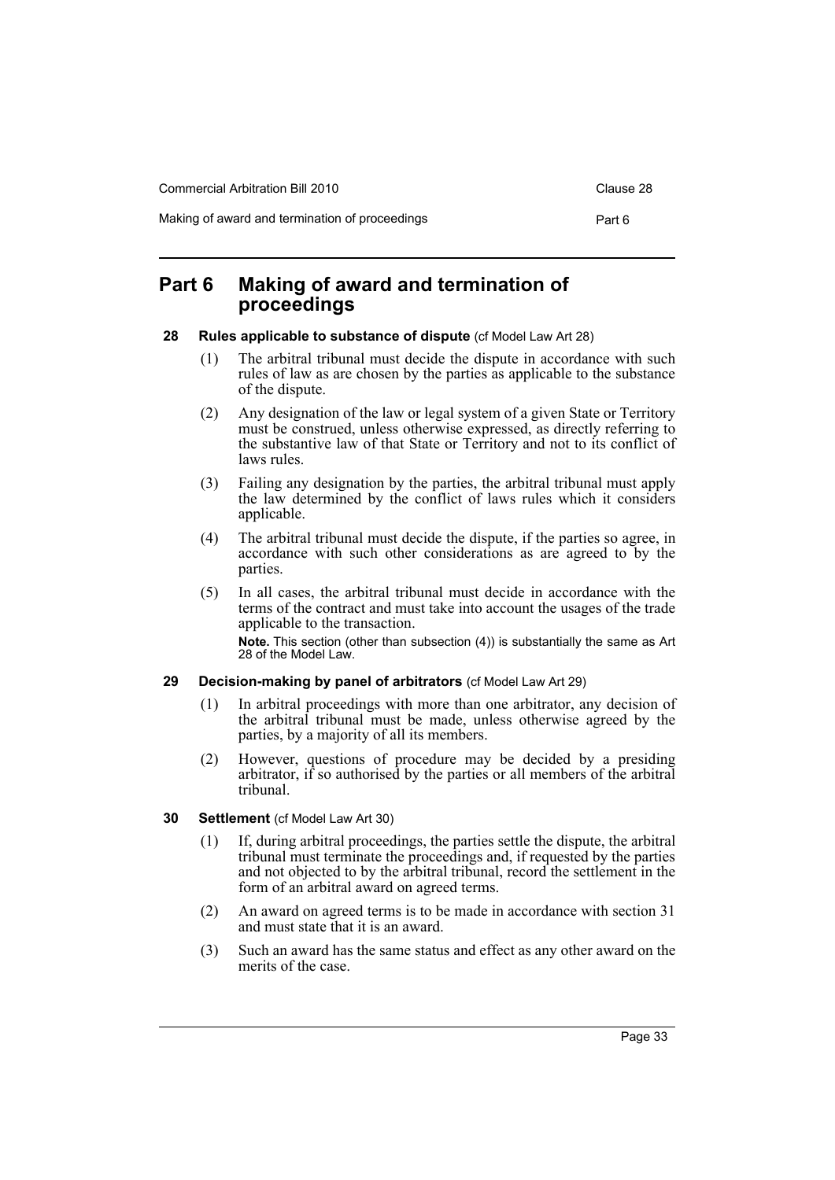Commercial Arbitration Bill 2010 Commercial Arbitration Bill 2010

Making of award and termination of proceedings example and the Part 6

# <span id="page-36-0"></span>**Part 6 Making of award and termination of proceedings**

### <span id="page-36-1"></span>**28 Rules applicable to substance of dispute** (cf Model Law Art 28)

- (1) The arbitral tribunal must decide the dispute in accordance with such rules of law as are chosen by the parties as applicable to the substance of the dispute.
- (2) Any designation of the law or legal system of a given State or Territory must be construed, unless otherwise expressed, as directly referring to the substantive law of that State or Territory and not to its conflict of laws rules.
- (3) Failing any designation by the parties, the arbitral tribunal must apply the law determined by the conflict of laws rules which it considers applicable.
- (4) The arbitral tribunal must decide the dispute, if the parties so agree, in accordance with such other considerations as are agreed to by the parties.
- (5) In all cases, the arbitral tribunal must decide in accordance with the terms of the contract and must take into account the usages of the trade applicable to the transaction. **Note.** This section (other than subsection (4)) is substantially the same as Art 28 of the Model Law.

# <span id="page-36-2"></span>**29 Decision-making by panel of arbitrators** (cf Model Law Art 29)

- (1) In arbitral proceedings with more than one arbitrator, any decision of the arbitral tribunal must be made, unless otherwise agreed by the parties, by a majority of all its members.
- (2) However, questions of procedure may be decided by a presiding arbitrator, if so authorised by the parties or all members of the arbitral tribunal.

# <span id="page-36-3"></span>**30 Settlement** (cf Model Law Art 30)

- (1) If, during arbitral proceedings, the parties settle the dispute, the arbitral tribunal must terminate the proceedings and, if requested by the parties and not objected to by the arbitral tribunal, record the settlement in the form of an arbitral award on agreed terms.
- (2) An award on agreed terms is to be made in accordance with section 31 and must state that it is an award.
- (3) Such an award has the same status and effect as any other award on the merits of the case.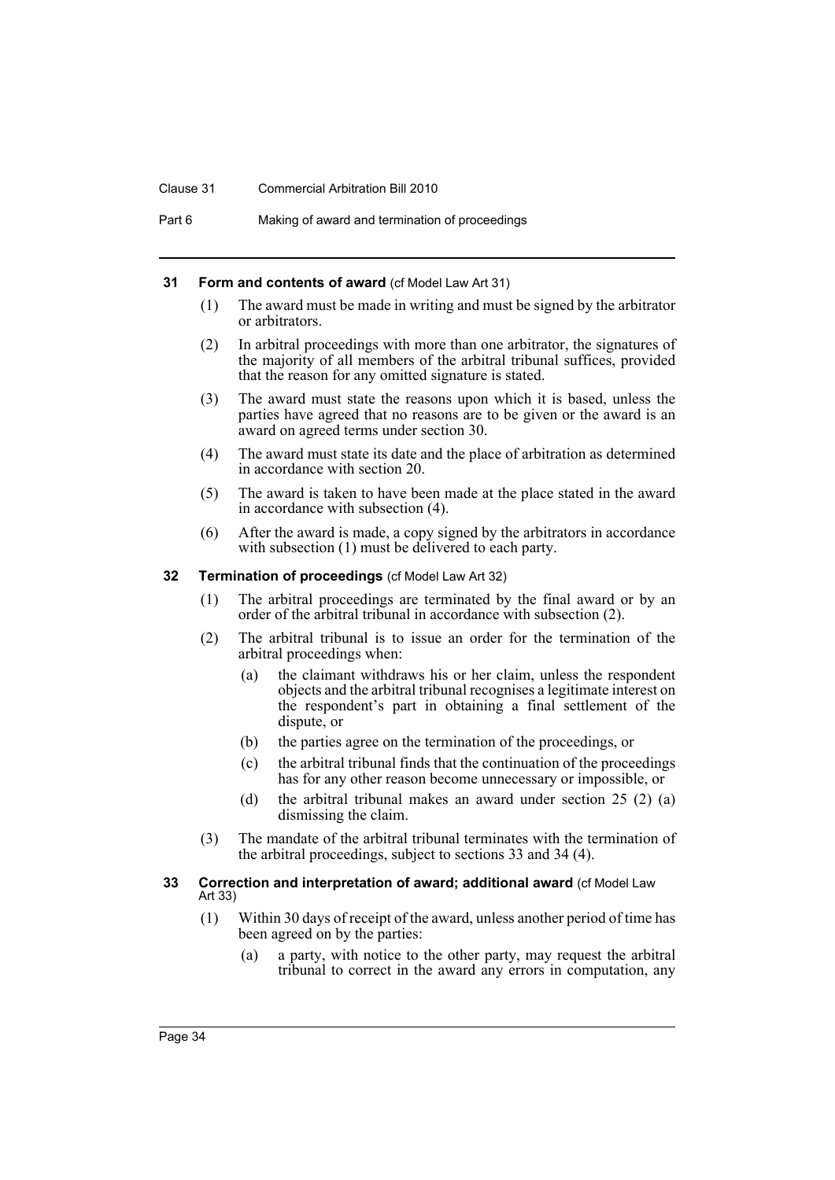#### Clause 31 Commercial Arbitration Bill 2010

### <span id="page-37-0"></span>**31 Form and contents of award** (cf Model Law Art 31)

- (1) The award must be made in writing and must be signed by the arbitrator or arbitrators.
- (2) In arbitral proceedings with more than one arbitrator, the signatures of the majority of all members of the arbitral tribunal suffices, provided that the reason for any omitted signature is stated.
- (3) The award must state the reasons upon which it is based, unless the parties have agreed that no reasons are to be given or the award is an award on agreed terms under section 30.
- (4) The award must state its date and the place of arbitration as determined in accordance with section 20.
- (5) The award is taken to have been made at the place stated in the award in accordance with subsection (4).
- (6) After the award is made, a copy signed by the arbitrators in accordance with subsection (1) must be delivered to each party.

# <span id="page-37-1"></span>**32 Termination of proceedings** (cf Model Law Art 32)

- (1) The arbitral proceedings are terminated by the final award or by an order of the arbitral tribunal in accordance with subsection (2).
- (2) The arbitral tribunal is to issue an order for the termination of the arbitral proceedings when:
	- (a) the claimant withdraws his or her claim, unless the respondent objects and the arbitral tribunal recognises a legitimate interest on the respondent's part in obtaining a final settlement of the dispute, or
	- (b) the parties agree on the termination of the proceedings, or
	- (c) the arbitral tribunal finds that the continuation of the proceedings has for any other reason become unnecessary or impossible, or
	- (d) the arbitral tribunal makes an award under section 25 (2) (a) dismissing the claim.
- (3) The mandate of the arbitral tribunal terminates with the termination of the arbitral proceedings, subject to sections 33 and 34 (4).

### <span id="page-37-2"></span>**33 Correction and interpretation of award; additional award** (cf Model Law Art 33)

- (1) Within 30 days of receipt of the award, unless another period of time has been agreed on by the parties:
	- (a) a party, with notice to the other party, may request the arbitral tribunal to correct in the award any errors in computation, any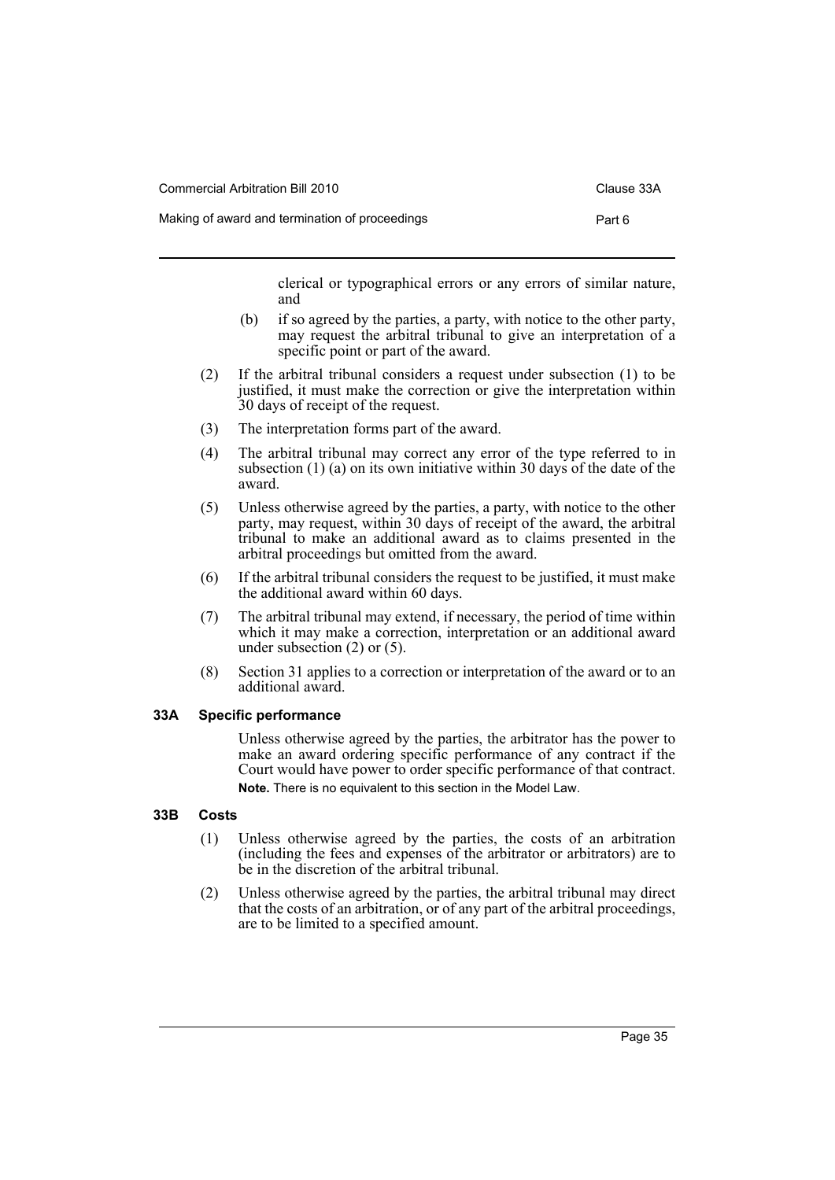Commercial Arbitration Bill 2010 Clause 33A

clerical or typographical errors or any errors of similar nature, and

- (b) if so agreed by the parties, a party, with notice to the other party, may request the arbitral tribunal to give an interpretation of a specific point or part of the award.
- (2) If the arbitral tribunal considers a request under subsection (1) to be justified, it must make the correction or give the interpretation within 30 days of receipt of the request.
- (3) The interpretation forms part of the award.
- (4) The arbitral tribunal may correct any error of the type referred to in subsection (1) (a) on its own initiative within 30 days of the date of the award.
- (5) Unless otherwise agreed by the parties, a party, with notice to the other party, may request, within 30 days of receipt of the award, the arbitral tribunal to make an additional award as to claims presented in the arbitral proceedings but omitted from the award.
- (6) If the arbitral tribunal considers the request to be justified, it must make the additional award within 60 days.
- (7) The arbitral tribunal may extend, if necessary, the period of time within which it may make a correction, interpretation or an additional award under subsection (2) or (5).
- (8) Section 31 applies to a correction or interpretation of the award or to an additional award.

### <span id="page-38-0"></span>**33A Specific performance**

Unless otherwise agreed by the parties, the arbitrator has the power to make an award ordering specific performance of any contract if the Court would have power to order specific performance of that contract. **Note.** There is no equivalent to this section in the Model Law.

# <span id="page-38-1"></span>**33B Costs**

- (1) Unless otherwise agreed by the parties, the costs of an arbitration (including the fees and expenses of the arbitrator or arbitrators) are to be in the discretion of the arbitral tribunal.
- (2) Unless otherwise agreed by the parties, the arbitral tribunal may direct that the costs of an arbitration, or of any part of the arbitral proceedings, are to be limited to a specified amount.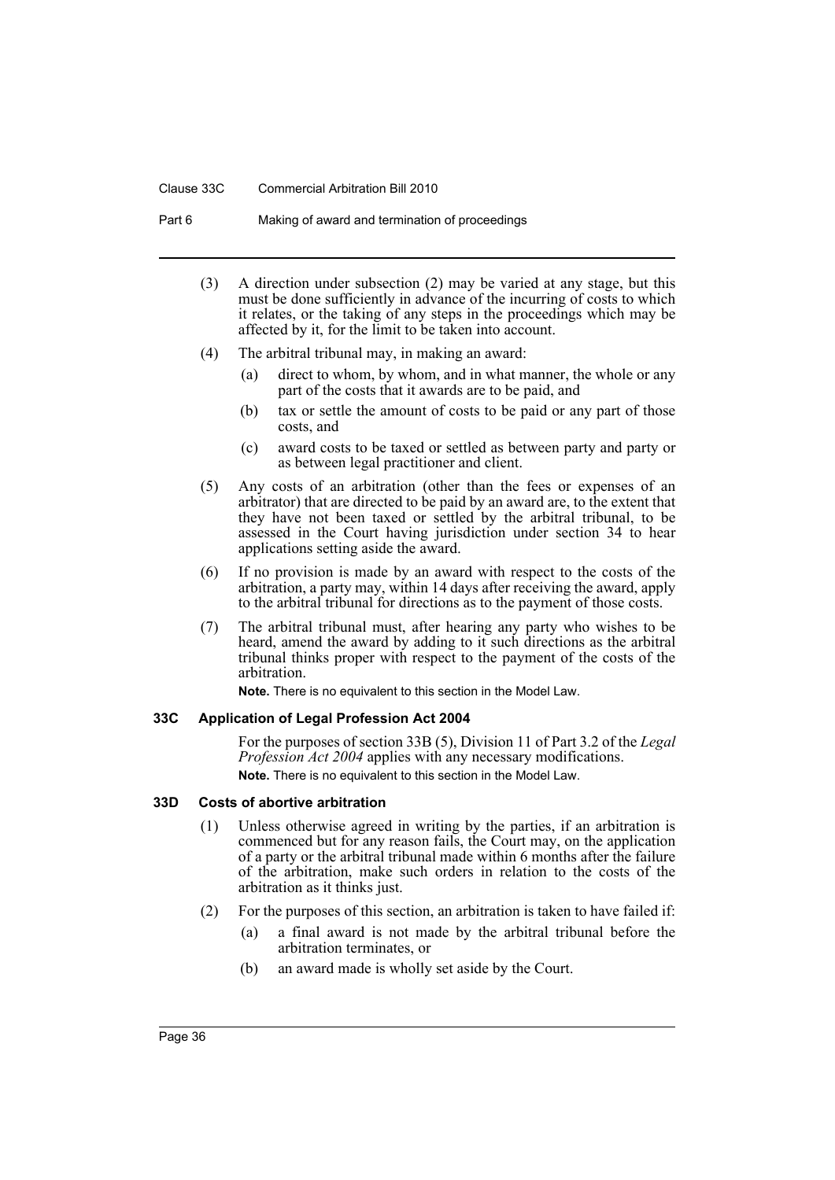#### Clause 33C Commercial Arbitration Bill 2010

Part 6 Making of award and termination of proceedings

- (3) A direction under subsection (2) may be varied at any stage, but this must be done sufficiently in advance of the incurring of costs to which it relates, or the taking of any steps in the proceedings which may be affected by it, for the limit to be taken into account.
- (4) The arbitral tribunal may, in making an award:
	- (a) direct to whom, by whom, and in what manner, the whole or any part of the costs that it awards are to be paid, and
	- (b) tax or settle the amount of costs to be paid or any part of those costs, and
	- (c) award costs to be taxed or settled as between party and party or as between legal practitioner and client.
- (5) Any costs of an arbitration (other than the fees or expenses of an arbitrator) that are directed to be paid by an award are, to the extent that they have not been taxed or settled by the arbitral tribunal, to be assessed in the Court having jurisdiction under section 34 to hear applications setting aside the award.
- (6) If no provision is made by an award with respect to the costs of the arbitration, a party may, within 14 days after receiving the award, apply to the arbitral tribunal for directions as to the payment of those costs.
- (7) The arbitral tribunal must, after hearing any party who wishes to be heard, amend the award by adding to it such directions as the arbitral tribunal thinks proper with respect to the payment of the costs of the arbitration.

**Note.** There is no equivalent to this section in the Model Law.

# <span id="page-39-0"></span>**33C Application of Legal Profession Act 2004**

For the purposes of section 33B (5), Division 11 of Part 3.2 of the *Legal Profession Act 2004* applies with any necessary modifications. **Note.** There is no equivalent to this section in the Model Law.

#### <span id="page-39-1"></span>**33D Costs of abortive arbitration**

- (1) Unless otherwise agreed in writing by the parties, if an arbitration is commenced but for any reason fails, the Court may, on the application of a party or the arbitral tribunal made within 6 months after the failure of the arbitration, make such orders in relation to the costs of the arbitration as it thinks just.
- (2) For the purposes of this section, an arbitration is taken to have failed if:
	- (a) a final award is not made by the arbitral tribunal before the arbitration terminates, or
	- (b) an award made is wholly set aside by the Court.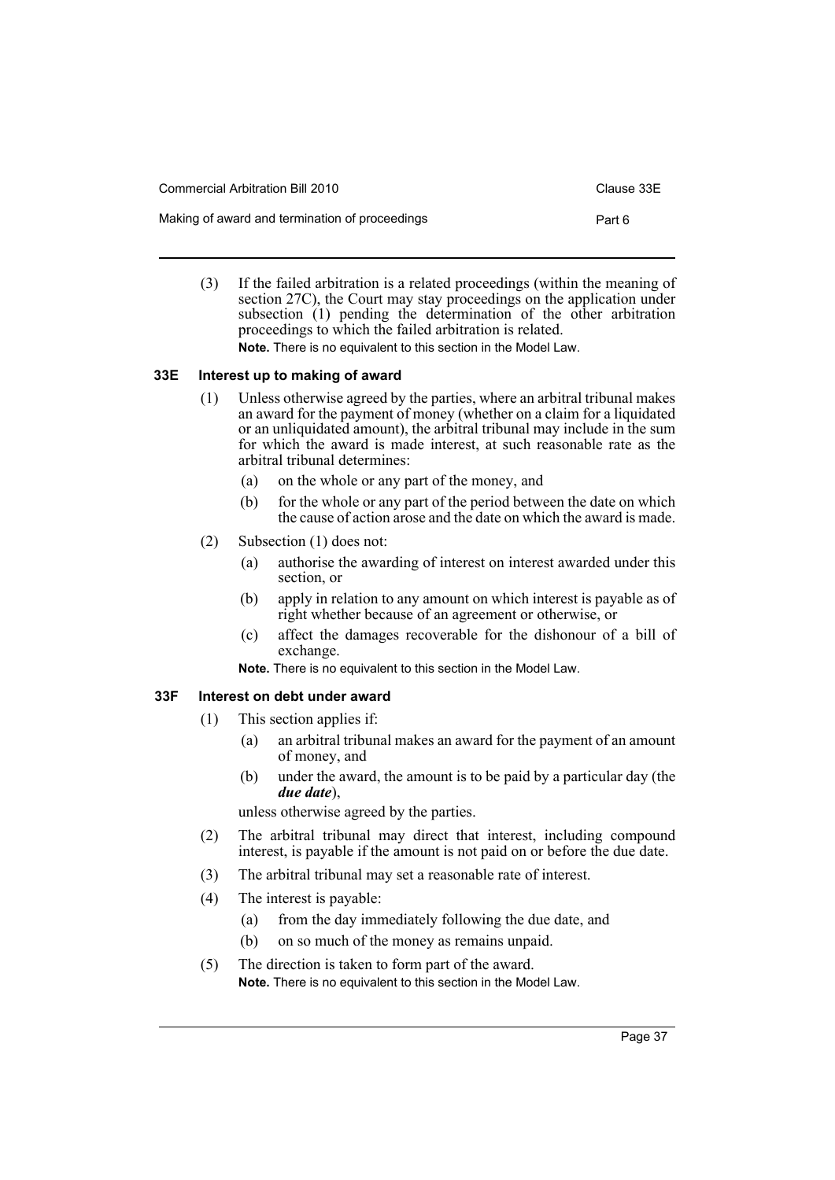| Commercial Arbitration Bill 2010               | Clause 33E |
|------------------------------------------------|------------|
| Making of award and termination of proceedings | Part 6     |

(3) If the failed arbitration is a related proceedings (within the meaning of section 27C), the Court may stay proceedings on the application under subsection (1) pending the determination of the other arbitration proceedings to which the failed arbitration is related. **Note.** There is no equivalent to this section in the Model Law.

### <span id="page-40-0"></span>**33E Interest up to making of award**

- (1) Unless otherwise agreed by the parties, where an arbitral tribunal makes an award for the payment of money (whether on a claim for a liquidated or an unliquidated amount), the arbitral tribunal may include in the sum for which the award is made interest, at such reasonable rate as the arbitral tribunal determines:
	- (a) on the whole or any part of the money, and
	- (b) for the whole or any part of the period between the date on which the cause of action arose and the date on which the award is made.
- (2) Subsection (1) does not:
	- (a) authorise the awarding of interest on interest awarded under this section, or
	- (b) apply in relation to any amount on which interest is payable as of right whether because of an agreement or otherwise, or
	- (c) affect the damages recoverable for the dishonour of a bill of exchange.

**Note.** There is no equivalent to this section in the Model Law.

# <span id="page-40-1"></span>**33F Interest on debt under award**

- (1) This section applies if:
	- (a) an arbitral tribunal makes an award for the payment of an amount of money, and
	- (b) under the award, the amount is to be paid by a particular day (the *due date*),

unless otherwise agreed by the parties.

- (2) The arbitral tribunal may direct that interest, including compound interest, is payable if the amount is not paid on or before the due date.
- (3) The arbitral tribunal may set a reasonable rate of interest.
- (4) The interest is payable:
	- (a) from the day immediately following the due date, and
	- (b) on so much of the money as remains unpaid.
- (5) The direction is taken to form part of the award. **Note.** There is no equivalent to this section in the Model Law.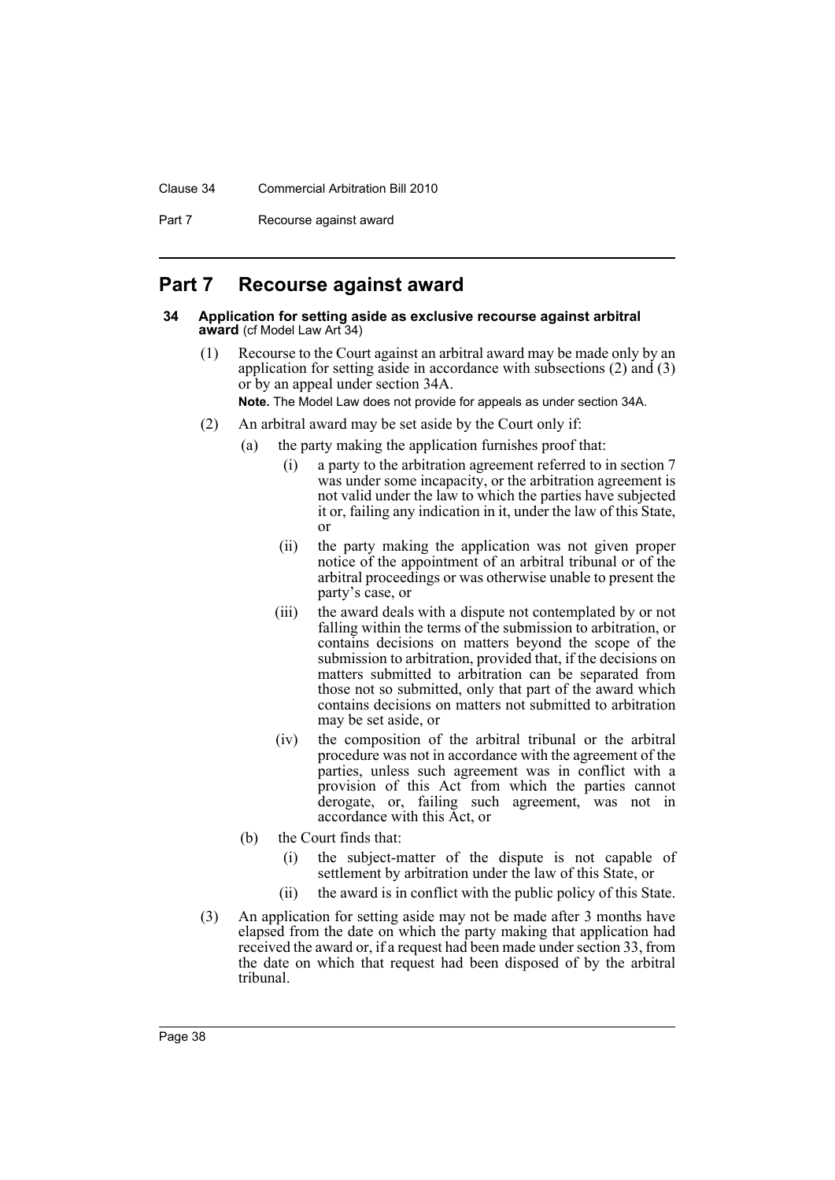### Clause 34 Commercial Arbitration Bill 2010

Part 7 Recourse against award

# <span id="page-41-0"></span>**Part 7 Recourse against award**

#### <span id="page-41-1"></span>**34 Application for setting aside as exclusive recourse against arbitral award** (cf Model Law Art 34)

(1) Recourse to the Court against an arbitral award may be made only by an application for setting aside in accordance with subsections (2) and (3) or by an appeal under section 34A.

**Note.** The Model Law does not provide for appeals as under section 34A.

- (2) An arbitral award may be set aside by the Court only if:
	- (a) the party making the application furnishes proof that:
		- (i) a party to the arbitration agreement referred to in section 7 was under some incapacity, or the arbitration agreement is not valid under the law to which the parties have subjected it or, failing any indication in it, under the law of this State, or
		- (ii) the party making the application was not given proper notice of the appointment of an arbitral tribunal or of the arbitral proceedings or was otherwise unable to present the party's case, or
		- (iii) the award deals with a dispute not contemplated by or not falling within the terms of the submission to arbitration, or contains decisions on matters beyond the scope of the submission to arbitration, provided that, if the decisions on matters submitted to arbitration can be separated from those not so submitted, only that part of the award which contains decisions on matters not submitted to arbitration may be set aside, or
		- (iv) the composition of the arbitral tribunal or the arbitral procedure was not in accordance with the agreement of the parties, unless such agreement was in conflict with a provision of this Act from which the parties cannot derogate, or, failing such agreement, was not in accordance with this Act, or
	- (b) the Court finds that:
		- (i) the subject-matter of the dispute is not capable of settlement by arbitration under the law of this State, or
		- (ii) the award is in conflict with the public policy of this State.
- (3) An application for setting aside may not be made after 3 months have elapsed from the date on which the party making that application had received the award or, if a request had been made under section 33, from the date on which that request had been disposed of by the arbitral tribunal.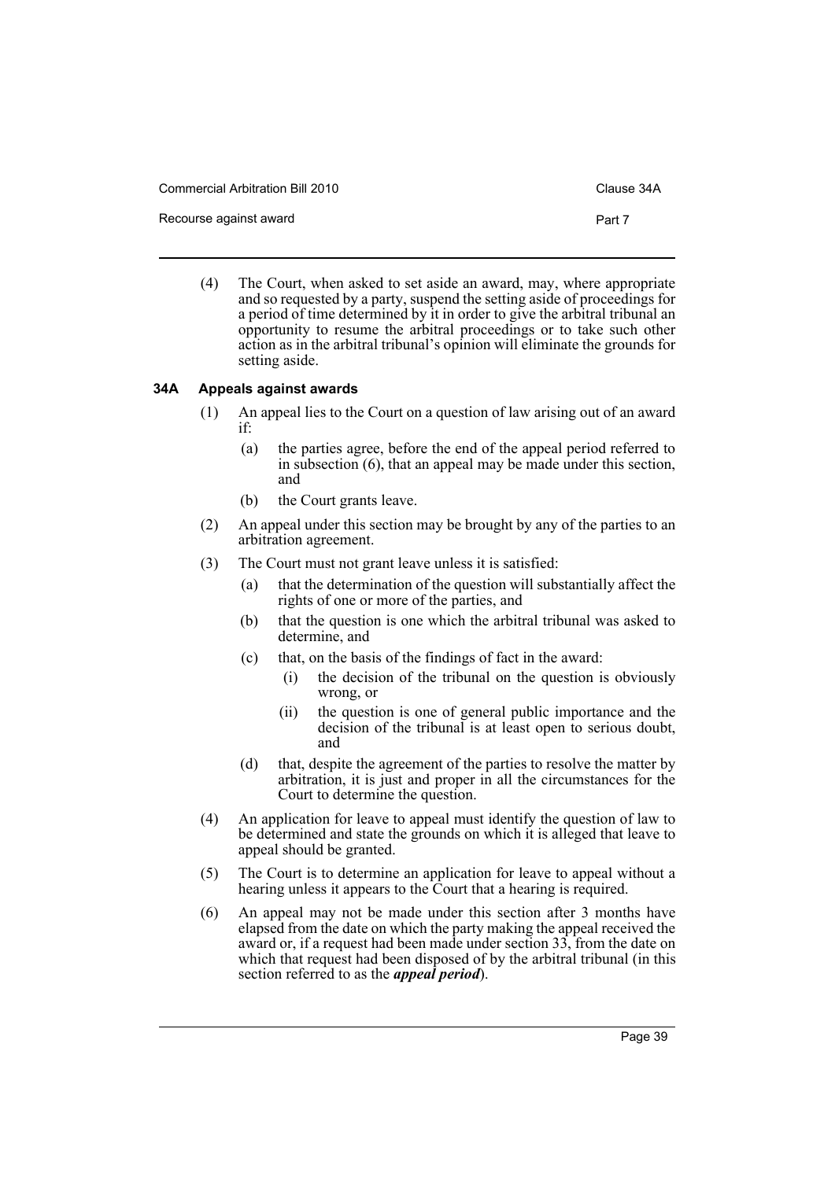Commercial Arbitration Bill 2010 Clause 34A

Recourse against award **Part 7 Part 7** 

(4) The Court, when asked to set aside an award, may, where appropriate and so requested by a party, suspend the setting aside of proceedings for a period of time determined by it in order to give the arbitral tribunal an opportunity to resume the arbitral proceedings or to take such other action as in the arbitral tribunal's opinion will eliminate the grounds for setting aside.

### <span id="page-42-0"></span>**34A Appeals against awards**

- (1) An appeal lies to the Court on a question of law arising out of an award if:
	- (a) the parties agree, before the end of the appeal period referred to in subsection (6), that an appeal may be made under this section, and
	- (b) the Court grants leave.
- (2) An appeal under this section may be brought by any of the parties to an arbitration agreement.
- (3) The Court must not grant leave unless it is satisfied:
	- (a) that the determination of the question will substantially affect the rights of one or more of the parties, and
	- (b) that the question is one which the arbitral tribunal was asked to determine, and
	- (c) that, on the basis of the findings of fact in the award:
		- (i) the decision of the tribunal on the question is obviously wrong, or
		- (ii) the question is one of general public importance and the decision of the tribunal is at least open to serious doubt, and
	- (d) that, despite the agreement of the parties to resolve the matter by arbitration, it is just and proper in all the circumstances for the Court to determine the question.
- (4) An application for leave to appeal must identify the question of law to be determined and state the grounds on which it is alleged that leave to appeal should be granted.
- (5) The Court is to determine an application for leave to appeal without a hearing unless it appears to the Court that a hearing is required.
- (6) An appeal may not be made under this section after 3 months have elapsed from the date on which the party making the appeal received the award or, if a request had been made under section 33, from the date on which that request had been disposed of by the arbitral tribunal (in this section referred to as the *appeal period*).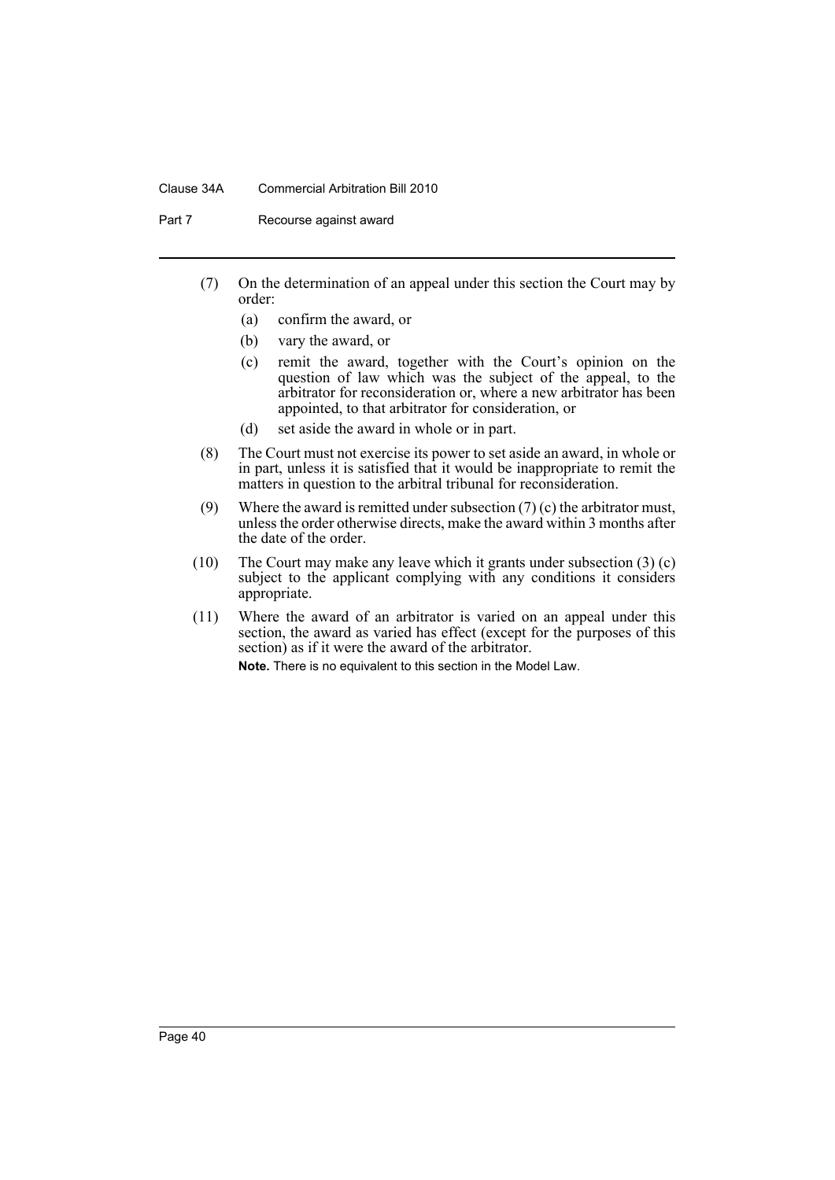### Clause 34A Commercial Arbitration Bill 2010

Part 7 Recourse against award

- (7) On the determination of an appeal under this section the Court may by order:
	- (a) confirm the award, or
	- (b) vary the award, or
	- (c) remit the award, together with the Court's opinion on the question of law which was the subject of the appeal, to the arbitrator for reconsideration or, where a new arbitrator has been appointed, to that arbitrator for consideration, or
	- (d) set aside the award in whole or in part.
- (8) The Court must not exercise its power to set aside an award, in whole or in part, unless it is satisfied that it would be inappropriate to remit the matters in question to the arbitral tribunal for reconsideration.
- (9) Where the award is remitted under subsection  $(7)$  (c) the arbitrator must, unless the order otherwise directs, make the award within 3 months after the date of the order.
- (10) The Court may make any leave which it grants under subsection  $(3)(c)$ subject to the applicant complying with any conditions it considers appropriate.
- (11) Where the award of an arbitrator is varied on an appeal under this section, the award as varied has effect (except for the purposes of this section) as if it were the award of the arbitrator. **Note.** There is no equivalent to this section in the Model Law.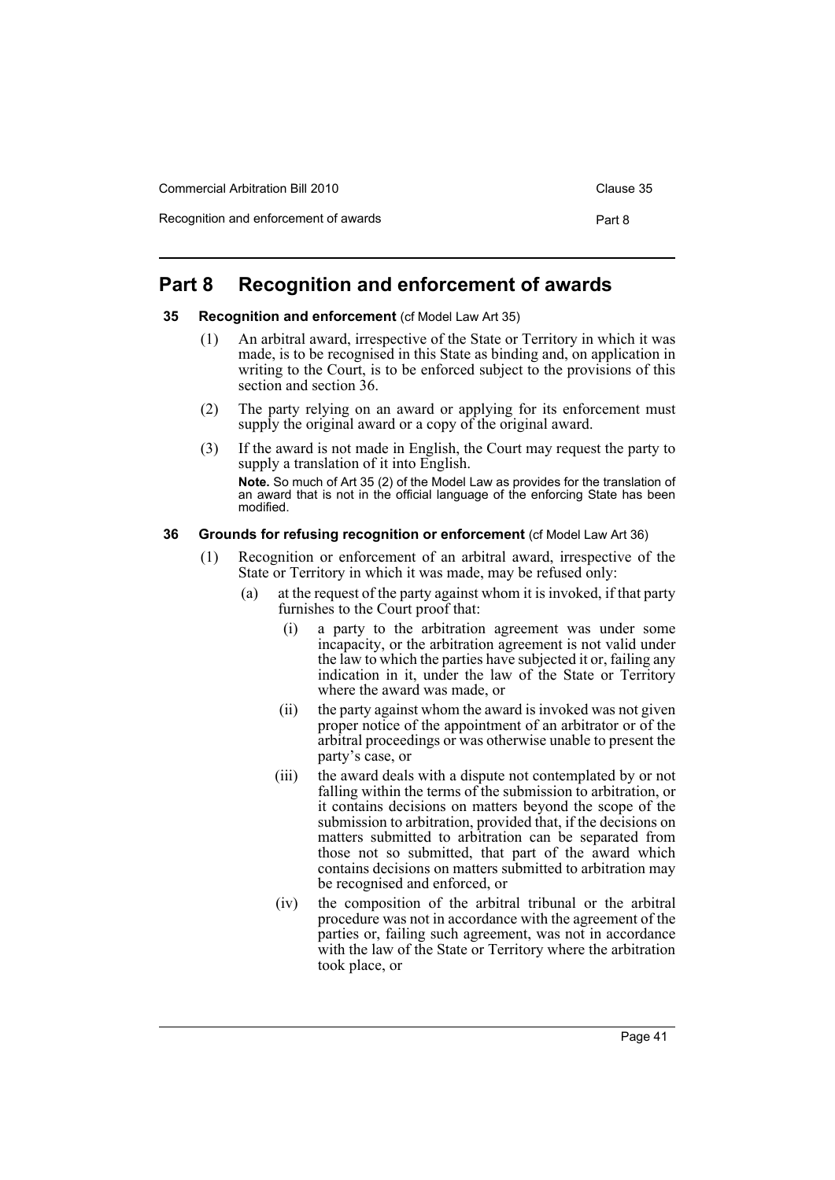# <span id="page-44-0"></span>**Part 8 Recognition and enforcement of awards**

### <span id="page-44-1"></span>**35 Recognition and enforcement** (cf Model Law Art 35)

- (1) An arbitral award, irrespective of the State or Territory in which it was made, is to be recognised in this State as binding and, on application in writing to the Court, is to be enforced subject to the provisions of this section and section 36.
- (2) The party relying on an award or applying for its enforcement must supply the original award or a copy of the original award.
- (3) If the award is not made in English, the Court may request the party to supply a translation of it into English.

**Note.** So much of Art 35 (2) of the Model Law as provides for the translation of an award that is not in the official language of the enforcing State has been modified.

### <span id="page-44-2"></span>**36 Grounds for refusing recognition or enforcement** (cf Model Law Art 36)

- (1) Recognition or enforcement of an arbitral award, irrespective of the State or Territory in which it was made, may be refused only:
	- (a) at the request of the party against whom it is invoked, if that party furnishes to the Court proof that:
		- (i) a party to the arbitration agreement was under some incapacity, or the arbitration agreement is not valid under the law to which the parties have subjected it or, failing any indication in it, under the law of the State or Territory where the award was made, or
		- (ii) the party against whom the award is invoked was not given proper notice of the appointment of an arbitrator or of the arbitral proceedings or was otherwise unable to present the party's case, or
		- (iii) the award deals with a dispute not contemplated by or not falling within the terms of the submission to arbitration, or it contains decisions on matters beyond the scope of the submission to arbitration, provided that, if the decisions on matters submitted to arbitration can be separated from those not so submitted, that part of the award which contains decisions on matters submitted to arbitration may be recognised and enforced, or
		- (iv) the composition of the arbitral tribunal or the arbitral procedure was not in accordance with the agreement of the parties or, failing such agreement, was not in accordance with the law of the State or Territory where the arbitration took place, or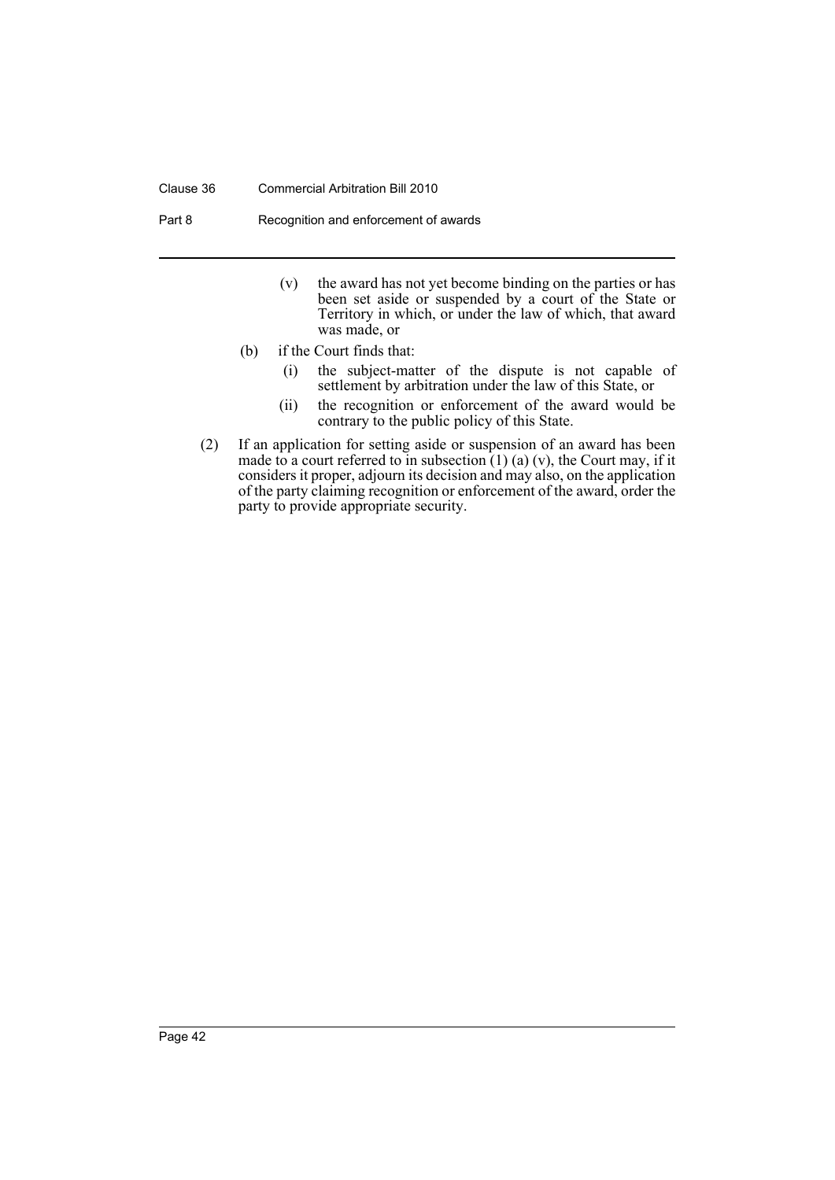#### Clause 36 Commercial Arbitration Bill 2010

Part 8 Recognition and enforcement of awards

- (v) the award has not yet become binding on the parties or has been set aside or suspended by a court of the State or Territory in which, or under the law of which, that award was made, or
- (b) if the Court finds that:
	- (i) the subject-matter of the dispute is not capable of settlement by arbitration under the law of this State, or
	- (ii) the recognition or enforcement of the award would be contrary to the public policy of this State.
- (2) If an application for setting aside or suspension of an award has been made to a court referred to in subsection  $(1)$  (a) (v), the Court may, if it considers it proper, adjourn its decision and may also, on the application of the party claiming recognition or enforcement of the award, order the party to provide appropriate security.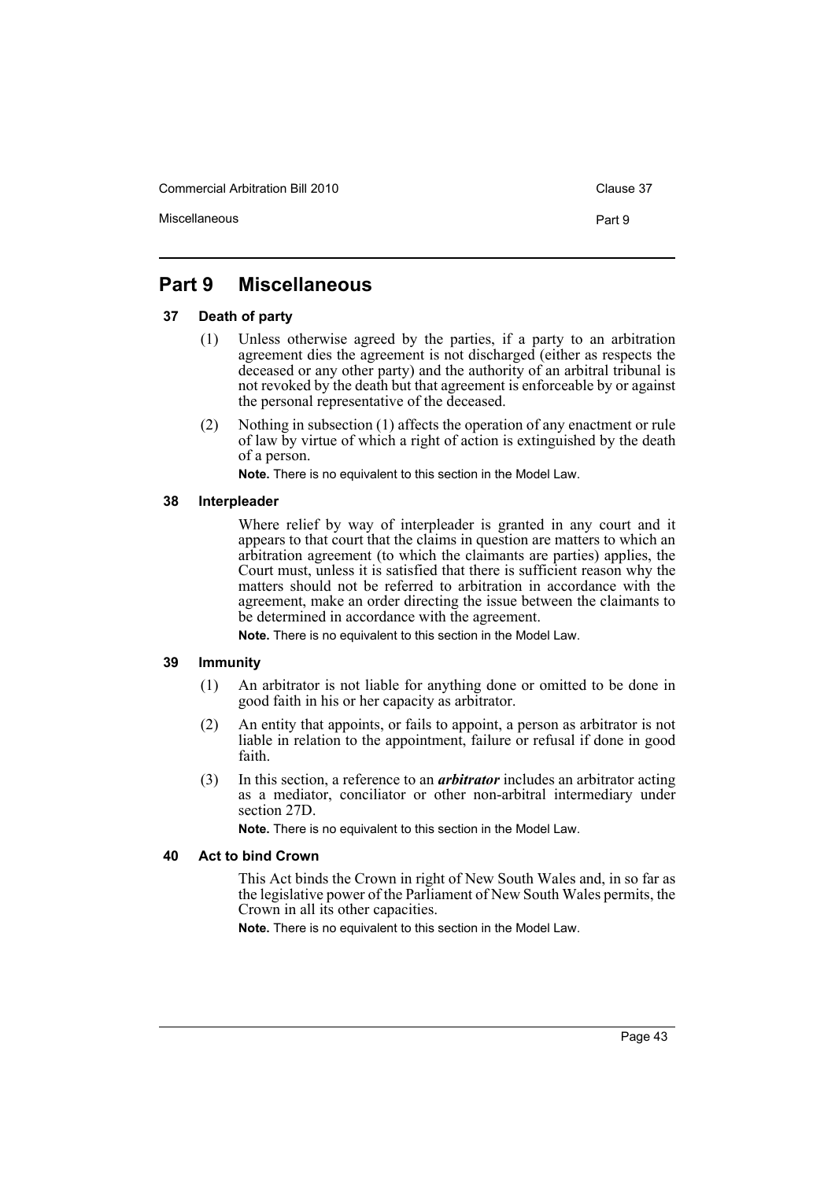Commercial Arbitration Bill 2010 Commercial Arbitration Bill 2010

Miscellaneous **Part 9** 

# <span id="page-46-0"></span>**Part 9 Miscellaneous**

# <span id="page-46-1"></span>**37 Death of party**

- (1) Unless otherwise agreed by the parties, if a party to an arbitration agreement dies the agreement is not discharged (either as respects the deceased or any other party) and the authority of an arbitral tribunal is not revoked by the death but that agreement is enforceable by or against the personal representative of the deceased.
- (2) Nothing in subsection (1) affects the operation of any enactment or rule of law by virtue of which a right of action is extinguished by the death of a person.

**Note.** There is no equivalent to this section in the Model Law.

### <span id="page-46-2"></span>**38 Interpleader**

Where relief by way of interpleader is granted in any court and it appears to that court that the claims in question are matters to which an arbitration agreement (to which the claimants are parties) applies, the Court must, unless it is satisfied that there is sufficient reason why the matters should not be referred to arbitration in accordance with the agreement, make an order directing the issue between the claimants to be determined in accordance with the agreement.

**Note.** There is no equivalent to this section in the Model Law.

# <span id="page-46-3"></span>**39 Immunity**

- (1) An arbitrator is not liable for anything done or omitted to be done in good faith in his or her capacity as arbitrator.
- (2) An entity that appoints, or fails to appoint, a person as arbitrator is not liable in relation to the appointment, failure or refusal if done in good faith.
- (3) In this section, a reference to an *arbitrator* includes an arbitrator acting as a mediator, conciliator or other non-arbitral intermediary under section 27D.

**Note.** There is no equivalent to this section in the Model Law.

### <span id="page-46-4"></span>**40 Act to bind Crown**

This Act binds the Crown in right of New South Wales and, in so far as the legislative power of the Parliament of New South Wales permits, the Crown in all its other capacities.

**Note.** There is no equivalent to this section in the Model Law.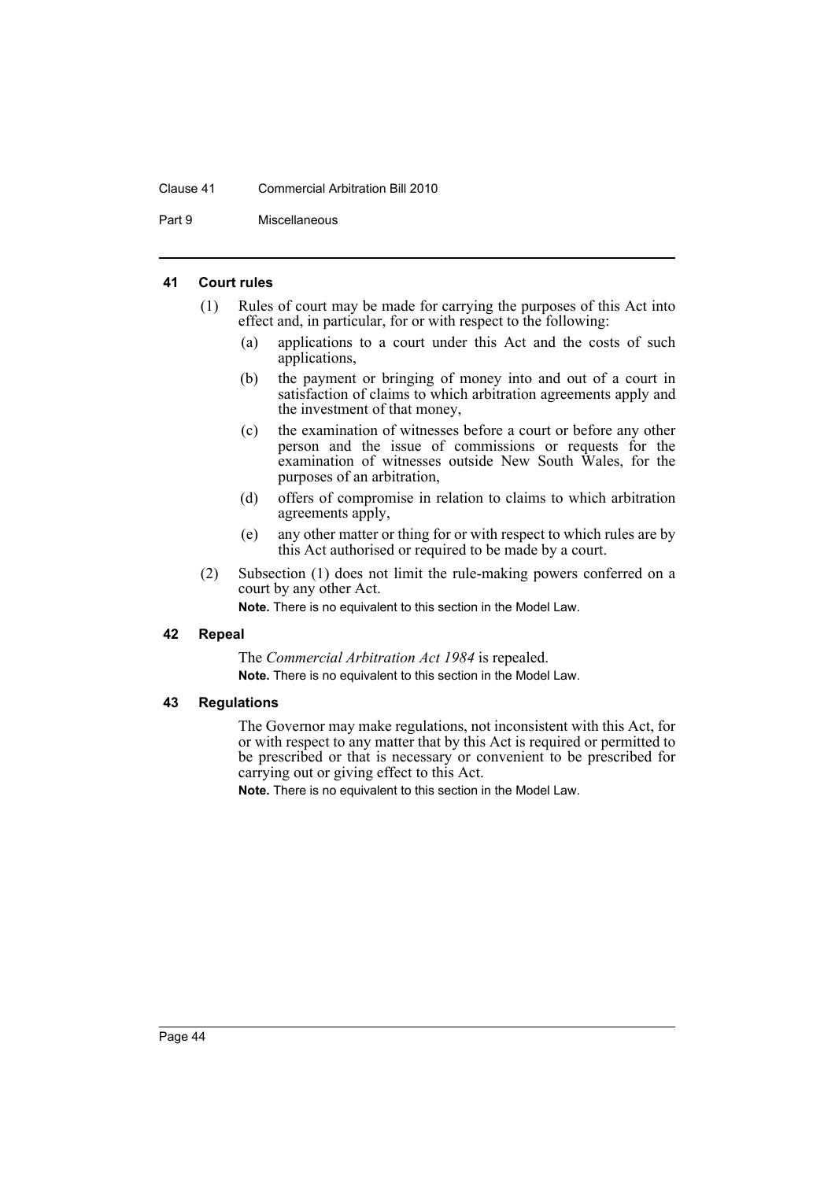### Clause 41 Commercial Arbitration Bill 2010

Part 9 Miscellaneous

### <span id="page-47-0"></span>**41 Court rules**

- (1) Rules of court may be made for carrying the purposes of this Act into effect and, in particular, for or with respect to the following:
	- (a) applications to a court under this Act and the costs of such applications,
	- (b) the payment or bringing of money into and out of a court in satisfaction of claims to which arbitration agreements apply and the investment of that money,
	- (c) the examination of witnesses before a court or before any other person and the issue of commissions or requests for the examination of witnesses outside New South Wales, for the purposes of an arbitration,
	- (d) offers of compromise in relation to claims to which arbitration agreements apply,
	- (e) any other matter or thing for or with respect to which rules are by this Act authorised or required to be made by a court.
- (2) Subsection (1) does not limit the rule-making powers conferred on a court by any other Act.

**Note.** There is no equivalent to this section in the Model Law.

### <span id="page-47-1"></span>**42 Repeal**

The *Commercial Arbitration Act 1984* is repealed. **Note.** There is no equivalent to this section in the Model Law.

#### <span id="page-47-2"></span>**43 Regulations**

The Governor may make regulations, not inconsistent with this Act, for or with respect to any matter that by this Act is required or permitted to be prescribed or that is necessary or convenient to be prescribed for carrying out or giving effect to this Act.

**Note.** There is no equivalent to this section in the Model Law.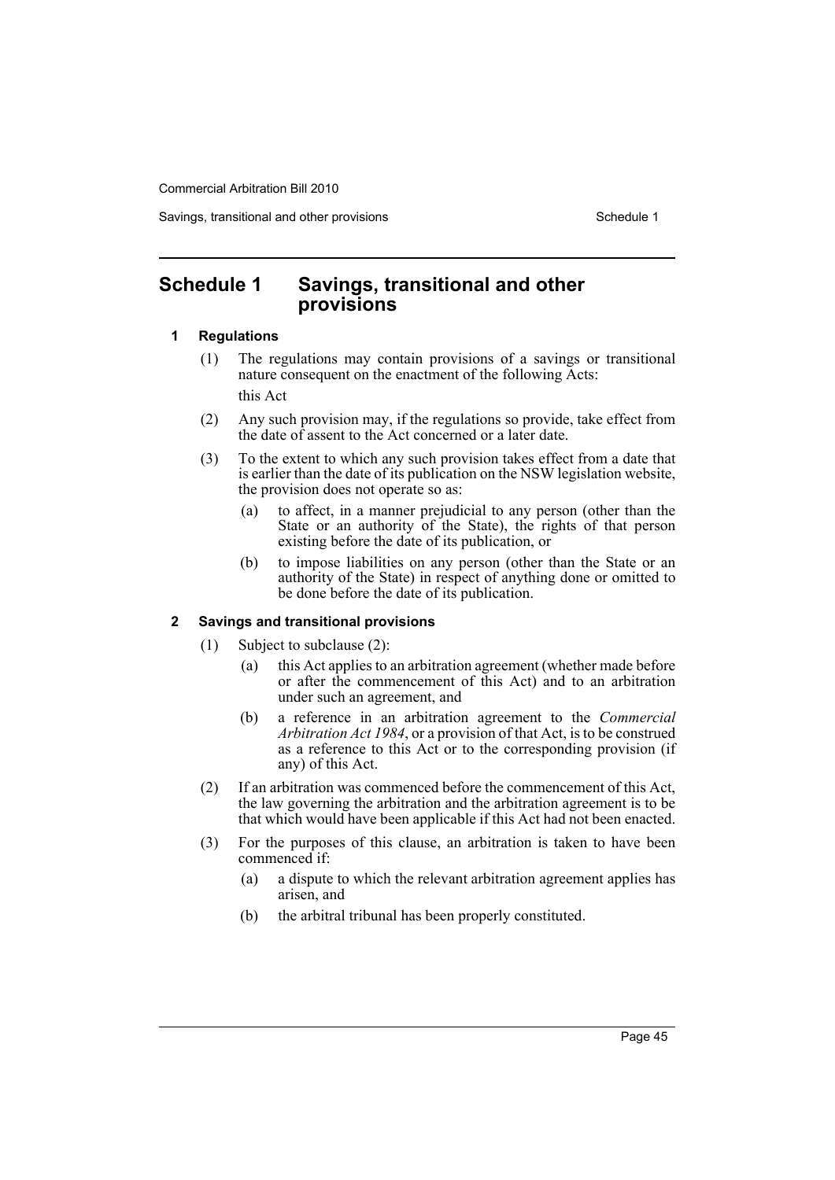Savings, transitional and other provisions Schedule 1 and the state of the Schedule 1

# <span id="page-48-0"></span>**Schedule 1 Savings, transitional and other provisions**

### **1 Regulations**

- (1) The regulations may contain provisions of a savings or transitional nature consequent on the enactment of the following Acts: this Act
- (2) Any such provision may, if the regulations so provide, take effect from the date of assent to the Act concerned or a later date.
- (3) To the extent to which any such provision takes effect from a date that is earlier than the date of its publication on the NSW legislation website, the provision does not operate so as:
	- (a) to affect, in a manner prejudicial to any person (other than the State or an authority of the State), the rights of that person existing before the date of its publication, or
	- (b) to impose liabilities on any person (other than the State or an authority of the State) in respect of anything done or omitted to be done before the date of its publication.

# **2 Savings and transitional provisions**

- (1) Subject to subclause (2):
	- (a) this Act applies to an arbitration agreement (whether made before or after the commencement of this Act) and to an arbitration under such an agreement, and
	- (b) a reference in an arbitration agreement to the *Commercial Arbitration Act 1984*, or a provision of that Act, is to be construed as a reference to this Act or to the corresponding provision (if any) of this Act.
- (2) If an arbitration was commenced before the commencement of this Act, the law governing the arbitration and the arbitration agreement is to be that which would have been applicable if this Act had not been enacted.
- (3) For the purposes of this clause, an arbitration is taken to have been commenced if:
	- (a) a dispute to which the relevant arbitration agreement applies has arisen, and
	- (b) the arbitral tribunal has been properly constituted.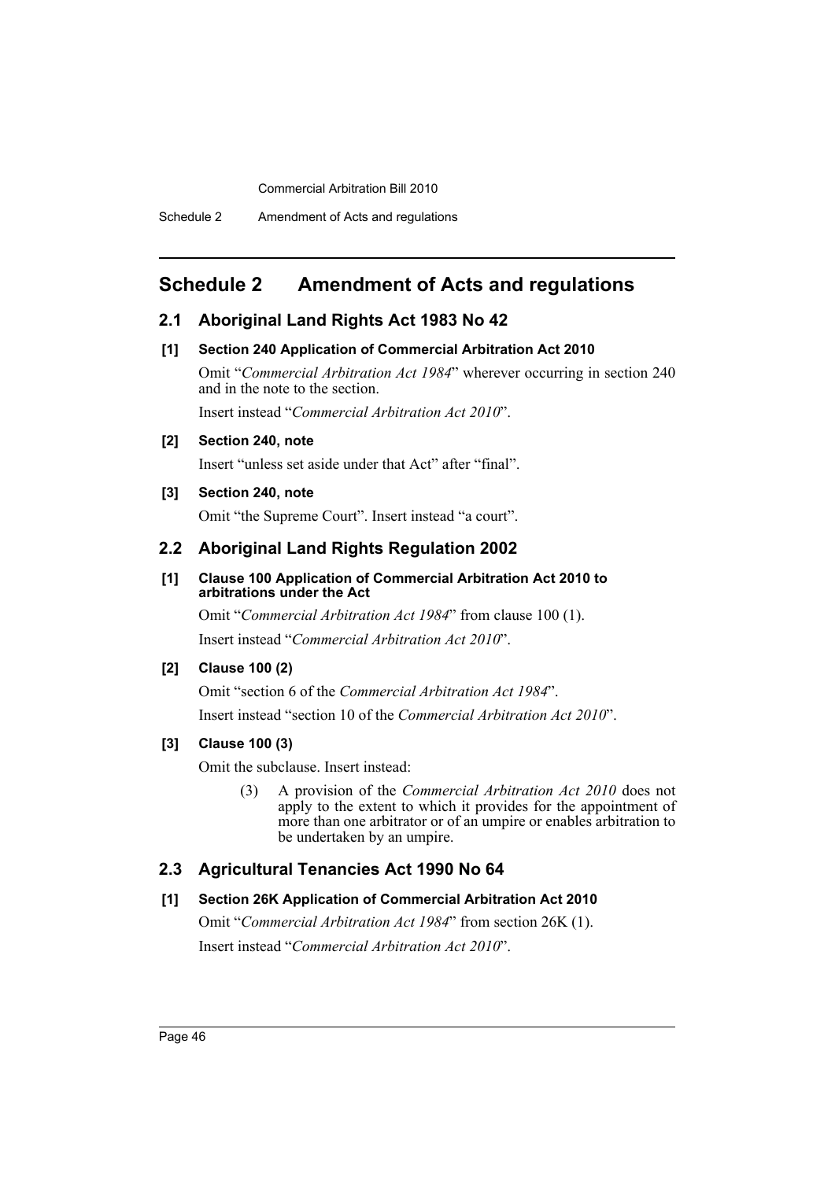# <span id="page-49-0"></span>**Schedule 2 Amendment of Acts and regulations**

# **2.1 Aboriginal Land Rights Act 1983 No 42**

### **[1] Section 240 Application of Commercial Arbitration Act 2010**

Omit "*Commercial Arbitration Act 1984*" wherever occurring in section 240 and in the note to the section. Insert instead "*Commercial Arbitration Act 2010*".

### **[2] Section 240, note**

Insert "unless set aside under that Act" after "final".

### **[3] Section 240, note**

Omit "the Supreme Court". Insert instead "a court".

# **2.2 Aboriginal Land Rights Regulation 2002**

# **[1] Clause 100 Application of Commercial Arbitration Act 2010 to arbitrations under the Act**

Omit "*Commercial Arbitration Act 1984*" from clause 100 (1). Insert instead "*Commercial Arbitration Act 2010*".

# **[2] Clause 100 (2)**

Omit "section 6 of the *Commercial Arbitration Act 1984*". Insert instead "section 10 of the *Commercial Arbitration Act 2010*".

# **[3] Clause 100 (3)**

Omit the subclause. Insert instead:

(3) A provision of the *Commercial Arbitration Act 2010* does not apply to the extent to which it provides for the appointment of more than one arbitrator or of an umpire or enables arbitration to be undertaken by an umpire.

# **2.3 Agricultural Tenancies Act 1990 No 64**

# **[1] Section 26K Application of Commercial Arbitration Act 2010**

Omit "*Commercial Arbitration Act 1984*" from section 26K (1). Insert instead "*Commercial Arbitration Act 2010*".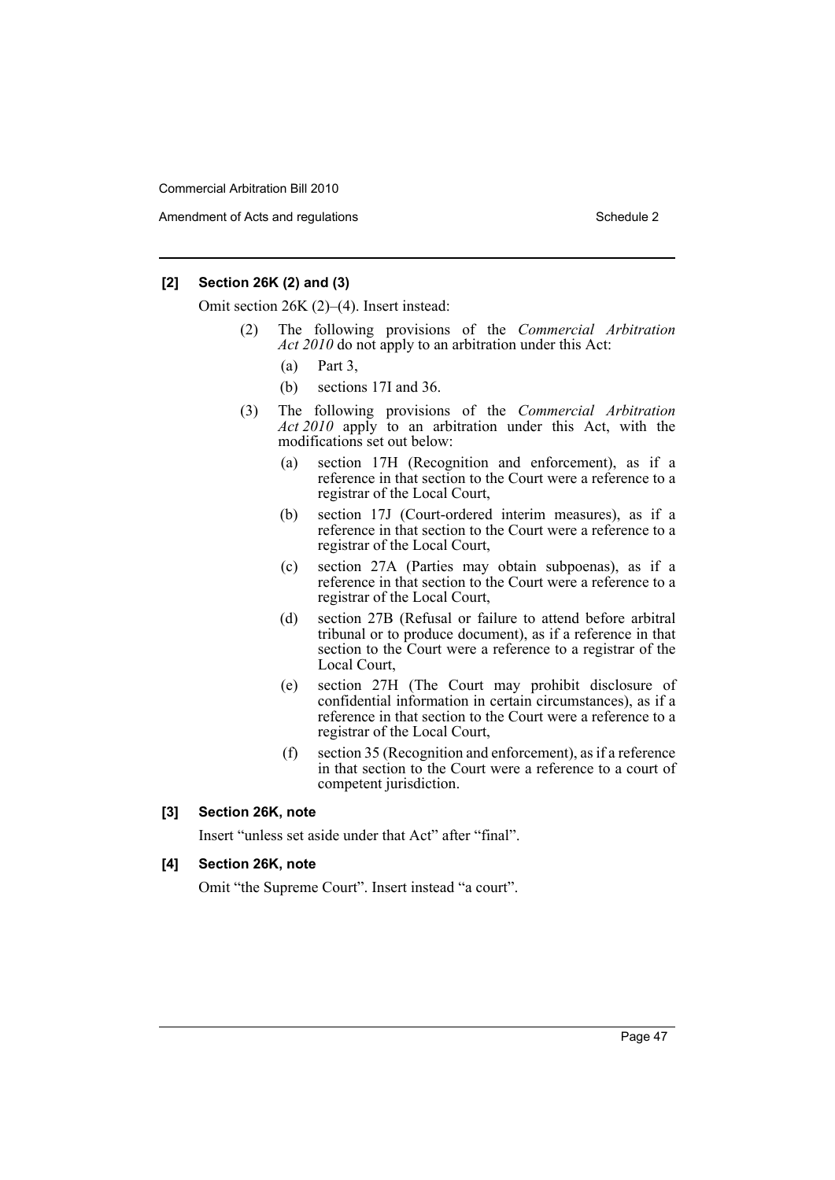Amendment of Acts and regulations Schedule 2 and the Schedule 2 schedule 2 and 5 schedule 2

### **[2] Section 26K (2) and (3)**

Omit section 26K (2)–(4). Insert instead:

- (2) The following provisions of the *Commercial Arbitration Act 2010* do not apply to an arbitration under this Act:
	- (a) Part 3,
	- (b) sections 17I and 36.
- (3) The following provisions of the *Commercial Arbitration Act 2010* apply to an arbitration under this Act, with the modifications set out below:
	- (a) section 17H (Recognition and enforcement), as if a reference in that section to the Court were a reference to a registrar of the Local Court,
	- (b) section 17J (Court-ordered interim measures), as if a reference in that section to the Court were a reference to a registrar of the Local Court,
	- (c) section 27A (Parties may obtain subpoenas), as if a reference in that section to the Court were a reference to a registrar of the Local Court,
	- (d) section 27B (Refusal or failure to attend before arbitral tribunal or to produce document), as if a reference in that section to the Court were a reference to a registrar of the Local Court,
	- (e) section 27H (The Court may prohibit disclosure of confidential information in certain circumstances), as if a reference in that section to the Court were a reference to a registrar of the Local Court,
	- (f) section 35 (Recognition and enforcement), as if a reference in that section to the Court were a reference to a court of competent jurisdiction.

### **[3] Section 26K, note**

Insert "unless set aside under that Act" after "final".

### **[4] Section 26K, note**

Omit "the Supreme Court". Insert instead "a court".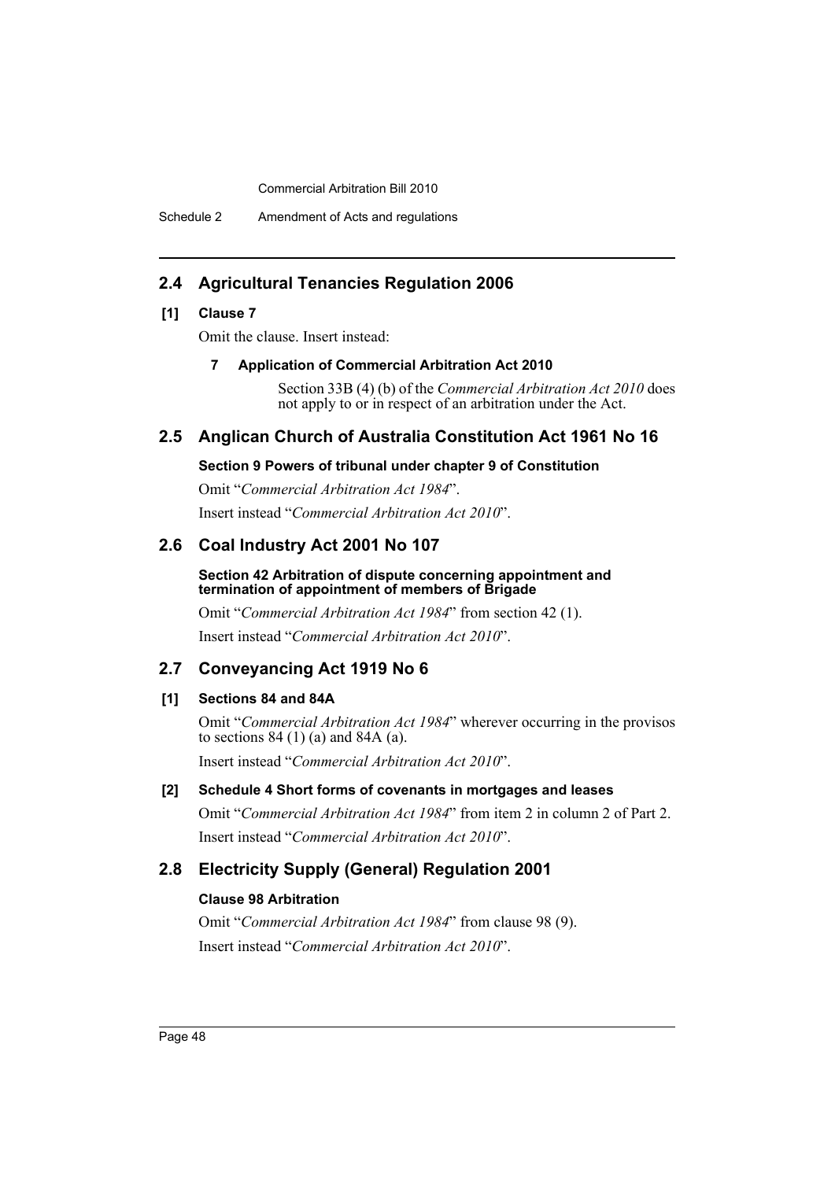Schedule 2 Amendment of Acts and regulations

# **2.4 Agricultural Tenancies Regulation 2006**

# **[1] Clause 7**

Omit the clause. Insert instead:

### **7 Application of Commercial Arbitration Act 2010**

Section 33B (4) (b) of the *Commercial Arbitration Act 2010* does not apply to or in respect of an arbitration under the Act.

# **2.5 Anglican Church of Australia Constitution Act 1961 No 16**

### **Section 9 Powers of tribunal under chapter 9 of Constitution**

Omit "*Commercial Arbitration Act 1984*". Insert instead "*Commercial Arbitration Act 2010*".

# **2.6 Coal Industry Act 2001 No 107**

### **Section 42 Arbitration of dispute concerning appointment and termination of appointment of members of Brigade**

Omit "*Commercial Arbitration Act 1984*" from section 42 (1). Insert instead "*Commercial Arbitration Act 2010*".

# **2.7 Conveyancing Act 1919 No 6**

# **[1] Sections 84 and 84A**

Omit "*Commercial Arbitration Act 1984*" wherever occurring in the provisos to sections  $84(1)(a)$  and  $84A(a)$ . Insert instead "*Commercial Arbitration Act 2010*".

# **[2] Schedule 4 Short forms of covenants in mortgages and leases**

Omit "*Commercial Arbitration Act 1984*" from item 2 in column 2 of Part 2. Insert instead "*Commercial Arbitration Act 2010*".

# **2.8 Electricity Supply (General) Regulation 2001**

# **Clause 98 Arbitration**

Omit "*Commercial Arbitration Act 1984*" from clause 98 (9). Insert instead "*Commercial Arbitration Act 2010*".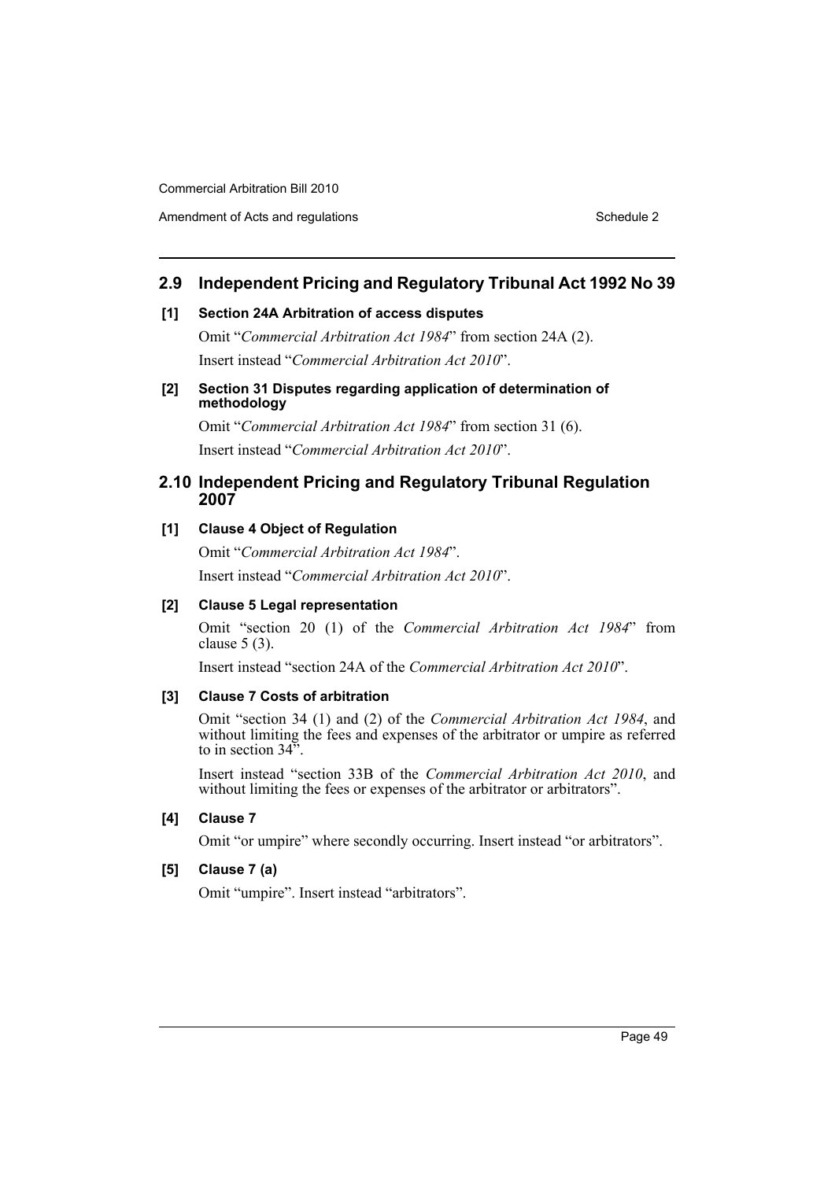Amendment of Acts and regulations Schedule 2 and the Schedule 2 schedule 2 and 5 schedule 2

# **2.9 Independent Pricing and Regulatory Tribunal Act 1992 No 39**

### **[1] Section 24A Arbitration of access disputes**

Omit "*Commercial Arbitration Act 1984*" from section 24A (2). Insert instead "*Commercial Arbitration Act 2010*".

### **[2] Section 31 Disputes regarding application of determination of methodology**

Omit "*Commercial Arbitration Act 1984*" from section 31 (6). Insert instead "*Commercial Arbitration Act 2010*".

# **2.10 Independent Pricing and Regulatory Tribunal Regulation 2007**

# **[1] Clause 4 Object of Regulation**

Omit "*Commercial Arbitration Act 1984*". Insert instead "*Commercial Arbitration Act 2010*".

# **[2] Clause 5 Legal representation**

Omit "section 20 (1) of the *Commercial Arbitration Act 1984*" from clause 5 (3).

Insert instead "section 24A of the *Commercial Arbitration Act 2010*".

### **[3] Clause 7 Costs of arbitration**

Omit "section 34 (1) and (2) of the *Commercial Arbitration Act 1984*, and without limiting the fees and expenses of the arbitrator or umpire as referred to in section 34".

Insert instead "section 33B of the *Commercial Arbitration Act 2010*, and without limiting the fees or expenses of the arbitrator or arbitrators".

# **[4] Clause 7**

Omit "or umpire" where secondly occurring. Insert instead "or arbitrators".

# **[5] Clause 7 (a)**

Omit "umpire". Insert instead "arbitrators".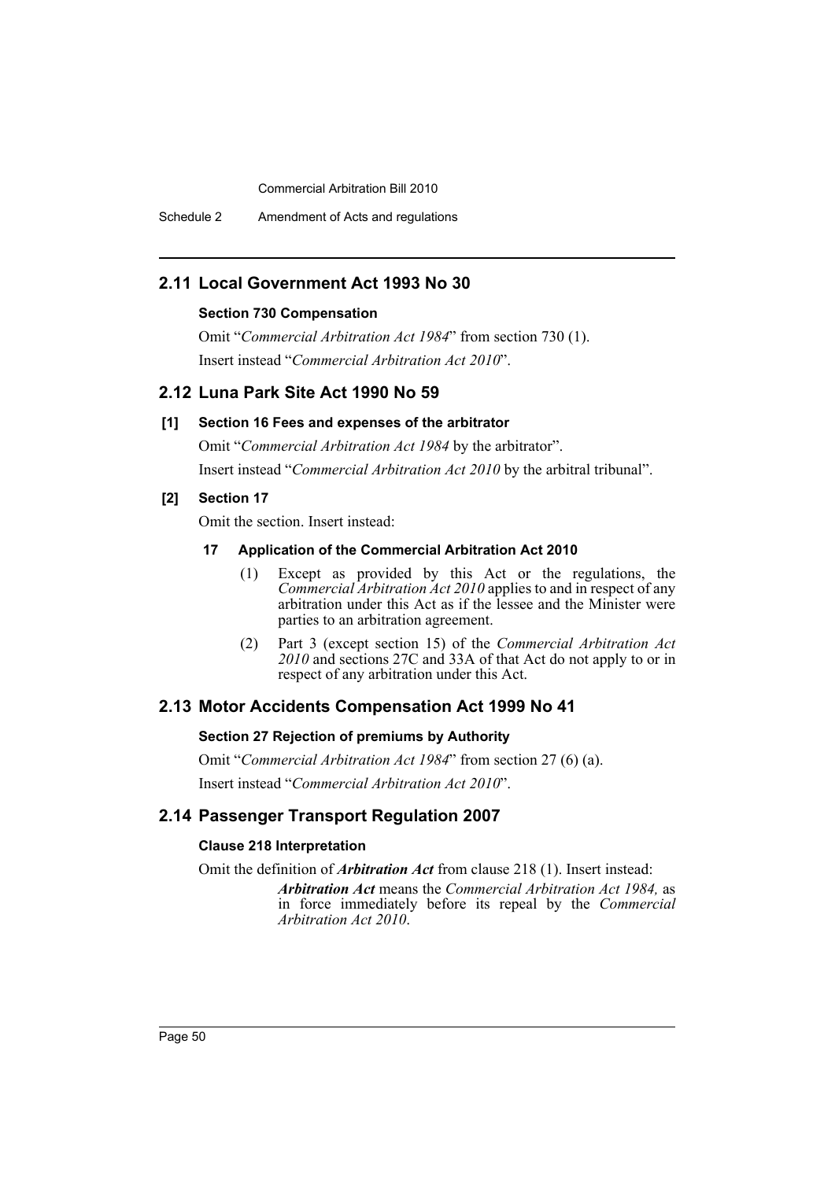Schedule 2 Amendment of Acts and regulations

# **2.11 Local Government Act 1993 No 30**

### **Section 730 Compensation**

Omit "*Commercial Arbitration Act 1984*" from section 730 (1). Insert instead "*Commercial Arbitration Act 2010*".

# **2.12 Luna Park Site Act 1990 No 59**

### **[1] Section 16 Fees and expenses of the arbitrator**

Omit "*Commercial Arbitration Act 1984* by the arbitrator". Insert instead "*Commercial Arbitration Act 2010* by the arbitral tribunal".

### **[2] Section 17**

Omit the section. Insert instead:

### **17 Application of the Commercial Arbitration Act 2010**

- (1) Except as provided by this Act or the regulations, the *Commercial Arbitration Act 2010* applies to and in respect of any arbitration under this Act as if the lessee and the Minister were parties to an arbitration agreement.
- (2) Part 3 (except section 15) of the *Commercial Arbitration Act 2010* and sections 27C and 33A of that Act do not apply to or in respect of any arbitration under this Act.

# **2.13 Motor Accidents Compensation Act 1999 No 41**

### **Section 27 Rejection of premiums by Authority**

Omit "*Commercial Arbitration Act 1984*" from section 27 (6) (a). Insert instead "*Commercial Arbitration Act 2010*".

# **2.14 Passenger Transport Regulation 2007**

### **Clause 218 Interpretation**

Omit the definition of *Arbitration Act* from clause 218 (1). Insert instead:

*Arbitration Act* means the *Commercial Arbitration Act 1984,* as in force immediately before its repeal by the *Commercial Arbitration Act 2010*.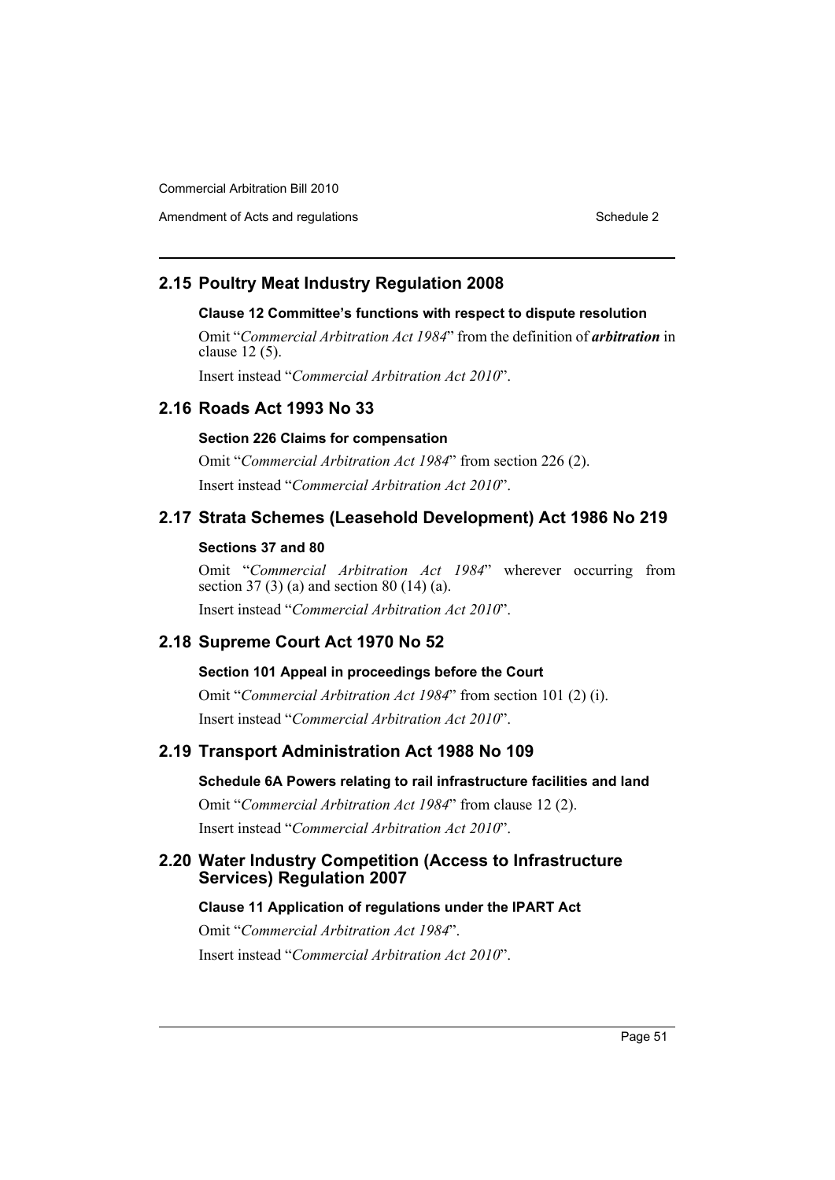Amendment of Acts and regulations Schedule 2 and the Schedule 2 schedule 2 and 5 schedule 2

# **2.15 Poultry Meat Industry Regulation 2008**

# **Clause 12 Committee's functions with respect to dispute resolution**

Omit "*Commercial Arbitration Act 1984*" from the definition of *arbitration* in clause 12 (5).

Insert instead "*Commercial Arbitration Act 2010*".

# **2.16 Roads Act 1993 No 33**

# **Section 226 Claims for compensation**

Omit "*Commercial Arbitration Act 1984*" from section 226 (2). Insert instead "*Commercial Arbitration Act 2010*".

# **2.17 Strata Schemes (Leasehold Development) Act 1986 No 219**

# **Sections 37 and 80**

Omit "*Commercial Arbitration Act 1984*" wherever occurring from section 37 (3) (a) and section 80 (14) (a). Insert instead "*Commercial Arbitration Act 2010*".

# **2.18 Supreme Court Act 1970 No 52**

### **Section 101 Appeal in proceedings before the Court**

Omit "*Commercial Arbitration Act 1984*" from section 101 (2) (i). Insert instead "*Commercial Arbitration Act 2010*".

# **2.19 Transport Administration Act 1988 No 109**

### **Schedule 6A Powers relating to rail infrastructure facilities and land**

Omit "*Commercial Arbitration Act 1984*" from clause 12 (2). Insert instead "*Commercial Arbitration Act 2010*".

# **2.20 Water Industry Competition (Access to Infrastructure Services) Regulation 2007**

### **Clause 11 Application of regulations under the IPART Act**

Omit "*Commercial Arbitration Act 1984*". Insert instead "*Commercial Arbitration Act 2010*".